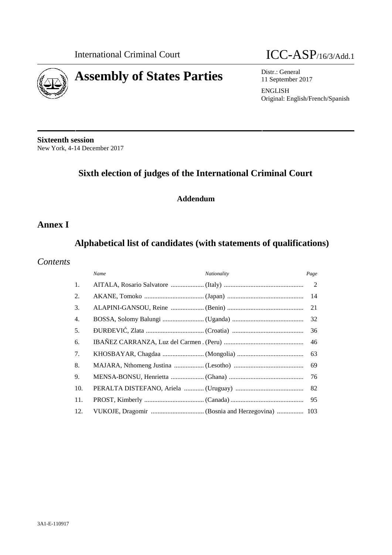

# **Assembly of States Parties** Distr.: General



11 September 2017

ENGLISH Original: English/French/Spanish

**Sixteenth session** New York, 4-14 December 2017

# **Sixth election of judges of the International Criminal Court**

# **Addendum**

# **Annex I**

# **Alphabetical list of candidates (with statements of qualifications)**

### *Contents*

|     | Name | Nationality | Page |
|-----|------|-------------|------|
| 1.  |      |             |      |
| 2.  |      |             | 14   |
| 3.  |      |             | 21   |
| 4.  |      |             | 32   |
| 5.  |      |             | 36   |
| 6.  |      |             | 46   |
| 7.  |      |             | 63   |
| 8.  |      |             | 69   |
| 9.  |      |             | 76   |
| 10. |      |             | 82   |
| 11. |      |             | 95   |
| 12. |      |             |      |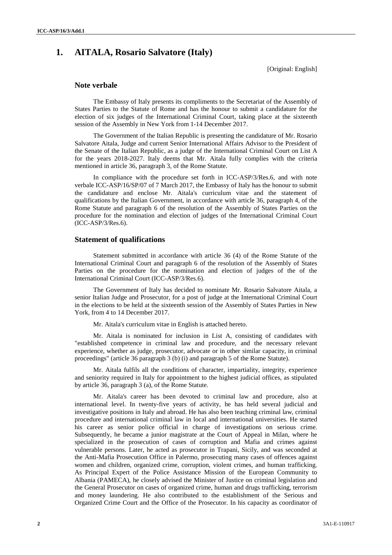# **1. AITALA, Rosario Salvatore (Italy)**

[Original: English]

#### **Note verbale**

The Embassy of Italy presents its compliments to the Secretariat of the Assembly of States Parties to the Statute of Rome and has the honour to submit a candidature for the election of six judges of the International Criminal Court, taking place at the sixteenth session of the Assembly in New York from 1-14 December 2017.

The Government of the Italian Republic is presenting the candidature of Mr. Rosario Salvatore Aitala, Judge and current Senior International Affairs Advisor to the President of the Senate of the Italian Republic, as a judge of the International Criminal Court on List A for the years 2018-2027. Italy deems that Mr. Aitala fully complies with the criteria mentioned in article 36, paragraph 3, of the Rome Statute.

In compliance with the procedure set forth in ICC-ASP/3/Res.6, and with note verbale ICC-ASP/16/SP/07 of 7 March 2017, the Embassy of Italy has the honour to submit the candidature and enclose Mr. Aitala's curriculum vitae and the statement of qualifications by the Italian Government, in accordance with article 36, paragraph 4, of the Rome Statute and paragraph 6 of the resolution of the Assembly of States Parties on the procedure for the nomination and election of judges of the International Criminal Court (ICC-ASP/3/Res.6).

#### **Statement of qualifications**

Statement submitted in accordance with article 36 (4) of the Rome Statute of the International Criminal Court and paragraph 6 of the resolution of the Assembly of States Parties on the procedure for the nomination and election of judges of the of the International Criminal Court (ICC-ASP/3/Res.6).

The Government of Italy has decided to nominate Mr. Rosario Salvatore Aitala, a senior Italian Judge and Prosecutor, for a post of judge at the International Criminal Court in the elections to be held at the sixteenth session of the Assembly of States Parties in New York, from 4 to 14 December 2017.

Mr. Aitala's curriculum vitae in English is attached hereto.

Mr. Aitala is nominated for inclusion in List A, consisting of candidates with "established competence in criminal law and procedure, and the necessary relevant experience, whether as judge, prosecutor, advocate or in other similar capacity, in criminal proceedings" (article 36 paragraph 3 (b) (i) and paragraph 5 of the Rome Statute).

Mr. Aitala fulfils all the conditions of character, impartiality, integrity, experience and seniority required in Italy for appointment to the highest judicial offices, as stipulated by article 36, paragraph 3 (a), of the Rome Statute.

Mr. Aitala's career has been devoted to criminal law and procedure, also at international level. In twenty-five years of activity, he has held several judicial and investigative positions in Italy and abroad. He has also been teaching criminal law, criminal procedure and international criminal law in local and international universities. He started his career as senior police official in charge of investigations on serious crime. Subsequently, he became a junior magistrate at the Court of Appeal in Milan, where he specialized in the prosecution of cases of corruption and Mafia and crimes against vulnerable persons. Later, he acted as prosecutor in Trapani, Sicily, and was seconded at the Anti-Mafia Prosecution Office in Palermo, prosecuting many cases of offences against women and children, organized crime, corruption, violent crimes, and human trafficking. As Principal Expert of the Police Assistance Mission of the European Community to Albania (PAMECA), he closely advised the Minister of Justice on criminal legislation and the General Prosecutor on cases of organized crime, human and drugs trafficking, terrorism and money laundering. He also contributed to the establishment of the Serious and Organized Crime Court and the Office of the Prosecutor. In his capacity as coordinator of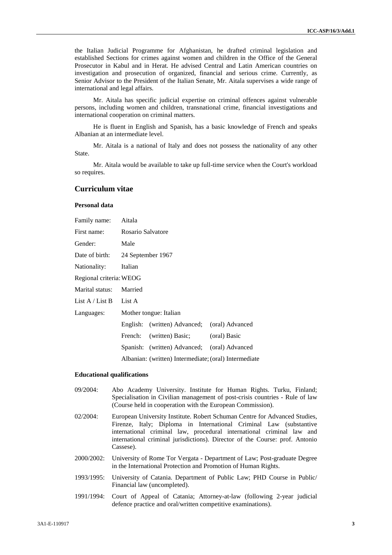the Italian Judicial Programme for Afghanistan, he drafted criminal legislation and established Sections for crimes against women and children in the Office of the General Prosecutor in Kabul and in Herat. He advised Central and Latin American countries on investigation and prosecution of organized, financial and serious crime. Currently, as Senior Advisor to the President of the Italian Senate, Mr. Aitala supervises a wide range of international and legal affairs.

Mr. Aitala has specific judicial expertise on criminal offences against vulnerable persons, including women and children, transnational crime, financial investigations and international cooperation on criminal matters.

He is fluent in English and Spanish, has a basic knowledge of French and speaks Albanian at an intermediate level.

Mr. Aitala is a national of Italy and does not possess the nationality of any other State.

Mr. Aitala would be available to take up full-time service when the Court's workload so requires.

#### **Curriculum vitae**

#### **Personal data**

| Family name:                         | Aitala                                                |                                              |              |
|--------------------------------------|-------------------------------------------------------|----------------------------------------------|--------------|
| First name:                          | Rosario Salvatore                                     |                                              |              |
| Gender:                              | Male                                                  |                                              |              |
| Date of birth:<br>24 September 1967  |                                                       |                                              |              |
| Nationality:                         | Italian                                               |                                              |              |
| Regional criteria: WEOG              |                                                       |                                              |              |
| Marital status:                      | Married                                               |                                              |              |
| List A / List B                      | List A                                                |                                              |              |
| Mother tongue: Italian<br>Languages: |                                                       |                                              |              |
|                                      |                                                       | English: (written) Advanced; (oral) Advanced |              |
|                                      | French:                                               | (written) Basic;                             | (oral) Basic |
|                                      |                                                       | Spanish: (written) Advanced; (oral) Advanced |              |
|                                      | Albanian: (written) Intermediate; (oral) Intermediate |                                              |              |

#### **Educational qualifications**

- 09/2004: Abo Academy University. Institute for Human Rights. Turku, Finland; Specialisation in Civilian management of post-crisis countries - Rule of law (Course held in cooperation with the European Commission).
- 02/2004: European University Institute. Robert Schuman Centre for Advanced Studies, Firenze, Italy; Diploma in International Criminal Law (substantive international criminal law, procedural international criminal law and international criminal jurisdictions). Director of the Course: prof. Antonio Cassese).
- 2000/2002: University of Rome Tor Vergata Department of Law; Post-graduate Degree in the International Protection and Promotion of Human Rights.
- 1993/1995: University of Catania. Department of Public Law; PHD Course in Public/ Financial law (uncompleted).
- 1991/1994: Court of Appeal of Catania; Attorney-at-law (following 2-year judicial defence practice and oral/written competitive examinations).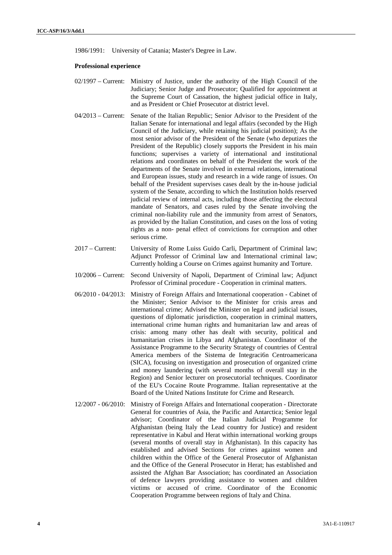1986/1991: University of Catania; Master's Degree in Law.

#### **Professional experience**

- 02/1997 Current: Ministry of Justice, under the authority of the High Council of the Judiciary; Senior Judge and Prosecutor; Qualified for appointment at the Supreme Court of Cassation, the highest judicial office in Italy, and as President or Chief Prosecutor at district level.
- 04/2013 Current: Senate of the Italian Republic; Senior Advisor to the President of the Italian Senate for international and legal affairs (seconded by the High Council of the Judiciary, while retaining his judicial position); As the most senior advisor of the President of the Senate (who deputizes the President of the Republic) closely supports the President in his main functions; supervises a variety of international and institutional relations and coordinates on behalf of the President the work of the departments of the Senate involved in external relations, international and European issues, study and research in a wide range of issues. On behalf of the President supervises cases dealt by the in-house judicial system of the Senate, according to which the Institution holds reserved judicial review of internal acts, including those affecting the electoral mandate of Senators, and cases ruled by the Senate involving the criminal non-liability rule and the immunity from arrest of Senators, as provided by the Italian Constitution, and cases on the loss of voting rights as a non- penal effect of convictions for corruption and other serious crime.
- 2017 Current: University of Rome Luiss Guido Carli, Department of Criminal law; Adjunct Professor of Criminal law and International criminal law; Currently holding a Course on Crimes against humanity and Torture.
- 10/2006 Current: Second University of Napoli, Department of Criminal law; Adjunct Professor of Criminal procedure - Cooperation in criminal matters.
- 06/2010 04/2013: Ministry of Foreign Affairs and International cooperation Cabinet of the Minister; Senior Advisor to the Minister for crisis areas and international crime; Advised the Minister on legal and judicial issues, questions of diplomatic jurisdiction, cooperation in criminal matters, international crime human rights and humanitarian law and areas of crisis: among many other has dealt with security, political and humanitarian crises in Libya and Afghanistan. Coordinator of the Assistance Programme to the Security Strategy of countries of Central America members of the Sistema de Integración Centroamericana (SICA), focusing on investigation and prosecution of organized crime and money laundering (with several months of overall stay in the Region) and Senior lecturer on prosecutorial techniques. Coordinator of the EU's Cocaine Route Programme. Italian representative at the Board of the United Nations Institute for Crime and Research.
- 12/2007 06/2010: Ministry of Foreign Affairs and International cooperation Directorate General for countries of Asia, the Pacific and Antarctica; Senior legal advisor; Coordinator of the Italian Judicial Programme for Afghanistan (being Italy the Lead country for Justice) and resident representative in Kabul and Herat within international working groups (several months of overall stay in Afghanistan). In this capacity has established and advised Sections for crimes against women and children within the Office of the General Prosecutor of Afghanistan and the Office of the General Prosecutor in Herat; has established and assisted the Afghan Bar Association; has coordinated an Association of defence lawyers providing assistance to women and children victims or accused of crime. Coordinator of the Economic Cooperation Programme between regions of Italy and China.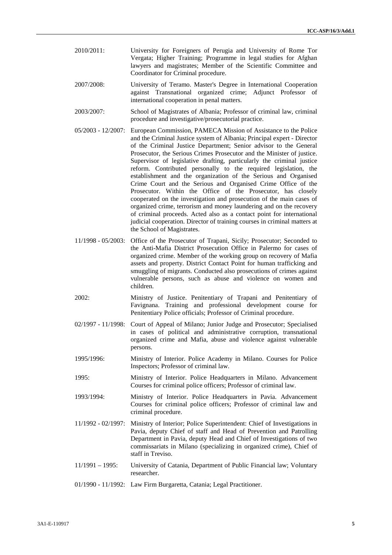- 2010/2011: University for Foreigners of Perugia and University of Rome Tor Vergata; Higher Training; Programme in legal studies for Afghan lawyers and magistrates; Member of the Scientific Committee and Coordinator for Criminal procedure.
- 2007/2008: University of Teramo. Master's Degree in International Cooperation against Transnational organized crime; Adjunct Professor of international cooperation in penal matters.
- 2003/2007: School of Magistrates of Albania; Professor of criminal law, criminal procedure and investigative/prosecutorial practice.
- 05/2003 12/2007: European Commission, PAMECA Mission of Assistance to the Police and the Criminal Justice system of Albania; Principal expert - Director of the Criminal Justice Department; Senior advisor to the General Prosecutor, the Serious Crimes Prosecutor and the Minister of justice. Supervisor of legislative drafting, particularly the criminal justice reform. Contributed personally to the required legislation, the establishment and the organization of the Serious and Organised Crime Court and the Serious and Organised Crime Office of the Prosecutor. Within the Office of the Prosecutor, has closely cooperated on the investigation and prosecution of the main cases of organized crime, terrorism and money laundering and on the recovery of criminal proceeds. Acted also as a contact point for international judicial cooperation. Director of training courses in criminal matters at the School of Magistrates.
- 11/1998 05/2003: Office of the Prosecutor of Trapani, Sicily; Prosecutor; Seconded to the Anti-Mafia District Prosecution Office in Palermo for cases of organized crime. Member of the working group on recovery of Mafia assets and property. District Contact Point for human trafficking and smuggling of migrants. Conducted also prosecutions of crimes against vulnerable persons, such as abuse and violence on women and children.
- 2002: Ministry of Justice. Penitentiary of Trapani and Penitentiary of Favignana. Training and professional development course for Penitentiary Police officials; Professor of Criminal procedure.
- 02/1997 11/1998: Court of Appeal of Milano; Junior Judge and Prosecutor; Specialised in cases of political and administrative corruption, transnational organized crime and Mafia, abuse and violence against vulnerable persons.
- 1995/1996: Ministry of Interior. Police Academy in Milano. Courses for Police Inspectors; Professor of criminal law.
- 1995: Ministry of Interior. Police Headquarters in Milano. Advancement Courses for criminal police officers; Professor of criminal law.
- 1993/1994: Ministry of Interior. Police Headquarters in Pavia. Advancement Courses for criminal police officers; Professor of criminal law and criminal procedure.
- 11/1992 02/1997: Ministry of Interior; Police Superintendent: Chief of Investigations in Pavia, deputy Chief of staff and Head of Prevention and Patrolling Department in Pavia, deputy Head and Chief of Investigations of two commissariats in Milano (specializing in organized crime), Chief of staff in Treviso.
- 11/1991 1995: University of Catania, Department of Public Financial law; Voluntary researcher.
- 01/1990 11/1992: Law Firm Burgaretta, Catania; Legal Practitioner.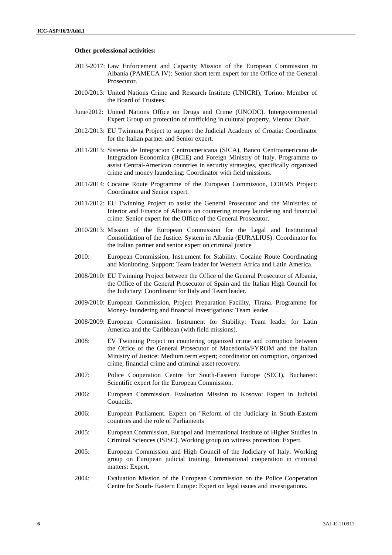#### **Other professional activities:**

- 2013-2017: Law Enforcement and Capacity Mission of the European Commission to Albania (PAMECA IV): Senior short term expert for the Office of the General Prosecutor.
- 2010/2013: United Nations Crime and Research Institute (UNICRI), Torino: Member of the Board of Trustees.
- June/2012: United Nations Office on Drugs and Crime (UNODC). Intergovernmental Expert Group on protection of trafficking in cultural property, Vienna: Chair.
- 2012/2013: EU Twinning Project to support the Judicial Academy of Croatia: Coordinator for the Italian partner and Senior expert.
- 2011/2013: Sistema de Integracion Centroamericana (SICA), Banco Centroamericano de Integracion Economica (BCIE) and Foreign Ministry of Italy. Programme to assist Central-American countries in security strategies, specifically organized crime and money laundering: Coordinator with field missions.
- 2011/2014: Cocaine Route Programme of the European Commission, CORMS Project: Coordinator and Senior expert.
- 2011/2012: EU Twinning Project to assist the General Prosecutor and the Ministries of Interior and Finance of Albania on countering money laundering and financial crime: Senior expert for the Office of the General Prosecutor.
- 2010/2013: Mission of the European Commission for the Legal and Institutional Consolidation of the Justice. System in Albania (EURALIUS): Coordinator for the Italian partner and senior expert on criminal justice
- 2010: European Commission, Instrument for Stability. Cocaine Route Coordinating and Monitoring. Support: Team leader for Western Africa and Latin America.
- 2008/2010: EU Twinning Project between the Office of the General Prosecutor of Albania, the Office of the General Prosecutor of Spain and the Italian High Council for the Judiciary: Coordinator for Italy and Team leader.
- 2009/2010: European Commission, Project Preparation Facility, Tirana. Programme for Money- laundering and financial investigations: Team leader.
- 2008/2009: European Commission. Instrument for Stability: Team leader for Latin America and the Caribbean (with field missions).
- 2008: EV Twinning Project on countering organized crime and corruption between the Office of the General Prosecutor of Macedonia/FYROM and the Italian Ministry of Justice: Medium term expert; coordinator on corruption, organized crime, financial crime and criminal asset recovery.
- 2007: Police Cooperation Centre for South-Eastern Europe (SECI), Bucharest: Scientific expert for the European Commission.
- 2006: European Commission. Evaluation Mission to Kosovo: Expert in Judicial Councils.
- 2006: European Parliament. Expert on "Reform of the Judiciary in South-Eastern countries and the role of Parliaments
- 2005: European Commission, Europol and International Institute of Higher Studies in Criminal Sciences (ISISC). Working group on witness protection: Expert.
- 2005: European Commission and High Council of the Judiciary of Italy. Working group on European judicial training. International cooperation in criminal matters: Expert.
- 2004: Evaluation Mission of the European Commission on the Police Cooperation Centre for South- Eastern Europe: Expert on legal issues and investigations.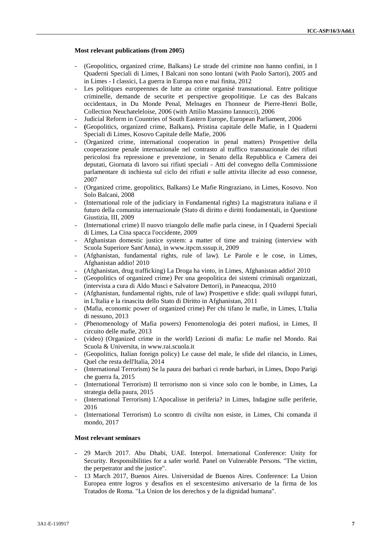#### **Most relevant publications (from 2005)**

- (Geopolitics, organized crime, Balkans) Le strade del crimine non hanno confini, in I Quaderni Speciali di Limes, I Balcani non sono lontani (with Paolo Sartori), 2005 and in Limes - I classici, La guerra in Europa non e mai finita, 2012
- Les politiques europeennes de lutte au crime organisé transnational. Entre politique criminelle, demande de securite et perspective geopolitique. Le cas des Balcans occidentaux, in Du Monde Penal, Melnages en l'honneur de Pierre-Henri Bolle, Collection Neuchateleloise, 2006 (with Attilio Massimo Iannucci), 2006
- Judicial Reform in Countries of South Eastern Europe, European Parliament, 2006
- **(**Geopolitics, organized crime, Balkans)**.** Pristina capitale delle Mafie, in I Quaderni Speciali di Limes, Kosovo Capitale delle Mafie, 2006
- (Organized crime, international cooperation in penal matters) Prospettive della cooperazione penale internazionale nel contrasto al traffico transnazionale dei rifiuti pericolosi fra repressione e prevenzione, in Senato della Repubblica e Camera dei deputati, Giornata di lavoro sui rifiuti speciali - Atti del convegno della Commissione parlamentare di inchiesta sul ciclo dei rifiuti e sulle attivita illecite ad esso connesse, 2007
- (Organized crime, geopolitics, Balkans) Le Mafie Ringraziano, in Limes, Kosovo. Non Solo Balcani, 2008
- (International role of the judiciary in Fundamental rights) La magistratura italiana e il futuro della comunita internazionale (Stato di diritto e diritti fondamentali, in Questione Giustizia, III, 2009
- (International crime) Il nuovo triangolo delle mafie parla cinese, in I Quaderni Speciali di Limes, La Cina spacca l'occidente, 2009
- Afghanistan domestic justice system: a matter of time and training (interview with Scuola Superiore Sant'Anna), in www.itpcm.sssup.it, 2009
- (Afghanistan, fundamental rights, rule of law). Le Parole e le cose, in Limes, Afghanistan addio! 2010
- (Afghanistan, drug trafficking) La Droga ha vinto, in Limes, Afghanistan addio! 2010
- (Geopolitics of organized crime) Per una geopolitica dei sistemi criminali organizzati, (intervista a cura di Aldo Musci e Salvatore Dettori), in Paneacqua, 2010
- (Afghanistan, fundamental rights, rule of law) Prospettive e sfide: quali sviluppi futuri, in L'Italia e la rinascita dello Stato di Diritto in Afghanistan, 2011
- (Mafia, economic power of organized crime) Per chi tifano le mafie, in Limes, L'Italia di nessuno, 2013
- (Phenomenology of Mafia powers) Fenomenologia dei poteri mafiosi, in Limes, Il circuito delle mafie, 2013
- (video) (Organized crime in the world) Lezioni di mafia: Le mafie nel Mondo. Rai Scuola & Universita, in www.rai.scuola.it
- (Geopolitics, Italian foreign policy) Le cause del male, le sfide del rilancio, in Limes, Quel che resta dell'Italia, 2014
- (International Terrorism) Se la paura dei barbari ci rende barbari, in Limes, Dopo Parigi che guerra fa, 2015
- (International Terrorism) Il terrorismo non si vince solo con le bombe, in Limes, La strategia della paura, 2015
- (International Terrorism) L'Apocalisse in periferia? in Limes, Indagine sulle periferie, 2016
- (International Terrorism) Lo scontro di civilta non esiste, in Limes, Chi comanda il mondo, 2017

#### **Most relevant seminars**

- 29 March 2017. Abu Dhabi, UAE. Interpol. International Conference: Unity for Security. Responsibilities for a safer world. Panel on Vulnerable Persons. "The victim, the perpetrator and the justice".
- 13 March 2017, Buenos Aires. Universidad de Buenos Aires. Conference: La Union Europea entre logros y desafios en el sexcentesimo aniversario de la firma de los Tratados de Roma. "La Union de los derechos y de la dignidad humana".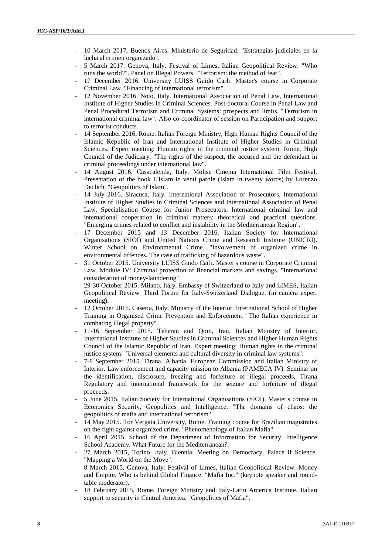- 10 March 2017, Buenos Aires. Ministerio de Seguridad. "Estrategias judiciales en la lucha al crimen organizado".
- 5 March 2017. Genova, Italy. Festival of Limes, Italian Geopolitical Review: "Who runs the world?". Panel on Illegal Powers. "Terrorism: the method of fear".
- 17 December 2016. University LUISS Guido Carli. Master's course in Corporate Criminal Law. "Financing of international terrorism".
- 12 November 2016. Noto, Italy. International Association of Penal Law, International Institute of Higher Studies in Criminal Sciences. Post-doctoral Course in Penal Law and Penal Procedural Terrorism and Criminal Systems: prospects and limits. "Terrorism in international criminal law". Also co-coordinator of session on Participation and support to terrorist conducts.
- 14 September 2016, Rome. Italian Foreign Ministry, High Human Rights Council of the Islamic Republic of Iran and International Institute of Higher Studies in Criminal Sciences. Expert meeting: Human rights in the criminal justice system. Rome, High Council of the Judiciary. "The rights of the suspect, the accused and the defendant in criminal proceedings under international law".
- 14 August 2016. Casacalenda, Italy. Molise Cinema International Film Festival. Presentation of the book L'Islam in venti parole (Islam in twenty words) by Lorenzo Declich. "Geopolitics of Islam".
- 14 July 2016. Siracusa, Italy. International Association of Prosecutors, International Institute of Higher Studies in Criminal Sciences and International Association of Penal Law. Specialisation Course for Junior Prosecutors. International criminal law and international cooperation in criminal matters: theoretical and practical questions. "Emerging crimes related to conflict and instability in the Mediterranean Region".
- 17 December 2015 and 13 December 2016. Italian Society for International Organisations (SIOI) and United Nations Crime and Research Institute (UNICRI). Winter School on Environmental Crime. "Involvement of organized crime in environmental offences. The case of trafficking of hazardous waste".
- 31 October 2015. University LUISS Guido Carli. Master's course in Corporate Criminal Law. Module IV: Criminal protection of financial markets and savings. "International consideration of money-laundering".
- 29-30 October 2015. Milano, Italy. Embassy of Switzerland to Italy and LIMES, Italian Geopolitical Review. Third Forum for Italy-Switzerland Dialogue, (in camera expert meeting).
- 12 October 2015. Caserta, Italy. Ministry of the Interior. International School of Higher Training in Organised Crime Prevention and Enforcement. "The Italian experience in combating illegal property".
- 11-16 September 2015. Teheran and Qom, Iran. Italian Ministry of Interior, International Institute of Higher Studies in Criminal Sciences and Higher Human Rights Council of the Islamic Republic of Iran. Expert meeting: Human rights in the criminal justice system. "Universal elements and cultural diversity in criminal law systems".
- 7-8 September 2015. Tirana, Albania. European Commission and Italian Ministry of Interior. Law enforcement and capacity mission to Albania (PAMECA IV). Seminar on the identification, disclosure, freezing and forfeiture of illegal proceeds, Tirana Regulatory and international framework for the seizure and forfeiture of illegal proceeds.
- 5 June 2015. Italian Society for International Organisations (SIOI). Master's course in Economics Security, Geopolitics and Intelligence. "The domains of chaos: the geopolitics of mafia and international terrorism".
- 14 May 2015. Tor Vergata University, Rome. Training course for Brazilian magistrates on the fight against organized crime. "Phenomenology of Italian Mafia".
- 16 April 2015. School of the Department of Information for Security. Intelligence School Academy. What Future for the Mediterranean?.
- 27 March 2015, Torino, Italy. Biennial Meeting on Democracy. Palace if Science. "Mapping a World on the Move".
- 8 March 2015, Genova, Italy. Festival of Limes, Italian Geopolitical Review. Money and Empire. Who is behind Global Finance. "Mafia Inc." (keynote speaker and roundtable moderator).
- 18 February 2015, Rome. Foreign Ministry and Italy-Latin America Institute. Italian support to security in Central America. "Geopolitics of Mafia".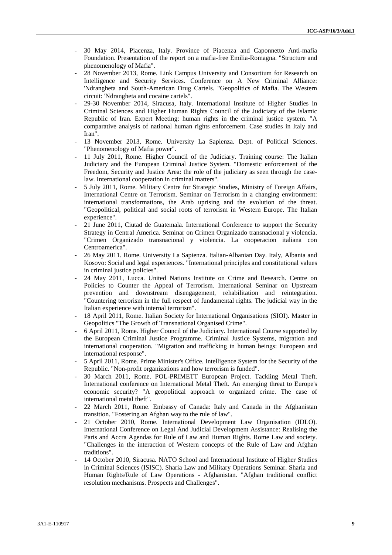- 30 May 2014, Piacenza, Italy. Province of Piacenza and Caponnetto Anti-mafia Foundation. Presentation of the report on a mafia-free Emilia-Romagna. "Structure and phenomenology of Mafia".
- 28 November 2013, Rome. Link Campus University and Consortium for Research on Intelligence and Security Services. Conference on A New Criminal Alliance: 'Ndrangheta and South-American Drug Cartels. "Geopolitics of Mafia. The Western circuit: 'Ndrangheta and cocaine cartels".
- 29-30 November 2014, Siracusa, Italy. International Institute of Higher Studies in Criminal Sciences and Higher Human Rights Council of the Judiciary of the Islamic Republic of Iran. Expert Meeting: human rights in the criminal justice system. "A comparative analysis of national human rights enforcement. Case studies in Italy and Iran".
- 13 November 2013, Rome. University La Sapienza. Dept. of Political Sciences. "Phenomenology of Mafia power".
- 11 July 2011, Rome. Higher Council of the Judiciary. Training course: The Italian Judiciary and the European Criminal Justice System. "Domestic enforcement of the Freedom, Security and Justice Area: the role of the judiciary as seen through the caselaw. International cooperation in criminal matters".
- 5 July 2011, Rome. Military Centre for Strategic Studies, Ministry of Foreign Affairs, International Centre on Terrorism. Seminar on Terrorism in a changing environment: international transformations, the Arab uprising and the evolution of the threat. "Geopolitical, political and social roots of terrorism in Western Europe. The Italian experience".
- 21 June 2011, Ciutad de Guatemala. International Conference to support the Security Strategy in Central America. Seminar on Crimen Organizado transnacional y violencia. "Crimen Organizado transnacional y violencia. La cooperacion italiana con Centroamerica".
- 26 May 2011. Rome. University La Sapienza. Italian-Albanian Day. Italy, Albania and Kosovo: Social and legal experiences. "International principles and constitutional values in criminal justice policies".
- 24 May 2011, Lucca. United Nations Institute on Crime and Research. Centre on Policies to Counter the Appeal of Terrorism. International Seminar on Upstream prevention and downstream disengagement, rehabilitation and reintegration. "Countering terrorism in the full respect of fundamental rights. The judicial way in the Italian experience with internal terrorism".
- 18 April 2011, Rome. Italian Society for International Organisations (SIOI). Master in Geopolitics "The Growth of Transnational Organised Crime".
- 6 April 2011, Rome. Higher Council of the Judiciary. International Course supported by the European Criminal Justice Programme. Criminal Justice Systems, migration and international cooperation. "Migration and trafficking in human beings: European and international response".
- 5 April 2011, Rome. Prime Minister's Office. Intelligence System for the Security of the Republic. "Non-profit organizations and how terrorism is funded".
- 30 March 2011, Rome. POL-PRIMETT European Project. Tackling Metal Theft. International conference on International Metal Theft. An emerging threat to Europe's economic security? "A geopolitical approach to organized crime. The case of international metal theft".
- 22 March 2011, Rome. Embassy of Canada: Italy and Canada in the Afghanistan transition. "Fostering an Afghan way to the rule of law".
- 21 October 2010, Rome. International Development Law Organisation (IDLO). International Conference on Legal And Judicial Development Assistance: Realising the Paris and Accra Agendas for Rule of Law and Human Rights. Rome Law and society. "Challenges in the interaction of Western concepts of the Rule of Law and Afghan traditions".
- 14 October 2010, Siracusa. NATO School and International Institute of Higher Studies in Criminal Sciences (ISISC). Sharia Law and Military Operations Seminar. Sharia and Human Rights/Rule of Law Operations - Afghanistan. "Afghan traditional conflict resolution mechanisms. Prospects and Challenges".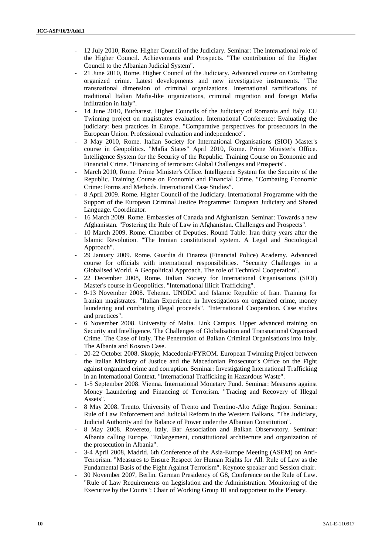- 12 July 2010, Rome. Higher Council of the Judiciary. Seminar: The international role of the Higher Council. Achievements and Prospects. "The contribution of the Higher Council to the Albanian Judicial System".
- 21 June 2010, Rome. Higher Council of the Judiciary. Advanced course on Combating organized crime. Latest developments and new investigative instruments. "The transnational dimension of criminal organizations. International ramifications of traditional Italian Mafia-like organizations, criminal migration and foreign Mafia infiltration in Italy".
- 14 June 2010, Bucharest. Higher Councils of the Judiciary of Romania and Italy. EU Twinning project on magistrates evaluation. International Conference: Evaluating the judiciary: best practices in Europe. "Comparative perspectives for prosecutors in the European Union. Professional evaluation and independence".
- 3 May 2010, Rome. Italian Society for International Organisations (SIOI) Master's course in Geopolitics. "Mafia States" April 2010, Rome. Prime Minister's Office. Intelligence System for the Security of the Republic. Training Course on Economic and Financial Crime. "Financing of terrorism: Global Challenges and Prospects".
- March 2010, Rome. Prime Minister's Office. Intelligence System for the Security of the Republic. Training Course on Economic and Financial Crime. "Combating Economic Crime: Forms and Methods. International Case Studies".
- 8 April 2009. Rome. Higher Council of the Judiciary. International Programme with the Support of the European Criminal Justice Programme: European Judiciary and Shared Language. Coordinator.
- 16 March 2009. Rome. Embassies of Canada and Afghanistan. Seminar: Towards a new Afghanistan. "Fostering the Rule of Law in Afghanistan. Challenges and Prospects".
- 10 March 2009. Rome. Chamber of Deputies. Round Table: Iran thirty years after the Islamic Revolution. "The Iranian constitutional system. A Legal and Sociological Approach".
- 29 January 2009. Rome. Guardia di Finanza (Financial Police) Academy. Advanced course for officials with international responsibilities. "Security Challenges in a Globalised World. A Geopolitical Approach. The role of Technical Cooperation".
- 22 December 2008, Rome. Italian Society for International Organisations (SIOI) Master's course in Geopolitics. "International Illicit Trafficking".
- 9-13 November 2008. Teheran. UNODC and Islamic Republic of Iran. Training for Iranian magistrates. "Italian Experience in Investigations on organized crime, money laundering and combating illegal proceeds". "International Cooperation. Case studies and practices".
- 6 November 2008. University of Malta. Link Campus. Upper advanced training on Security and Intelligence. The Challenges of Globalisation and Transnational Organised Crime. The Case of Italy. The Penetration of Balkan Criminal Organisations into Italy. The Albania and Kosovo Case.
- 20-22 October 2008. Skopje, Macedonia/FYROM. European Twinning Project between the Italian Ministry of Justice and the Macedonian Prosecutor's Office on the Fight against organized crime and corruption. Seminar: Investigating International Trafficking in an International Context. "International Trafficking in Hazardous Waste".
- 1-5 September 2008. Vienna. International Monetary Fund. Seminar: Measures against Money Laundering and Financing of Terrorism. "Tracing and Recovery of Illegal Assets".
- 8 May 2008. Trento. University of Trento and Trentino-Alto Adige Region. Seminar: Rule of Law Enforcement and Judicial Reform in the Western Balkans. "The Judiciary, Judicial Authority and the Balance of Power under the Albanian Constitution".
- 8 May 2008. Rovereto, Italy. Bar Association and Balkan Observatory. Seminar: Albania calling Europe. "Enlargement, constitutional architecture and organization of the prosecution in Albania".
- 3-4 April 2008, Madrid. 6th Conference of the Asia-Europe Meeting (ASEM) on Anti-Terrorism. "Measures to Ensure Respect for Human Rights for All. Rule of Law as the Fundamental Basis of the Fight Against Terrorism". Keynote speaker and Session chair.
- 30 November 2007, Berlin. German Presidency of G8, Conference on the Rule of Law. "Rule of Law Requirements on Legislation and the Administration. Monitoring of the Executive by the Courts": Chair of Working Group III and rapporteur to the Plenary.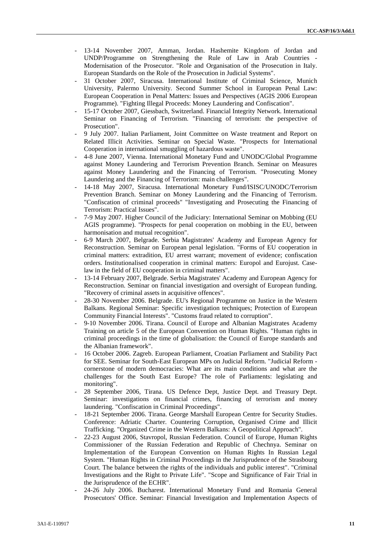- 13-14 November 2007, Amman, Jordan. Hashemite Kingdom of Jordan and UNDP/Programme on Strengthening the Rule of Law in Arab Countries - Modernisation of the Prosecutor. "Role and Organisation of the Prosecution in Italy. European Standards on the Role of the Prosecution in Judicial Systems".
- 31 October 2007, Siracusa. International Institute of Criminal Science, Munich University, Palermo University. Second Summer School in European Penal Law: European Cooperation in Penal Matters: Issues and Perspectives (AGIS 2006 European Programme). "Fighting Illegal Proceeds: Money Laundering and Confiscation".
- 15-17 October 2007, Giessbach, Switzerland. Financial Integrity Network. International Seminar on Financing of Terrorism. "Financing of terrorism: the perspective of Prosecution".
- 9 July 2007. Italian Parliament, Joint Committee on Waste treatment and Report on Related Illicit Activities. Seminar on Special Waste. "Prospects for International Cooperation in international smuggling of hazardous waste".
- 4-8 June 2007, Vienna. International Monetary Fund and UNODC/Global Programme against Money Laundering and Terrorism Prevention Branch. Seminar on Measures against Money Laundering and the Financing of Terrorism. "Prosecuting Money Laundering and the Financing of Terrorism: main challenges".
- 14-18 May 2007, Siracusa. International Monetary Fund/ISISC/UNODC/Terrorism Prevention Branch. Seminar on Money Laundering and the Financing of Terrorism. "Confiscation of criminal proceeds" "Investigating and Prosecuting the Financing of Terrorism: Practical Issues".
- 7-9 May 2007. Higher Council of the Judiciary: International Seminar on Mobbing (EU AGIS programme). "Prospects for penal cooperation on mobbing in the EU, between harmonisation and mutual recognition".
- 6-9 March 2007, Belgrade. Serbia Magistrates' Academy and European Agency for Reconstruction. Seminar on European penal legislation. "Forms of EU cooperation in criminal matters: extradition, EU arrest warrant; movement of evidence; confiscation orders. Institutionalised cooperation in criminal matters: Europol and Eurojust. Caselaw in the field of EU cooperation in criminal matters".
- 13-14 February 2007, Belgrade. Serbia Magistrates' Academy and European Agency for Reconstruction. Seminar on financial investigation and oversight of European funding. "Recovery of criminal assets in acquisitive offences".
- 28-30 November 2006. Belgrade. EU's Regional Programme on Justice in the Western Balkans. Regional Seminar: Specific investigation techniques; Protection of European Community Financial Interests". "Customs fraud related to corruption".
- 9-10 November 2006. Tirana. Council of Europe and Albanian Magistrates Academy Training on article 5 of the European Convention on Human Rights. "Human rights in criminal proceedings in the time of globalisation: the Council of Europe standards and the Albanian framework".
- 16 October 2006. Zagreb. European Parliament, Croatian Parliament and Stability Pact for SEE. Seminar for South-East European MPs on Judicial Reform. "Judicial Reform cornerstone of modern democracies: What are its main conditions and what are the challenges for the South East Europe? The role of Parliaments: legislating and monitoring".
- 28 September 2006, Tirana. US Defence Dept, Justice Dept. and Treasury Dept. Seminar: investigations on financial crimes, financing of terrorism and money laundering. "Confiscation in Criminal Proceedings".
- 18-21 September 2006. Tirana. George Marshall European Centre for Security Studies. Conference: Adriatic Charter. Countering Corruption, Organised Crime and Illicit Trafficking. "Organized Crime in the Western Balkans: A Geopolitical Approach".
- 22-23 August 2006, Stavropol, Russian Federation. Council of Europe, Human Rights Commissioner of the Russian Federation and Republic of Chechnya. Seminar on Implementation of the European Convention on Human Rights In Russian Legal System. "Human Rights in Criminal Proceedings in the Jurisprudence of the Strasbourg Court. The balance between the rights of the individuals and public interest". "Criminal Investigations and the Right to Private Life". "Scope and Significance of Fair Trial in the Jurisprudence of the ECHR".
- 24-26 July 2006. Bucharest. International Monetary Fund and Romania General Prosecutors' Office. Seminar: Financial Investigation and Implementation Aspects of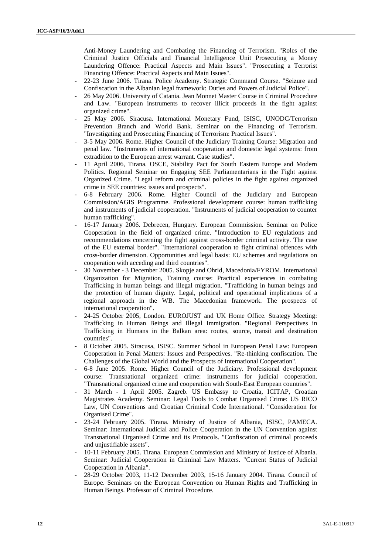Anti-Money Laundering and Combating the Financing of Terrorism. "Roles of the Criminal Justice Officials and Financial Intelligence Unit Prosecuting a Money Laundering Offence: Practical Aspects and Main Issues". "Prosecuting a Terrorist Financing Offence: Practical Aspects and Main Issues".

- 22-23 June 2006. Tirana. Police Academy. Strategic Command Course. "Seizure and Confiscation in the Albanian legal framework: Duties and Powers of Judicial Police".
- 26 May 2006. University of Catania. Jean Monnet Master Course in Criminal Procedure and Law. "European instruments to recover illicit proceeds in the fight against organized crime".
- 25 May 2006. Siracusa. International Monetary Fund, ISISC, UNODC/Terrorism Prevention Branch and World Bank. Seminar on the Financing of Terrorism. "Investigating and Prosecuting Financing of Terrorism: Practical Issues".
- 3-5 May 2006. Rome. Higher Council of the Judiciary Training Course: Migration and penal law. "Instruments of international cooperation and domestic legal systems: from extradition to the European arrest warrant. Case studies".
- 11 April 2006, Tirana. OSCE, Stability Pact for South Eastern Europe and Modern Politics. Regional Seminar on Engaging SEE Parliamentarians in the Fight against Organized Crime. "Legal reform and criminal policies in the fight against organized crime in SEE countries: issues and prospects".
- 6-8 February 2006. Rome. Higher Council of the Judiciary and European Commission/AGIS Programme. Professional development course: human trafficking and instruments of judicial cooperation. "Instruments of judicial cooperation to counter human trafficking".
- 16-17 January 2006. Debrecen, Hungary. European Commission. Seminar on Police Cooperation in the field of organized crime. "Introduction to EU regulations and recommendations concerning the fight against cross-border criminal activity. The case of the EU external border". "International cooperation to fight criminal offences with cross-border dimension. Opportunities and legal basis: EU schemes and regulations on cooperation with acceding and third countries".
- 30 November 3 December 2005. Skopje and Ohrid, Macedonia/FYROM. International Organization for Migration, Training course: Practical experiences in combating Trafficking in human beings and illegal migration. "Trafficking in human beings and the protection of human dignity. Legal, political and operational implications of a regional approach in the WB. The Macedonian framework. The prospects of international cooperation".
- 24-25 October 2005, London. EUROJUST and UK Home Office. Strategy Meeting: Trafficking in Human Beings and Illegal Immigration. "Regional Perspectives in Trafficking in Humans in the Balkan area: routes, source, transit and destination countries".
- 8 October 2005. Siracusa, ISISC. Summer School in European Penal Law: European Cooperation in Penal Matters: Issues and Perspectives. "Re-thinking confiscation. The Challenges of the Global World and the Prospects of International Cooperation".
- 6-8 June 2005. Rome. Higher Council of the Judiciary. Professional development course: Transnational organized crime: instruments for judicial cooperation. "Transnational organized crime and cooperation with South-East European countries".
- 31 March 1 April 2005. Zagreb. US Embassy to Croatia, ICITAP, Croatian Magistrates Academy. Seminar: Legal Tools to Combat Organised Crime: US RICO Law, UN Conventions and Croatian Criminal Code International. "Consideration for Organised Crime".
- 23-24 February 2005. Tirana. Ministry of Justice of Albania, ISISC, PAMECA. Seminar: International Judicial and Police Cooperation in the UN Convention against Transnational Organised Crime and its Protocols. "Confiscation of criminal proceeds and unjustifiable assets".
- 10-11 February 2005. Tirana. European Commission and Ministry of Justice of Albania. Seminar: Judicial Cooperation in Criminal Law Matters. "Current Status of Judicial Cooperation in Albania".
- 28-29 October 2003, 11-12 December 2003, 15-16 January 2004. Tirana. Council of Europe. Seminars on the European Convention on Human Rights and Trafficking in Human Beings. Professor of Criminal Procedure.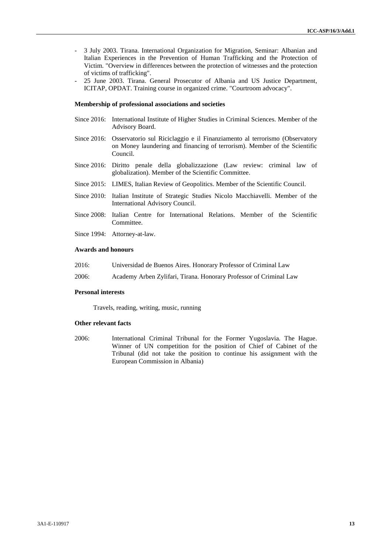- 3 July 2003. Tirana. International Organization for Migration, Seminar: Albanian and Italian Experiences in the Prevention of Human Trafficking and the Protection of Victim. "Overview in differences between the protection of witnesses and the protection of victims of trafficking".
- 25 June 2003. Tirana. General Prosecutor of Albania and US Justice Department, ICITAP, OPDAT. Training course in organized crime. "Courtroom advocacy".

#### **Membership of professional associations and societies**

- Since 2016: International Institute of Higher Studies in Criminal Sciences. Member of the Advisory Board.
- Since 2016: Osservatorio sul Riciclaggio e il Finanziamento al terrorismo (Observatory on Money laundering and financing of terrorism). Member of the Scientific Council.
- Since 2016: Diritto penale della globalizzazione (Law review: criminal law of globalization). Member of the Scientific Committee.
- Since 2015: LIMES, Italian Review of Geopolitics. Member of the Scientific Council.
- Since 2010: Italian Institute of Strategic Studies Nicolo Macchiavelli. Member of the International Advisory Council.
- Since 2008: Italian Centre for International Relations. Member of the Scientific Committee.
- Since 1994: Attorney-at-law.

#### **Awards and honours**

- 2016: Universidad de Buenos Aires. Honorary Professor of Criminal Law
- 2006: Academy Arben Zylifari, Tirana. Honorary Professor of Criminal Law

#### **Personal interests**

Travels, reading, writing, music, running

#### **Other relevant facts**

2006: International Criminal Tribunal for the Former Yugoslavia. The Hague. Winner of UN competition for the position of Chief of Cabinet of the Tribunal (did not take the position to continue his assignment with the European Commission in Albania)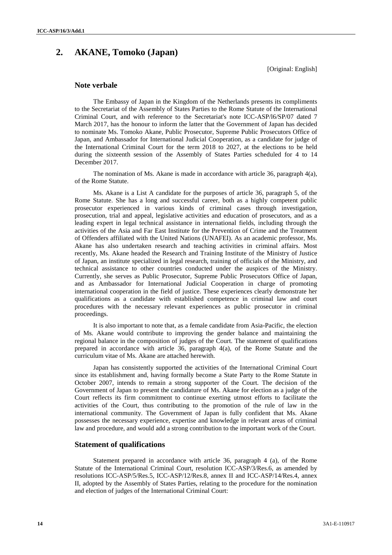# **2. AKANE, Tomoko (Japan)**

[Original: English]

#### **Note verbale**

The Embassy of Japan in the Kingdom of the Netherlands presents its compliments to the Secretariat of the Assembly of States Parties to the Rome Statute of the International Criminal Court, and with reference to the Secretariat's note ICC-ASP/l6/SP/07 dated 7 March 2017, has the honour to inform the latter that the Government of Japan has decided to nominate Ms. Tomoko Akane, Public Prosecutor, Supreme Public Prosecutors Office of Japan, and Ambassador for International Judicial Cooperation, as a candidate for judge of the International Criminal Court for the term 2018 to 2027, at the elections to be held during the sixteenth session of the Assembly of States Parties scheduled for 4 to 14 December 2017.

The nomination of Ms. Akane is made in accordance with article 36, paragraph  $4(a)$ , of the Rome Statute.

Ms. Akane is a List A candidate for the purposes of article 36, paragraph 5, of the Rome Statute. She has a long and successful career, both as a highly competent public prosecutor experienced in various kinds of criminal cases through investigation, prosecution, trial and appeal, legislative activities and education of prosecutors, and as a leading expert in legal technical assistance in international fields, including through the activities of the Asia and Far East Institute for the Prevention of Crime and the Treatment of Offenders affiliated with the United Nations (UNAFEI). As an academic professor, Ms. Akane has also undertaken research and teaching activities in criminal affairs. Most recently, Ms. Akane headed the Research and Training Institute of the Ministry of Justice of Japan, an institute specialized in legal research, training of officials of the Ministry, and technical assistance to other countries conducted under the auspices of the Ministry. Currently, she serves as Public Prosecutor, Supreme Public Prosecutors Office of Japan, and as Ambassador for International Judicial Cooperation in charge of promoting international cooperation in the field of justice. These experiences clearly demonstrate her qualifications as a candidate with established competence in criminal law and court procedures with the necessary relevant experiences as public prosecutor in criminal proceedings.

It is also important to note that, as a female candidate from Asia-Pacific, the election of Ms. Akane would contribute to improving the gender balance and maintaining the regional balance in the composition of judges of the Court. The statement of qualifications prepared in accordance with article 36, paragraph 4(a), of the Rome Statute and the curriculum vitae of Ms. Akane are attached herewith.

Japan has consistently supported the activities of the International Criminal Court since its establishment and, having formally become a State Party to the Rome Statute in October 2007, intends to remain a strong supporter of the Court. The decision of the Government of Japan to present the candidature of Ms. Akane for election as a judge of the Court reflects its firm commitment to continue exerting utmost efforts to facilitate the activities of the Court, thus contributing to the promotion of the rule of law in the international community. The Government of Japan is fully confident that Ms. Akane possesses the necessary experience, expertise and knowledge in relevant areas of criminal law and procedure, and would add a strong contribution to the important work of the Court.

#### **Statement of qualifications**

Statement prepared in accordance with article 36, paragraph 4 (a), of the Rome Statute of the International Criminal Court, resolution ICC-ASP/3/Res.6, as amended by resolutions ICC-ASP/5/Res.5, ICC-ASP/12/Res.8, annex II and ICC-ASP/14/Res.4, annex II, adopted by the Assembly of States Parties, relating to the procedure for the nomination and election of judges of the International Criminal Court: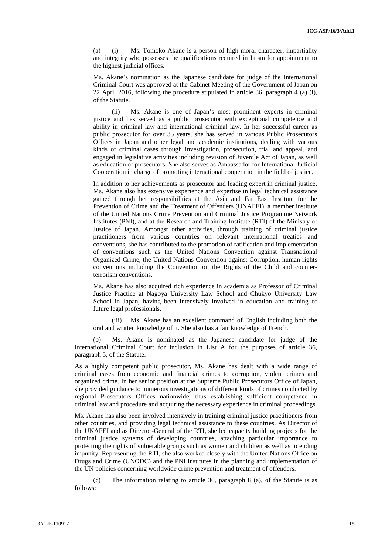(a) (i) Ms. Tomoko Akane is a person of high moral character, impartiality and integrity who possesses the qualifications required in Japan for appointment to the highest judicial offices.

Ms. Akane's nomination as the Japanese candidate for judge of the International Criminal Court was approved at the Cabinet Meeting of the Government of Japan on 22 April 2016, following the procedure stipulated in article 36, paragraph 4 (a) (i), of the Statute.

(ii) Ms. Akane is one of Japan's most prominent experts in criminal justice and has served as a public prosecutor with exceptional competence and ability in criminal law and international criminal law. In her successful career as public prosecutor for over 35 years, she has served in various Public Prosecutors Offices in Japan and other legal and academic institutions, dealing with various kinds of criminal cases through investigation, prosecution, trial and appeal, and engaged in legislative activities including revision of Juvenile Act of Japan, as well as education of prosecutors. She also serves as Ambassador for International Judicial Cooperation in charge of promoting international cooperation in the field of justice.

In addition to her achievements as prosecutor and leading expert in criminal justice, Ms. Akane also has extensive experience and expertise in legal technical assistance gained through her responsibilities at the Asia and Far East Institute for the Prevention of Crime and the Treatment of Offenders (UNAFEI), a member institute of the United Nations Crime Prevention and Criminal Justice Programme Network Institutes (PNI), and at the Research and Training Institute (RTI) of the Ministry of Justice of Japan. Amongst other activities, through training of criminal justice practitioners from various countries on relevant international treaties and conventions, she has contributed to the promotion of ratification and implementation of conventions such as the United Nations Convention against Transnational Organized Crime, the United Nations Convention against Corruption, human rights conventions including the Convention on the Rights of the Child and counterterrorism conventions.

Ms. Akane has also acquired rich experience in academia as Professor of Criminal Justice Practice at Nagoya University Law School and Chukyo University Law School in Japan, having been intensively involved in education and training of future legal professionals.

(iii) Ms. Akane has an excellent command of English including both the oral and written knowledge of it. She also has a fair knowledge of French.

(b) Ms. Akane is nominated as the Japanese candidate for judge of the International Criminal Court for inclusion in List A for the purposes of article 36, paragraph 5, of the Statute.

As a highly competent public prosecutor, Ms. Akane has dealt with a wide range of criminal cases from economic and financial crimes to corruption, violent crimes and organized crime. In her senior position at the Supreme Public Prosecutors Office of Japan, she provided guidance to numerous investigations of different kinds of crimes conducted by regional Prosecutors Offices nationwide, thus establishing sufficient competence in criminal law and procedure and acquiring the necessary experience in criminal proceedings.

Ms. Akane has also been involved intensively in training criminal justice practitioners from other countries, and providing legal technical assistance to these countries. As Director of the UNAFEI and as Director-General of the RTI, she led capacity building projects for the criminal justice systems of developing countries, attaching particular importance to protecting the rights of vulnerable groups such as women and children as well as to ending impunity. Representing the RTI, she also worked closely with the United Nations Office on Drugs and Crime (UNODC) and the PNI institutes in the planning and implementation of the UN policies concerning worldwide crime prevention and treatment of offenders.

The information relating to article 36, paragraph 8 (a), of the Statute is as follows: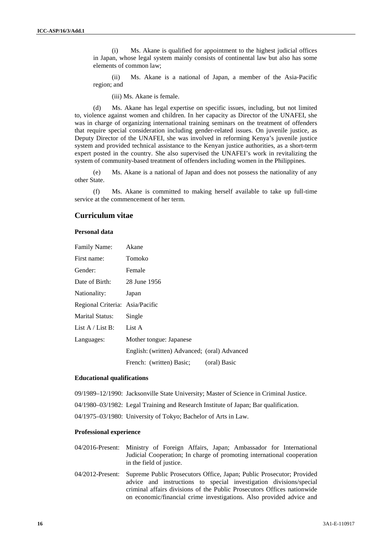(i) Ms. Akane is qualified for appointment to the highest judicial offices in Japan, whose legal system mainly consists of continental law but also has some elements of common law;

(ii) Ms. Akane is a national of Japan, a member of the Asia-Pacific region; and

(iii) Ms. Akane is female.

(d) Ms. Akane has legal expertise on specific issues, including, but not limited to, violence against women and children. In her capacity as Director of the UNAFEI, she was in charge of organizing international training seminars on the treatment of offenders that require special consideration including gender-related issues. On juvenile justice, as Deputy Director of the UNAFEI, she was involved in reforming Kenya's juvenile justice system and provided technical assistance to the Kenyan justice authorities, as a short-term expert posted in the country. She also supervised the UNAFEI's work in revitalizing the system of community-based treatment of offenders including women in the Philippines.

(e) Ms. Akane is a national of Japan and does not possess the nationality of any other State.

(f) Ms. Akane is committed to making herself available to take up full-time service at the commencement of her term.

## **Curriculum vitae**

#### **Personal data**

| Family Name:                    | Akane                                        |
|---------------------------------|----------------------------------------------|
| First name:                     | Tomoko                                       |
| Gender:                         | Female                                       |
| Date of Birth:                  | 28 June 1956                                 |
| Nationality:                    | Japan                                        |
| Regional Criteria: Asia/Pacific |                                              |
| <b>Marital Status:</b>          | Single                                       |
| List $A /$ List B:              | List A                                       |
| Languages:                      | Mother tongue: Japanese                      |
|                                 | English: (written) Advanced; (oral) Advanced |
|                                 | French: (written) Basic;<br>(oral) Basic     |

#### **Educational qualifications**

09/1989–12/1990: Jacksonville State University; Master of Science in Criminal Justice.

04/1980–03/1982: Legal Training and Research Institute of Japan; Bar qualification.

04/1975–03/1980: University of Tokyo; Bachelor of Arts in Law.

#### **Professional experience**

04/2016-Present: Ministry of Foreign Affairs, Japan; Ambassador for International Judicial Cooperation; In charge of promoting international cooperation in the field of justice.

04/2012-Present: Supreme Public Prosecutors Office, Japan; Public Prosecutor; Provided advice and instructions to special investigation divisions/special criminal affairs divisions of the Public Prosecutors Offices nationwide on economic/financial crime investigations. Also provided advice and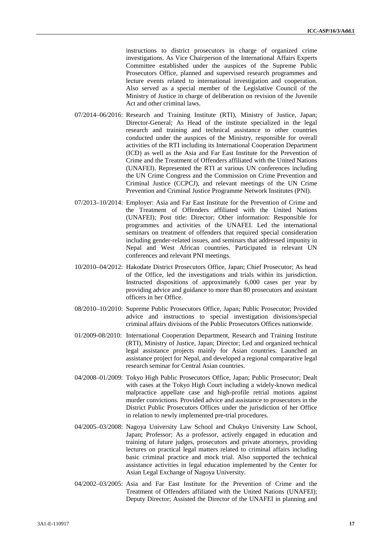instructions to district prosecutors in charge of organized crime investigations. As Vice Chairperson of the International Affairs Experts Committee established under the auspices of the Supreme Public Prosecutors Office, planned and supervised research programmes and lecture events related to international investigation and cooperation. Also served as a special member of the Legislative Council of the Ministry of Justice in charge of deliberation on revision of the Juvenile Act and other criminal laws.

- 07/2014–06/2016: Research and Training Institute (RTI), Ministry of Justice, Japan; Director-General; As Head of the institute specialized in the legal research and training and technical assistance to other countries conducted under the auspices of the Ministry, responsible for overall activities of the RTI including its International Cooperation Department (ICD) as well as the Asia and Far East Institute for the Prevention of Crime and the Treatment of Offenders affiliated with the United Nations (UNAFEI). Represented the RTI at various UN conferences including the UN Crime Congress and the Commission on Crime Prevention and Criminal Justice (CCPCJ), and relevant meetings of the UN Crime Prevention and Criminal Justice Programme Network Institutes (PNI).
- 07/2013–10/2014: Employer: Asia and Far East Institute for the Prevention of Crime and the Treatment of Offenders affiliated with the United Nations (UNAFEI); Post title: Director; Other information: Responsible for programmes and activities of the UNAFEI. Led the international seminars on treatment of offenders that required special consideration including gender-related issues, and seminars that addressed impunity in Nepal and West African countries. Participated in relevant UN conferences and relevant PNI meetings.
- 10/2010–04/2012: Hakodate District Prosecutors Office, Japan; Chief Prosecutor; As head of the Office, led the investigations and trials within its jurisdiction. Instructed dispositions of approximately 6,000 cases per year by providing advice and guidance to more than 80 prosecutors and assistant officers in her Office.
- 08/2010–10/2010: Supreme Public Prosecutors Office, Japan; Public Prosecutor; Provided advice and instructions to special investigation divisions/special criminal affairs divisions of the Public Prosecutors Offices nationwide.
- 01/2009-08/2010: International Cooperation Department, Research and Training Institute (RTI), Ministry of Justice, Japan; Director; Led and organized technical legal assistance projects mainly for Asian countries. Launched an assistance project for Nepal, and developed a regional comparative legal research seminar for Central Asian countries.
- 04/2008–01/2009: Tokyo High Public Prosecutors Office, Japan; Public Prosecutor; Dealt with cases at the Tokyo High Court including a widely-known medical malpractice appellate case and high-profile retrial motions against murder convictions. Provided advice and assistance to prosecutors in the District Public Prosecutors Offices under the jurisdiction of her Office in relation to newly implemented pre-trial procedures.
- 04/2005–03/2008: Nagoya University Law School and Chukyo University Law School, Japan; Professor; As a professor, actively engaged in education and training of future judges, prosecutors and private attorneys, providing lectures on practical legal matters related to criminal affairs including basic criminal practice and mock trial. Also supported the technical assistance activities in legal education implemented by the Center for Asian Legal Exchange of Nagoya University.
- 04/2002–03/2005: Asia and Far East Institute for the Prevention of Crime and the Treatment of Offenders affiliated with the United Nations (UNAFEI); Deputy Director; Assisted the Director of the UNAFEI in planning and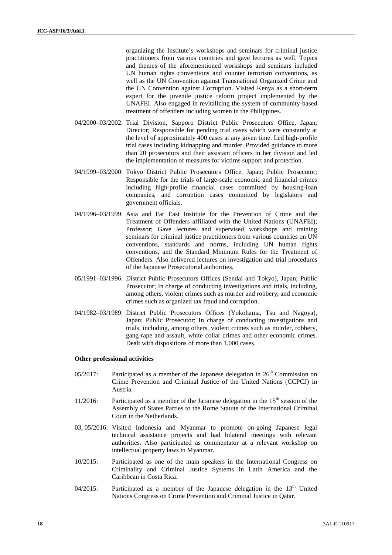organizing the Institute's workshops and seminars for criminal justice practitioners from various countries and gave lectures as well. Topics and themes of the aforementioned workshops and seminars included UN human rights conventions and counter terrorism conventions, as well as the UN Convention against Transnational Organized Crime and the UN Convention against Corruption. Visited Kenya as a short-term expert for the juvenile justice reform project implemented by the UNAFEI. Also engaged in revitalizing the system of community-based treatment of offenders including women in the Philippines.

- 04/2000–03/2002: Trial Division, Sapporo District Public Prosecutors Office, Japan; Director; Responsible for pending trial cases which were constantly at the level of approximately 400 cases at any given time. Led high-profile trial cases including kidnapping and murder. Provided guidance to more than 20 prosecutors and their assistant officers in her division and led the implementation of measures for victims support and protection.
- 04/1999–03/2000: Tokyo District Public Prosecutors Office, Japan; Public Prosecutor; Responsible for the trials of large-scale economic and financial crimes including high-profile financial cases committed by housing-loan companies, and corruption cases committed by legislators and government officials.
- 04/1996–03/1999: Asia and Far East Institute for the Prevention of Crime and the Treatment of Offenders affiliated with the United Nations (UNAFEI); Professor; Gave lectures and supervised workshops and training seminars for criminal justice practitioners from various countries on UN conventions, standards and norms, including UN human rights conventions, and the Standard Minimum Rules for the Treatment of Offenders. Also delivered lectures on investigation and trial procedures of the Japanese Prosecutorial authorities.
- 05/1991–03/1996: District Public Prosecutors Offices (Sendai and Tokyo), Japan; Public Prosecutor; In charge of conducting investigations and trials, including, among others, violent crimes such as murder and robbery, and economic crimes such as organized tax fraud and corruption.
- 04/1982–03/1989: District Public Prosecutors Offices (Yokohama, Tsu and Nagoya), Japan; Public Prosecutor; In charge of conducting investigations and trials, including, among others, violent crimes such as murder, robbery, gang-rape and assault, white collar crimes and other economic crimes. Dealt with dispositions of more than 1,000 cases.

#### **Other professional activities**

- $05/2017$ : Participated as a member of the Japanese delegation in  $26<sup>th</sup>$  Commission on Crime Prevention and Criminal Justice of the United Nations (CCPCJ) in Austria.
- 11/2016: Participated as a member of the Japanese delegation in the  $15<sup>th</sup>$  session of the Assembly of States Parties to the Rome Statute of the International Criminal Court in the Netherlands.
- 03, 05/2016: Visited Indonesia and Myanmar to promote on-going Japanese legal technical assistance projects and had bilateral meetings with relevant authorities. Also participated as commentator at a relevant workshop on intellectual property laws in Myanmar.
- 10/2015: Participated as one of the main speakers in the International Congress on Criminality and Criminal Justice Systems in Latin America and the Caribbean in Costa Rica.
- 04/2015: Participated as a member of the Japanese delegation in the  $13<sup>th</sup>$  United Nations Congress on Crime Prevention and Criminal Justice in Qatar.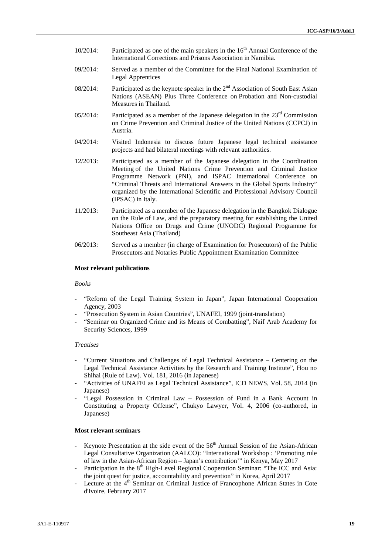- 10/2014: Participated as one of the main speakers in the  $16<sup>th</sup>$  Annual Conference of the International Corrections and Prisons Association in Namibia.
- 09/2014: Served as a member of the Committee for the Final National Examination of Legal Apprentices
- 08/2014: Participated as the keynote speaker in the  $2<sup>nd</sup>$  Association of South East Asian Nations (ASEAN) Plus Three Conference on Probation and Non-custodial Measures in Thailand.
- 05/2014: Participated as a member of the Japanese delegation in the  $23<sup>rd</sup>$  Commission on Crime Prevention and Criminal Justice of the United Nations (CCPCJ) in Austria.
- 04/2014: Visited Indonesia to discuss future Japanese legal technical assistance projects and had bilateral meetings with relevant authorities.
- 12/2013: Participated as a member of the Japanese delegation in the Coordination Meeting of the United Nations Crime Prevention and Criminal Justice Programme Network (PNI), and ISPAC International Conference on "Criminal Threats and International Answers in the Global Sports Industry" organized by the International Scientific and Professional Advisory Council (IPSAC) in Italy.
- 11/2013: Participated as a member of the Japanese delegation in the Bangkok Dialogue on the Rule of Law, and the preparatory meeting for establishing the United Nations Office on Drugs and Crime (UNODC) Regional Programme for Southeast Asia (Thailand)
- 06/2013: Served as a member (in charge of Examination for Prosecutors) of the Public Prosecutors and Notaries Public Appointment Examination Committee

#### **Most relevant publications**

#### *Books*

- *-* "Reform of the Legal Training System in Japan", Japan International Cooperation Agency, 2003
- *-* "Prosecution System in Asian Countries", UNAFEI, 1999 (joint-translation)
- *-* "Seminar on Organized Crime and its Means of Combatting", Naif Arab Academy for Security Sciences, 1999

#### *Treatises*

- *-* "Current Situations and Challenges of Legal Technical Assistance Centering on the Legal Technical Assistance Activities by the Research and Training Institute", Hou no Shihai (Rule of Law). Vol. 181, 2016 (in Japanese)
- *-* "Activities of UNAFEI as Legal Technical Assistance", ICD NEWS, Vol. 58, 2014 (in Japanese)
- *-* "Legal Possession in Criminal Law Possession of Fund in a Bank Account in Constituting a Property Offense", Chukyo Lawyer, Vol. 4, 2006 (co-authored, in Japanese)

#### **Most relevant seminars**

- Keynote Presentation at the side event of the 56<sup>th</sup> Annual Session of the Asian-African Legal Consultative Organization (AALCO): "International Workshop : 'Promoting rule of law in the Asian-African Region – Japan's contribution'" in Kenya, May 2017
- Participation in the 8<sup>th</sup> High-Level Regional Cooperation Seminar: "The ICC and Asia: the joint quest for justice, accountability and prevention" in Korea, April 2017
- Lecture at the 4<sup>th</sup> Seminar on Criminal Justice of Francophone African States in Cote d'Ivoire, February 2017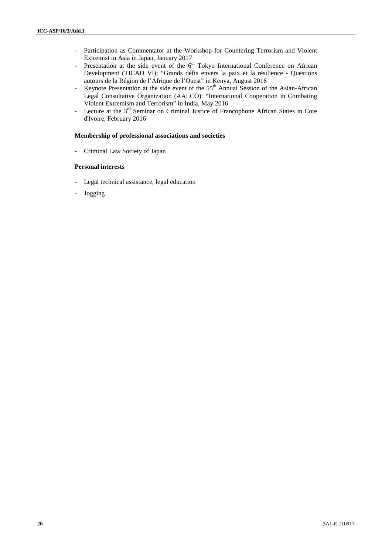- *-* Participation as Commentator at the Workshop for Countering Terrorism and Violent Extremist in Asia in Japan, January 2017
- **-** Presentation at the side event of the 6<sup>th</sup> Tokyo International Conference on African Development (TICAD VI): "Grands défis envers la paix et la résilience -Questions autours de la Région de l'Afrique de l'Ouest" in Kenya, August 2016
- <sup>1</sup>/<sub>2</sub> Keynote Presentation at the side event of the 55<sup>th</sup> Annual Session of the Asian-African Legal Consultative Organization (AALCO): "International Cooperation in Combating Violent Extremism and Terrorism" in India, May 2016
- <sup>1</sup> Lecture at the 3<sup>rd</sup> Seminar on Criminal Justice of Francophone African States in Cote d'Ivoire, February 2016

#### **Membership of professional associations and societies**

- Criminal Law Society of Japan

#### **Personal interests**

- Legal technical assistance, legal education
- Jogging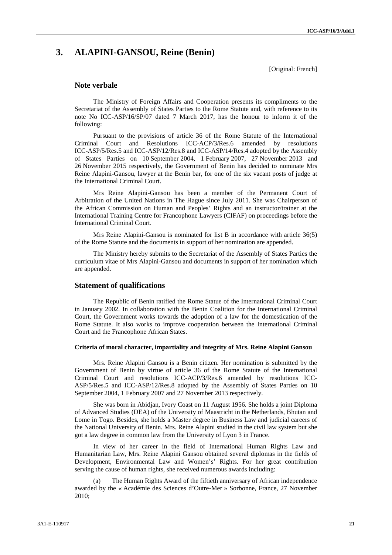# **3. ALAPINI-GANSOU, Reine (Benin)**

[Original: French]

#### **Note verbale**

The Ministry of Foreign Affairs and Cooperation presents its compliments to the Secretariat of the Assembly of States Parties to the Rome Statute and, with reference to its note No ICC-ASP/16/SP/07 dated 7 March 2017, has the honour to inform it of the following:

Pursuant to the provisions of article 36 of the Rome Statute of the International Criminal Court and Resolutions ICC-ACP/3/Res.6 amended by resolutions ICC-ASP/5/Res.5 and ICC-ASP/12/Res.8 and ICC-ASP/14/Res.4 adopted by the Assembly of States Parties on 10 September 2004, 1 February 2007, 27 November 2013 and 26 November 2015 respectively, the Government of Benin has decided to nominate Mrs Reine Alapini-Gansou, lawyer at the Benin bar, for one of the six vacant posts of judge at the International Criminal Court.

Mrs Reine Alapini-Gansou has been a member of the Permanent Court of Arbitration of the United Nations in The Hague since July 2011. She was Chairperson of the African Commission on Human and Peoples' Rights and an instructor/trainer at the International Training Centre for Francophone Lawyers (CIFAF) on proceedings before the International Criminal Court.

Mrs Reine Alapini-Gansou is nominated for list B in accordance with article 36(5) of the Rome Statute and the documents in support of her nomination are appended.

The Ministry hereby submits to the Secretariat of the Assembly of States Parties the curriculum vitae of Mrs Alapini-Gansou and documents in support of her nomination which are appended.

#### **Statement of qualifications**

The Republic of Benin ratified the Rome Statue of the International Criminal Court in January 2002. In collaboration with the Benin Coalition for the International Criminal Court, the Government works towards the adoption of a law for the domestication of the Rome Statute. It also works to improve cooperation between the International Criminal Court and the Francophone African States.

#### **Criteria of moral character, impartiality and integrity of Mrs. Reine Alapini Gansou**

Mrs. Reine Alapini Gansou is a Benin citizen. Her nomination is submitted by the Government of Benin by virtue of article 36 of the Rome Statute of the International Criminal Court and resolutions ICC-ACP/3/Res.6 amended by resolutions ICC- ASP/5/Res.5 and ICC-ASP/12/Res.8 adopted by the Assembly of States Parties on 10 September 2004, 1 February 2007 and 27 November 2013 respectively.

She was born in Abidjan, Ivory Coast on 11 August 1956. She holds a joint Diploma of Advanced Studies (DEA) of the University of Maastricht in the Netherlands, Bhutan and Lome in Togo. Besides, she holds a Master degree in Business Law and judicial careers of the National University of Benin. Mrs. Reine Alapini studied in the civil law system but she got a law degree in common law from the University of Lyon 3 in France.

In view of her career in the field of International Human Rights Law and Humanitarian Law, Mrs. Reine Alapini Gansou obtained several diplomas in the fields of Development, Environmental Law and Women's' Rights. For her great contribution serving the cause of human rights, she received numerous awards including:

The Human Rights Award of the fiftieth anniversary of African independence awarded by the « Académie des Sciences d'Outre-Mer » Sorbonne, France, 27 November 2010;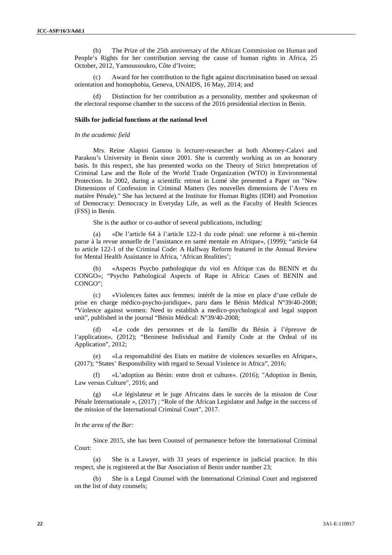(b) The Prize of the 25th anniversary of the African Commission on Human and People's Rights for her contribution serving the cause of human rights in Africa, 25 October, 2012, Yamoussoukro, Côte d'Ivoire;

(c) Award for her contribution to the fight against discrimination based on sexual orientation and homophobia, Geneva, UNAIDS, 16 May, 2014; and

(d) Distinction for her contribution as a personality, member and spokesman of the electoral response chamber to the success of the 2016 presidential election in Benin.

#### **Skills for judicial functions at the national level**

#### *In the academic field*

Mrs. Reine Alapini Gansou is lecturer-researcher at both Abomey-Calavi and Parakou's University in Benin since 2001. She is currently working as on an honorary basis. In this respect, she has presented works on the Theory of Strict Interpretation of Criminal Law and the Role of the World Trade Organization (WTO) in Environmental Protection. In 2002, during a scientific retreat in Lomé she presented a Paper on "New Dimensions of Confession in Criminal Matters (les nouvelles dimensions de l'Aveu en matière Pénale)." She has lectured at the Institute for Human Rights (IDH) and Promotion of Democracy: Democracy in Everyday Life, as well as the Faculty of Health Sciences (FSS) in Benin.

She is the author or co-author of several publications, including:

(a) «De l'article 64 à l'article 122-1 du code pénal: une reforme à mi-chemin parue à la revue annuelle de l'assistance en santé mentale en Afrique», (1999); "article 64 to article 122-1 of the Criminal Code: A Halfway Reform featured in the Annual Review for Mental Health Assistance in Africa, 'African Realities';

(b) «Aspects Psycho pathologique du viol en Afrique :cas du BENIN et du CONGO»; "Psycho Pathological Aspects of Rape in Africa: Cases of BENIN and CONGO";

(c) «Violences faites aux femmes: intérêt de la mise en place d'une cellule de prise en charge médico-psycho-juridique», paru dans le Bénin Médical N°39/40-2008; "Violence against women: Need to establish a medico-psychological and legal support unit", published in the journal "Bénin Médical: N°39/40-2008;

(d) «Le code des personnes et de la famille du Bénin à l'épreuve de l'application», (2012); "Beninese Individual and Family Code at the Ordeal of its Application", 2012;

(e) «La responsabilité des Etats en matière de violences sexuelles en Afrique», (2017); "States' Responsibility with regard to Sexual Violence in Africa", 2016;

(f) «L'adoption au Bénin: entre droit et culture». (2016); "Adoption in Benin, Law versus Culture", 2016; and

«Le législateur et le juge Africains dans le succès de la mission de Cour Pénale Internationale », (2017) ; "Role of the African Legislator and Judge in the success of the mission of the International Criminal Court", 2017.

#### *In the area of the Bar:*

Since 2015, she has been Counsel of permanence before the International Criminal Court:

(a) She is a Lawyer, with 31 years of experience in judicial practice. In this respect, she is registered at the Bar Association of Benin under number 23;

(b) She is a Legal Counsel with the International Criminal Court and registered on the list of duty counsels;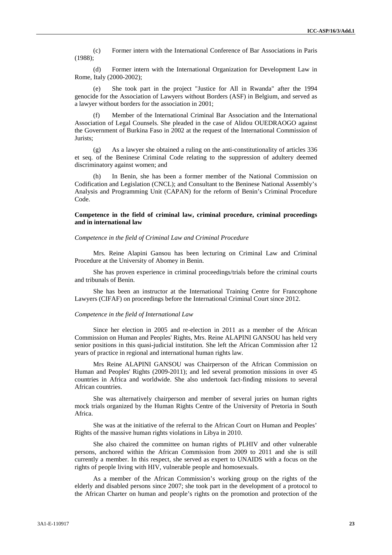(c) Former intern with the International Conference of Bar Associations in Paris (1988);

(d) Former intern with the International Organization for Development Law in Rome, Italy (2000-2002);

(e) She took part in the project "Justice for All in Rwanda" after the 1994 genocide for the Association of Lawyers without Borders (ASF) in Belgium, and served as a lawyer without borders for the association in 2001;

Member of the International Criminal Bar Association and the International Association of Legal Counsels. She pleaded in the case of Alidou OUEDRAOGO against the Government of Burkina Faso in 2002 at the request of the International Commission of Jurists;

(g) As a lawyer she obtained a ruling on the anti-constitutionality of articles 336 et seq. of the Beninese Criminal Code relating to the suppression of adultery deemed discriminatory against women; and

In Benin, she has been a former member of the National Commission on Codification and Legislation (CNCL); and Consultant to the Beninese National Assembly's Analysis and Programming Unit (CAPAN) for the reform of Benin's Criminal Procedure Code.

#### **Competence in the field of criminal law, criminal procedure, criminal proceedings and in international law**

#### *Competence in the field of Criminal Law and Criminal Procedure*

Mrs. Reine Alapini Gansou has been lecturing on Criminal Law and Criminal Procedure at the University of Abomey in Benin.

She has proven experience in criminal proceedings/trials before the criminal courts and tribunals of Benin.

She has been an instructor at the International Training Centre for Francophone Lawyers (CIFAF) on proceedings before the International Criminal Court since 2012.

#### *Competence in the field of International Law*

Since her election in 2005 and re-election in 2011 as a member of the African Commission on Human and Peoples' Rights, Mrs. Reine ALAPINI GANSOU has held very senior positions in this quasi-judicial institution. She left the African Commission after 12 years of practice in regional and international human rights law.

Mrs Reine ALAPINI GANSOU was Chairperson of the African Commission on Human and Peoples' Rights (2009-2011); and led several promotion missions in over 45 countries in Africa and worldwide. She also undertook fact-finding missions to several African countries.

She was alternatively chairperson and member of several juries on human rights mock trials organized by the Human Rights Centre of the University of Pretoria in South Africa.

She was at the initiative of the referral to the African Court on Human and Peoples' Rights of the massive human rights violations in Libya in 2010.

She also chaired the committee on human rights of PLHIV and other vulnerable persons, anchored within the African Commission from 2009 to 2011 and she is still currently a member. In this respect, she served as expert to UNAIDS with a focus on the rights of people living with HIV, vulnerable people and homosexuals.

As a member of the African Commission's working group on the rights of the elderly and disabled persons since 2007; she took part in the development of a protocol to the African Charter on human and people's rights on the promotion and protection of the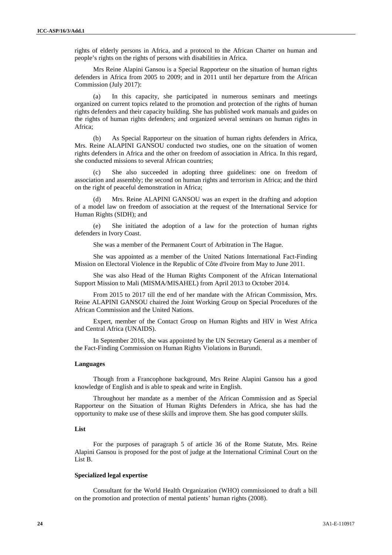rights of elderly persons in Africa, and a protocol to the African Charter on human and people's rights on the rights of persons with disabilities in Africa.

Mrs Reine Alapini Gansou is a Special Rapporteur on the situation of human rights defenders in Africa from 2005 to 2009; and in 2011 until her departure from the African Commission (July 2017):

(a) In this capacity, she participated in numerous seminars and meetings organized on current topics related to the promotion and protection of the rights of human rights defenders and their capacity building. She has published work manuals and guides on the rights of human rights defenders; and organized several seminars on human rights in Africa;

(b) As Special Rapporteur on the situation of human rights defenders in Africa, Mrs. Reine ALAPINI GANSOU conducted two studies, one on the situation of women rights defenders in Africa and the other on freedom of association in Africa. In this regard, she conducted missions to several African countries;

She also succeeded in adopting three guidelines: one on freedom of association and assembly; the second on human rights and terrorism in Africa; and the third on the right of peaceful demonstration in Africa;

Mrs. Reine ALAPINI GANSOU was an expert in the drafting and adoption of a model law on freedom of association at the request of the International Service for Human Rights (SIDH); and

(e) She initiated the adoption of a law for the protection of human rights defenders in Ivory Coast.

She was a member of the Permanent Court of Arbitration in The Hague.

She was appointed as a member of the United Nations International Fact-Finding Mission on Electoral Violence in the Republic of Côte d'Ivoire from May to June 2011.

She was also Head of the Human Rights Component of the African International Support Mission to Mali (MISMA/MISAHEL) from April 2013 to October 2014.

From 2015 to 2017 till the end of her mandate with the African Commission, Mrs. Reine ALAPINI GANSOU chaired the Joint Working Group on Special Procedures of the African Commission and the United Nations.

Expert, member of the Contact Group on Human Rights and HIV in West Africa and Central Africa (UNAIDS).

In September 2016, she was appointed by the UN Secretary General as a member of the Fact-Finding Commission on Human Rights Violations in Burundi.

#### **Languages**

Though from a Francophone background, Mrs Reine Alapini Gansou has a good knowledge of English and is able to speak and write in English.

Throughout her mandate as a member of the African Commission and as Special Rapporteur on the Situation of Human Rights Defenders in Africa, she has had the opportunity to make use of these skills and improve them. She has good computer skills.

#### **List**

For the purposes of paragraph 5 of article 36 of the Rome Statute, Mrs. Reine Alapini Gansou is proposed for the post of judge at the International Criminal Court on the List B.

#### **Specialized legal expertise**

Consultant for the World Health Organization (WHO) commissioned to draft a bill on the promotion and protection of mental patients' human rights (2008).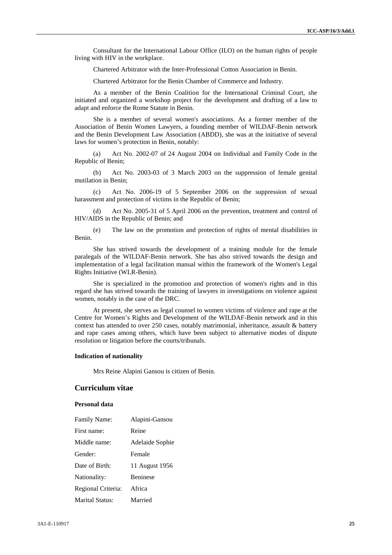Consultant for the International Labour Office (ILO) on the human rights of people living with HIV in the workplace.

Chartered Arbitrator with the Inter-Professional Cotton Association in Benin.

Chartered Arbitrator for the Benin Chamber of Commerce and Industry.

As a member of the Benin Coalition for the International Criminal Court, she initiated and organized a workshop project for the development and drafting of a law to adapt and enforce the Rome Statute in Benin.

She is a member of several women's associations. As a former member of the Association of Benin Women Lawyers, a founding member of WILDAF-Benin network and the Benin Development Law Association (ABDD), she was at the initiative of several laws for women's protection in Benin, notably:

Act No. 2002-07 of 24 August 2004 on Individual and Family Code in the Republic of Benin;

(b) Act No. 2003-03 of 3 March 2003 on the suppression of female genital mutilation in Benin;

(c) Act No. 2006-19 of 5 September 2006 on the suppression of sexual harassment and protection of victims in the Republic of Benin;

(d) Act No. 2005-31 of 5 April 2006 on the prevention, treatment and control of HIV/AIDS in the Republic of Benin; and

(e) The law on the promotion and protection of rights of mental disabilities in Benin.

She has strived towards the development of a training module for the female paralegals of the WILDAF-Benin network. She has also strived towards the design and implementation of a legal facilitation manual within the framework of the Women's Legal Rights Initiative (WLR-Benin).

She is specialized in the promotion and protection of women's rights and in this regard she has strived towards the training of lawyers in investigations on violence against women, notably in the case of the DRC.

At present, she serves as legal counsel to women victims of violence and rape at the Centre for Women's Rights and Development of the WILDAF-Benin network and in this context has attended to over 250 cases, notably matrimonial, inheritance, assault & battery and rape cases among others, which have been subject to alternative modes of dispute resolution or litigation before the courts/tribunals.

#### **Indication of nationality**

Mrs Reine Alapini Gansou is citizen of Benin.

### **Curriculum vitae**

#### **Personal data**

| <b>Family Name:</b>    | Alapini-Gansou  |  |
|------------------------|-----------------|--|
| First name:            | Reine           |  |
| Middle name:           | Adelaide Sophie |  |
| Gender:                | Female          |  |
| Date of Birth:         | 11 August 1956  |  |
| Nationality:           | <b>Beninese</b> |  |
| Regional Criteria:     | Africa          |  |
| <b>Marital Status:</b> | Married         |  |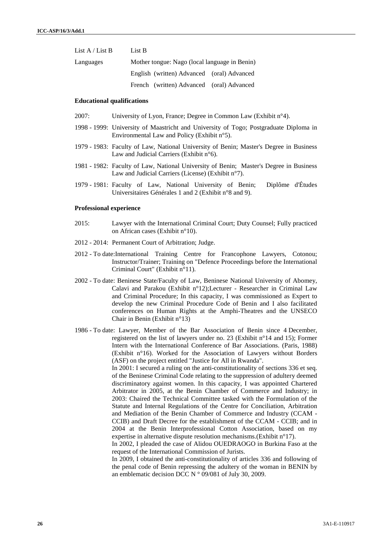| List $A /$ List B | List B                                        |  |  |
|-------------------|-----------------------------------------------|--|--|
| Languages         | Mother tongue: Nago (local language in Benin) |  |  |
|                   | English (written) Advanced (oral) Advanced    |  |  |
|                   | French (written) Advanced (oral) Advanced     |  |  |
|                   |                                               |  |  |

#### **Educational qualifications**

- 2007: University of Lyon, France; Degree in Common Law (Exhibit n°4).
- 1998 1999: University of Maastricht and University of Togo; Postgraduate Diploma in Environmental Law and Policy (Exhibit n°5).
- 1979 1983: Faculty of Law, National University of Benin; Master's Degree in Business Law and Judicial Carriers (Exhibit n°6).
- 1981 1982: Faculty of Law, National University of Benin; Master's Degree in Business Law and Judicial Carriers (License) (Exhibit n°7).
- 1979 1981: Faculty of Law, National University of Benin; Diplôme d'Études Universitaires Générales 1 and 2 (Exhibit n°8 and 9).

#### **Professional experience**

- 2015: Lawyer with the International Criminal Court; Duty Counsel; Fully practiced on African cases (Exhibit n°10).
- 2012 2014: Permanent Court of Arbitration; Judge.
- 2012 To date:International Training Centre for Francophone Lawyers, Cotonou; Instructor/Trainer; Training on "Defence Proceedings before the International Criminal Court" (Exhibit n°11).
- 2002 To date: Beninese State/Faculty of Law, Beninese National University of Abomey, Calavi and Parakou (Exhibit n°12);Lecturer - Researcher in Criminal Law and Criminal Procedure; In this capacity, I was commissioned as Expert to develop the new Criminal Procedure Code of Benin and I also facilitated conferences on Human Rights at the Amphi-Theatres and the UNSECO Chair in Benin (Exhibit n°13)
- 1986 To date: Lawyer, Member of the Bar Association of Benin since 4 December, registered on the list of lawyers under no. 23 (Exhibit n°14 and 15); Former Intern with the International Conference of Bar Associations. (Paris, 1988) (Exhibit n°16). Worked for the Association of Lawyers without Borders (ASF) on the project entitled "Justice for All in Rwanda".

In 2001: I secured a ruling on the anti-constitutionality of sections 336 et seq. of the Beninese Criminal Code relating to the suppression of adultery deemed discriminatory against women. In this capacity, I was appointed Chartered Arbitrator in 2005, at the Benin Chamber of Commerce and Industry; in 2003: Chaired the Technical Committee tasked with the Formulation of the Statute and Internal Regulations of the Centre for Conciliation, Arbitration and Mediation of the Benin Chamber of Commerce and Industry (CCAM - CCIB) and Draft Decree for the establishment of the CCAM - CCIB; and in 2004 at the Benin Interprofessional Cotton Association, based on my expertise in alternative dispute resolution mechanisms.(Exhibit n°17).

In 2002, I pleaded the case of Alidou OUEDRAOGO in Burkina Faso at the request of the International Commission of Jurists.

In 2009, I obtained the anti-constitutionality of articles 336 and following of the penal code of Benin repressing the adultery of the woman in BENIN by an emblematic decision DCC N ° 09/081 of July 30, 2009.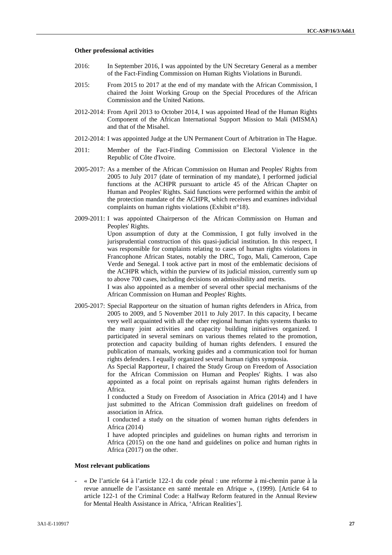#### **Other professional activities**

- 2016: In September 2016, I was appointed by the UN Secretary General as a member of the Fact-Finding Commission on Human Rights Violations in Burundi.
- 2015: From 2015 to 2017 at the end of my mandate with the African Commission, I chaired the Joint Working Group on the Special Procedures of the African Commission and the United Nations.
- 2012-2014: From April 2013 to October 2014, I was appointed Head of the Human Rights Component of the African International Support Mission to Mali (MISMA) and that of the Misahel.
- 2012-2014: I was appointed Judge at the UN Permanent Court of Arbitration in The Hague.
- 2011: Member of the Fact-Finding Commission on Electoral Violence in the Republic of Côte d'Ivoire.
- 2005-2017: As a member of the African Commission on Human and Peoples' Rights from 2005 to July 2017 (date of termination of my mandate), I performed judicial functions at the ACHPR pursuant to article 45 of the African Chapter on Human and Peoples' Rights. Said functions were performed within the ambit of the protection mandate of the ACHPR, which receives and examines individual complaints on human rights violations (Exhibit n°18).
- 2009-2011: I was appointed Chairperson of the African Commission on Human and Peoples' Rights.

Upon assumption of duty at the Commission, I got fully involved in the jurisprudential construction of this quasi-judicial institution. In this respect, I was responsible for complaints relating to cases of human rights violations in Francophone African States, notably the DRC, Togo, Mali, Cameroon, Cape Verde and Senegal. I took active part in most of the emblematic decisions of the ACHPR which, within the purview of its judicial mission, currently sum up to above 700 cases, including decisions on admissibility and merits.

I was also appointed as a member of several other special mechanisms of the African Commission on Human and Peoples' Rights.

2005-2017: Special Rapporteur on the situation of human rights defenders in Africa, from 2005 to 2009, and 5 November 2011 to July 2017. In this capacity, I became very well acquainted with all the other regional human rights systems thanks to the many joint activities and capacity building initiatives organized. I participated in several seminars on various themes related to the promotion, protection and capacity building of human rights defenders. I ensured the publication of manuals, working guides and a communication tool for human rights defenders. I equally organized several human rights symposia.

As Special Rapporteur, I chaired the Study Group on Freedom of Association for the African Commission on Human and Peoples' Rights. I was also appointed as a focal point on reprisals against human rights defenders in Africa.

I conducted a Study on Freedom of Association in Africa (2014) and I have just submitted to the African Commission draft guidelines on freedom of association in Africa.

I conducted a study on the situation of women human rights defenders in Africa (2014)

I have adopted principles and guidelines on human rights and terrorism in Africa (2015) on the one hand and guidelines on police and human rights in Africa (2017) on the other.

#### **Most relevant publications**

- « De l'article 64 à l'article 122-1 du code pénal : une reforme à mi-chemin parue à la revue annuelle de l'assistance en santé mentale en Afrique », (1999). [Article 64 to article 122-1 of the Criminal Code: a Halfway Reform featured in the Annual Review for Mental Health Assistance in Africa, 'African Realities'].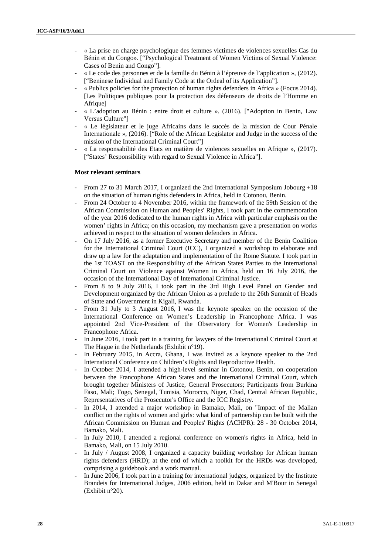- « La prise en charge psychologique des femmes victimes de violences sexuelles Cas du Bénin et du Congo». ["Psychological Treatment of Women Victims of Sexual Violence: Cases of Benin and Congo"].
- « Le code des personnes et de la famille du Bénin à l'épreuve de l'application », (2012). ["Beninese Individual and Family Code at the Ordeal of its Application"].
- « Publics policies for the protection of human rights defenders in Africa » (Focus 2014). [Les Politiques publiques pour la protection des défenseurs de droits de l'Homme en Afrique]
- « L'adoption au Bénin : entre droit et culture ». (2016). ["Adoption in Benin, Law Versus Culture"]
- « Le législateur et le juge Africains dans le succès de la mission de Cour Pénale Internationale », (2016). ["Role of the African Legislator and Judge in the success of the mission of the International Criminal Court"]
- « La responsabilité des Etats en matière de violences sexuelles en Afrique », (2017). ["States' Responsibility with regard to Sexual Violence in Africa"].

#### **Most relevant seminars**

- From 27 to 31 March 2017, I organized the 2nd International Symposium Jobourg +18 on the situation of human rights defenders in Africa, held in Cotonou, Benin.
- From 24 October to 4 November 2016, within the framework of the 59th Session of the African Commission on Human and Peoples' Rights, I took part in the commemoration of the year 2016 dedicated to the human rights in Africa with particular emphasis on the women' rights in Africa; on this occasion, my mechanism gave a presentation on works achieved in respect to the situation of women defenders in Africa.
- On 17 July 2016, as a former Executive Secretary and member of the Benin Coalition for the International Criminal Court (ICC), I organized a workshop to elaborate and draw up a law for the adaptation and implementation of the Rome Statute. I took part in the 1st TOAST on the Responsibility of the African States Parties to the International Criminal Court on Violence against Women in Africa, held on 16 July 2016, the occasion of the International Day of International Criminal Justice.
- From 8 to 9 July 2016, I took part in the 3rd High Level Panel on Gender and Development organized by the African Union as a prelude to the 26th Summit of Heads of State and Government in Kigali, Rwanda.
- From 31 July to 3 August 2016, I was the keynote speaker on the occasion of the International Conference on Women's Leadership in Francophone Africa. I was appointed 2nd Vice-President of the Observatory for Women's Leadership in Francophone Africa.
- In June 2016, I took part in a training for lawyers of the International Criminal Court at The Hague in the Netherlands (Exhibit n°19).
- In February 2015, in Accra, Ghana, I was invited as a keynote speaker to the 2nd International Conference on Children's Rights and Reproductive Health.
- In October 2014, I attended a high-level seminar in Cotonou, Benin, on cooperation between the Francophone African States and the International Criminal Court, which brought together Ministers of Justice, General Prosecutors; Participants from Burkina Faso, Mali; Togo, Senegal, Tunisia, Morocco, Niger, Chad, Central African Republic, Representatives of the Prosecutor's Office and the ICC Registry.
- In 2014, I attended a major workshop in Bamako, Mali, on "Impact of the Malian conflict on the rights of women and girls: what kind of partnership can be built with the African Commission on Human and Peoples' Rights (ACHPR): 28 - 30 October 2014, Bamako, Mali.
- In July 2010, I attended a regional conference on women's rights in Africa, held in Bamako, Mali, on 15 July 2010.
- In July / August 2008, I organized a capacity building workshop for African human rights defenders (HRD); at the end of which a toolkit for the HRDs was developed, comprising a guidebook and a work manual.
- In June 2006, I took part in a training for international judges, organized by the Institute Brandeis for International Judges, 2006 edition, held in Dakar and M'Bour in Senegal (Exhibit n°20).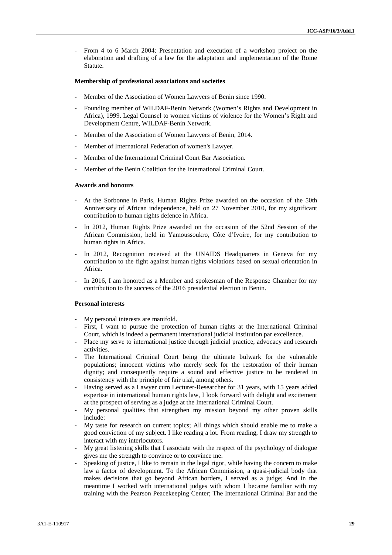From 4 to 6 March 2004: Presentation and execution of a workshop project on the elaboration and drafting of a law for the adaptation and implementation of the Rome Statute.

#### **Membership of professional associations and societies**

- Member of the Association of Women Lawyers of Benin since 1990.
- Founding member of WILDAF-Benin Network (Women's Rights and Development in Africa), 1999. Legal Counsel to women victims of violence for the Women's Right and Development Centre, WILDAF-Benin Network.
- Member of the Association of Women Lawyers of Benin, 2014.
- Member of International Federation of women's Lawyer.
- Member of the International Criminal Court Bar Association.
- Member of the Benin Coalition for the International Criminal Court.

#### **Awards and honours**

- At the Sorbonne in Paris, Human Rights Prize awarded on the occasion of the 50th Anniversary of African independence, held on 27 November 2010, for my significant contribution to human rights defence in Africa.
- In 2012, Human Rights Prize awarded on the occasion of the 52nd Session of the African Commission, held in Yamoussoukro, Côte d'Ivoire, for my contribution to human rights in Africa.
- In 2012, Recognition received at the UNAIDS Headquarters in Geneva for my contribution to the fight against human rights violations based on sexual orientation in Africa.
- In 2016, I am honored as a Member and spokesman of the Response Chamber for my contribution to the success of the 2016 presidential election in Benin.

#### **Personal interests**

- My personal interests are manifold.
- First, I want to pursue the protection of human rights at the International Criminal Court, which is indeed a permanent international judicial institution par excellence.
- Place my serve to international justice through judicial practice, advocacy and research activities.
- The International Criminal Court being the ultimate bulwark for the vulnerable populations; innocent victims who merely seek for the restoration of their human dignity; and consequently require a sound and effective justice to be rendered in consistency with the principle of fair trial, among others.
- Having served as a Lawyer cum Lecturer-Researcher for 31 years, with 15 years added expertise in international human rights law, I look forward with delight and excitement at the prospect of serving as a judge at the International Criminal Court.
- My personal qualities that strengthen my mission beyond my other proven skills include:
- My taste for research on current topics; All things which should enable me to make a good conviction of my subject. I like reading a lot. From reading, I draw my strength to interact with my interlocutors.
- My great listening skills that I associate with the respect of the psychology of dialogue gives me the strength to convince or to convince me.
- Speaking of justice, I like to remain in the legal rigor, while having the concern to make law a factor of development. To the African Commission, a quasi-judicial body that makes decisions that go beyond African borders, I served as a judge; And in the meantime I worked with international judges with whom I became familiar with my training with the Pearson Peacekeeping Center; The International Criminal Bar and the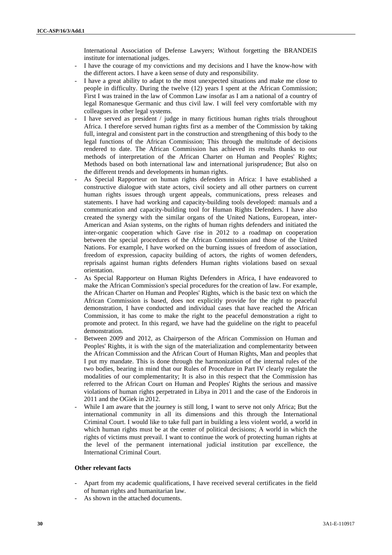International Association of Defense Lawyers; Without forgetting the BRANDEIS institute for international judges.

- I have the courage of my convictions and my decisions and I have the know-how with the different actors. I have a keen sense of duty and responsibility.
- I have a great ability to adapt to the most unexpected situations and make me close to people in difficulty. During the twelve (12) years I spent at the African Commission; First I was trained in the law of Common Law insofar as I am a national of a country of legal Romanesque Germanic and thus civil law. I will feel very comfortable with my colleagues in other legal systems.
- I have served as president / judge in many fictitious human rights trials throughout Africa. I therefore served human rights first as a member of the Commission by taking full, integral and consistent part in the construction and strengthening of this body to the legal functions of the African Commission; This through the multitude of decisions rendered to date. The African Commission has achieved its results thanks to our methods of interpretation of the African Charter on Human and Peoples' Rights; Methods based on both international law and international jurisprudence; But also on the different trends and developments in human rights.
- As Special Rapporteur on human rights defenders in Africa: I have established a constructive dialogue with state actors, civil society and all other partners on current human rights issues through urgent appeals, communications, press releases and statements. I have had working and capacity-building tools developed: manuals and a communication and capacity-building tool for Human Rights Defenders. I have also created the synergy with the similar organs of the United Nations, European, inter- American and Asian systems, on the rights of human rights defenders and initiated the inter-organic cooperation which Gave rise in 2012 to a roadmap on cooperation between the special procedures of the African Commission and those of the United Nations. For example, I have worked on the burning issues of freedom of association, freedom of expression, capacity building of actors, the rights of women defenders, reprisals against human rights defenders Human rights violations based on sexual orientation.
- As Special Rapporteur on Human Rights Defenders in Africa, I have endeavored to make the African Commission's special procedures for the creation of law. For example, the African Charter on Human and Peoples' Rights, which is the basic text on which the African Commission is based, does not explicitly provide for the right to peaceful demonstration, I have conducted and individual cases that have reached the African Commission, it has come to make the right to the peaceful demonstration a right to promote and protect. In this regard, we have had the guideline on the right to peaceful demonstration.
- Between 2009 and 2012, as Chairperson of the African Commission on Human and Peoples' Rights, it is with the sign of the materialization and complementarity between the African Commission and the African Court of Human Rights, Man and peoples that I put my mandate. This is done through the harmonization of the internal rules of the two bodies, bearing in mind that our Rules of Procedure in Part IV clearly regulate the modalities of our complementarity; It is also in this respect that the Commission has referred to the African Court on Human and Peoples' Rights the serious and massive violations of human rights perpetrated in Libya in 2011 and the case of the Endorois in 2011 and the OGiek in 2012.
- While I am aware that the journey is still long, I want to serve not only Africa; But the international community in all its dimensions and this through the International Criminal Court. I would like to take full part in building a less violent world, a world in which human rights must be at the center of political decisions; A world in which the rights of victims must prevail. I want to continue the work of protecting human rights at the level of the permanent international judicial institution par excellence, the International Criminal Court.

#### **Other relevant facts**

- Apart from my academic qualifications, I have received several certificates in the field of human rights and humanitarian law.
- As shown in the attached documents.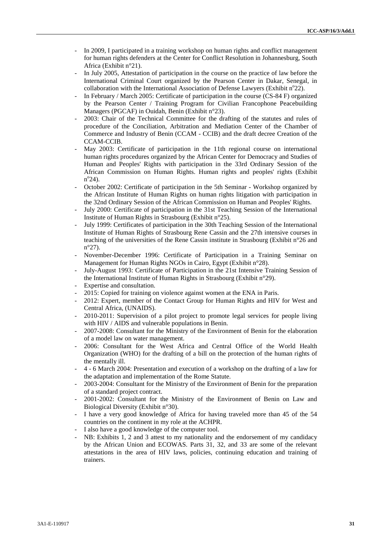- In 2009, I participated in a training workshop on human rights and conflict management for human rights defenders at the Center for Conflict Resolution in Johannesburg, South Africa (Exhibit n°21).
- In July 2005, Attestation of participation in the course on the practice of law before the International Criminal Court organized by the Pearson Center in Dakar, Senegal, in collaboration with the International Association of Defense Lawyers (Exhibit  $n^{\circ}22$ ).
- In February / March 2005: Certificate of participation in the course (CS-84 F) organized by the Pearson Center / Training Program for Civilian Francophone Peacebuilding Managers (PGCAF) in Ouidah, Benin (Exhibit n°23).
- 2003: Chair of the Technical Committee for the drafting of the statutes and rules of procedure of the Conciliation, Arbitration and Mediation Center of the Chamber of Commerce and Industry of Benin (CCAM - CCIB) and the draft decree Creation of the CCAM-CCIB.
- May 2003: Certificate of participation in the 11th regional course on international human rights procedures organized by the African Center for Democracy and Studies of Human and Peoples' Rights with participation in the 33rd Ordinary Session of the African Commission on Human Rights. Human rights and peoples' rights (Exhibit n <sup>o</sup>24).
- October 2002: Certificate of participation in the 5th Seminar Workshop organized by the African Institute of Human Rights on human rights litigation with participation in the 32nd Ordinary Session of the African Commission on Human and Peoples' Rights.
- July 2000: Certificate of participation in the 31st Teaching Session of the International Institute of Human Rights in Strasbourg (Exhibit n°25).
- July 1999: Certificates of participation in the 30th Teaching Session of the International Institute of Human Rights of Strasbourg Rene Cassin and the 27th intensive courses in teaching of the universities of the Rene Cassin institute in Strasbourg (Exhibit n°26 and n°27).
- November-December 1996: Certificate of Participation in a Training Seminar on Management for Human Rights NGOs in Cairo, Egypt (Exhibit n°28).
- July-August 1993: Certificate of Participation in the 21st Intensive Training Session of the International Institute of Human Rights in Strasbourg (Exhibit n°29).
- Expertise and consultation.
- 2015: Copied for training on violence against women at the ENA in Paris.
- 2012: Expert, member of the Contact Group for Human Rights and HIV for West and Central Africa, (UNAIDS).
- 2010-2011: Supervision of a pilot project to promote legal services for people living with HIV / AIDS and vulnerable populations in Benin.
- 2007-2008: Consultant for the Ministry of the Environment of Benin for the elaboration of a model law on water management.
- 2006: Consultant for the West Africa and Central Office of the World Health Organization (WHO) for the drafting of a bill on the protection of the human rights of the mentally ill.
- 4 6 March 2004: Presentation and execution of a workshop on the drafting of a law for the adaptation and implementation of the Rome Statute.
- 2003-2004: Consultant for the Ministry of the Environment of Benin for the preparation of a standard project contract.
- 2001-2002: Consultant for the Ministry of the Environment of Benin on Law and Biological Diversity (Exhibit n°30).
- I have a very good knowledge of Africa for having traveled more than 45 of the 54 countries on the continent in my role at the ACHPR.
- I also have a good knowledge of the computer tool.
- NB: Exhibits 1, 2 and 3 attest to my nationality and the endorsement of my candidacy by the African Union and ECOWAS. Parts 31, 32, and 33 are some of the relevant attestations in the area of HIV laws, policies, continuing education and training of trainers.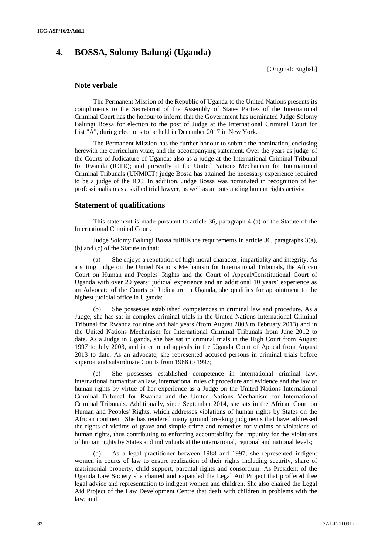# **4. BOSSA, Solomy Balungi (Uganda)**

[Original: English]

#### **Note verbale**

The Permanent Mission of the Republic of Uganda to the United Nations presents its compliments to the Secretariat of the Assembly of States Parties of the International Criminal Court has the honour to inform that the Government has nominated Judge Solomy Balungi Bossa for election to the post of Judge at the International Criminal Court for List "A", during elections to be held in December 2017 in New York.

The Permanent Mission has the further honour to submit the nomination, enclosing herewith the curriculum vitae, and the accompanying statement. Over the years as judge 'of the Courts of Judicature of Uganda; also as a judge at the International Criminal Tribunal for Rwanda (ICTR); and presently at the United Nations Mechanism for International Criminal Tribunals (UNMICT) judge Bossa has attained the necessary experience required to be a judge of the ICC. In addition, Judge Bossa was nominated in recognition of her professionalism as a skilled trial lawyer, as well as an outstanding human rights activist.

#### **Statement of qualifications**

This statement is made pursuant to article 36, paragraph 4 (a) of the Statute of the International Criminal Court.

Judge Solomy Balungi Bossa fulfills the requirements in article 36, paragraphs 3(a), (b) and (c) of the Statute in that:

(a) She enjoys a reputation of high moral character, impartiality and integrity. As a sitting Judge on the United Nations Mechanism for International Tribunals, the African Court on Human and Peoples' Rights and the Court of Appeal/Constitutional Court of Uganda with over 20 years' judicial experience and an additional 10 years' experience as an Advocate of the Courts of Judicature in Uganda, she qualifies for appointment to the highest judicial office in Uganda;

She possesses established competences in criminal law and procedure. As a Judge, she has sat in complex criminal trials in the United Nations International Criminal Tribunal for Rwanda for nine and half years (from August 2003 to February 2013) and in the United Nations Mechanism for International Criminal Tribunals from June 2012 to date. As a Judge in Uganda, she has sat in criminal trials in the High Court from August 1997 to July 2003, and in criminal appeals in the Uganda Court of Appeal from August 2013 to date. As an advocate, she represented accused persons in criminal trials before superior and subordinate Courts from 1988 to 1997;

(c) She possesses established competence in international criminal law, international humanitarian law, international rules of procedure and evidence and the law of human rights by virtue of her experience as a Judge on the United Nations International Criminal Tribunal for Rwanda and the United Nations Mechanism for International Criminal Tribunals. Additionally, since September 2014, she sits in the African Court on Human and Peoples' Rights, which addresses violations of human rights by States on the African continent. She has rendered many ground breaking judgments that have addressed the rights of victims of grave and simple crime and remedies for victims of violations of human rights, thus contributing to enforcing accountability for impunity for the violations of human rights by States and individuals at the international, regional and national levels;

(d) As a legal practitioner between 1988 and 1997, she represented indigent women in courts of law to ensure realization of their rights including security, share of matrimonial property, child support, parental rights and consortium. As President of the Uganda Law Society she chaired and expanded the Legal Aid Project that proffered free legal advice and representation to indigent women and children. She also chaired the Legal Aid Project of the Law Development Centre that dealt with children in problems with the law; and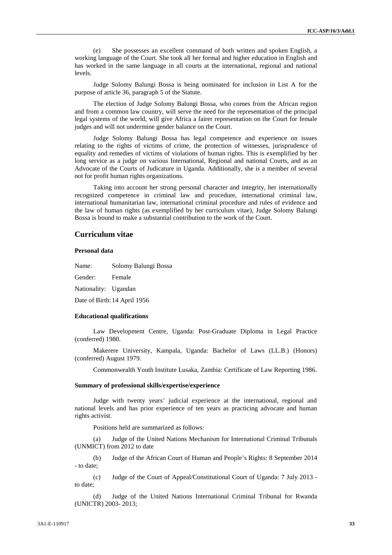(e) She possesses an excellent command of both written and spoken English, a working language of the Court. She took all her formal and higher education in English and has worked in the same language in all courts at the international, regional and national levels.

Judge Solomy Balungi Bossa is being nominated for inclusion in List A for the purpose of article 36, paragraph 5 of the Statute.

The election of Judge Solomy Balungi Bossa, who comes from the African region and from a common law country, will serve the need for the representation of the principal legal systems of the world, will give Africa a fairer representation on the Court for female judges and will not undermine gender balance on the Court.

Judge Solomy Balungi Bossa has legal competence and experience on issues relating to the rights of victims of crime, the protection of witnesses, jurisprudence of equality and remedies of victims of violations of human rights. This is exemplified by her long service as a judge on various International, Regional and national Courts, and as an Advocate of the Courts of Judicature in Uganda. Additionally, she is a member of several not for profit human rights organizations.

Taking into account her strong personal character and integrity, her internationally recognized competence in criminal law and procedure, international criminal law, international humanitarian law, international criminal procedure and rules of evidence and the law of human rights (as exemplified by her curriculum vitae), Judge Solomy Balungi Bossa is bound to make a substantial contribution to the work of the Court.

#### **Curriculum vitae**

#### **Personal data**

Name: Solomy Balungi Bossa

Gender: Female

Nationality: Ugandan

Date of Birth:14 April 1956

#### **Educational qualifications**

Law Development Centre, Uganda: Post-Graduate Diploma in Legal Practice (conferred) 1980.

Makerere University, Kampala, Uganda: Bachelor of Laws (LL.B.) (Honors) (conferred) August 1979.

Commonwealth Youth Institute Lusaka, Zambia: Certificate of Law Reporting 1986.

#### **Summary of professional skills/expertise/experience**

Judge with twenty years' judicial experience at the international, regional and national levels and has prior experience of ten years as practicing advocate and human rights activist.

Positions held are summarized as follows:

(a) Judge of the United Nations Mechanism for International Criminal Tribunals (UNMICT) from 2012 to date

(b) Judge of the African Court of Human and People's Rights: 8 September 2014 - to date;

(c) Judge of the Court of Appeal/Constitutional Court of Uganda: 7 July 2013 to date;

(d) Judge of the United Nations International Criminal Tribunal for Rwanda (UNICTR) 2003- 2013;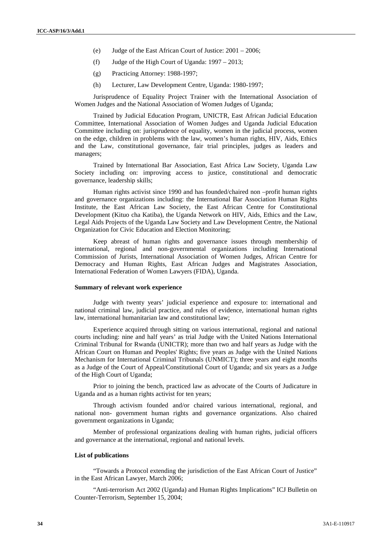- (e) Judge of the East African Court of Justice: 2001 2006;
- (f) Judge of the High Court of Uganda: 1997 2013;
- (g) Practicing Attorney: 1988-1997;
- (h) Lecturer, Law Development Centre, Uganda: 1980-1997;

Jurisprudence of Equality Project Trainer with the International Association of Women Judges and the National Association of Women Judges of Uganda;

Trained by Judicial Education Program, UNICTR, East African Judicial Education Committee, International Association of Women Judges and Uganda Judicial Education Committee including on: jurisprudence of equality, women in the judicial process, women on the edge, children in problems with the law, women's human rights, HIV, Aids, Ethics and the Law, constitutional governance, fair trial principles, judges as leaders and managers;

Trained by International Bar Association, East Africa Law Society, Uganda Law Society including on: improving access to justice, constitutional and democratic governance, leadership skills;

Human rights activist since 1990 and has founded/chaired non –profit human rights and governance organizations including: the International Bar Association Human Rights Institute, the East African Law Society, the East African Centre for Constitutional Development (Kituo cha Katiba), the Uganda Network on HIV, Aids, Ethics and the Law, Legal Aids Projects of the Uganda Law Society and Law Development Centre, the National Organization for Civic Education and Election Monitoring;

Keep abreast of human rights and governance issues through membership of international, regional and non-governmental organizations including International Commission of Jurists, International Association of Women Judges, African Centre for Democracy and Human Rights, East African Judges and Magistrates Association, International Federation of Women Lawyers (FIDA), Uganda.

#### **Summary of relevant work experience**

Judge with twenty years' judicial experience and exposure to: international and national criminal law, judicial practice, and rules of evidence, international human rights law, international humanitarian law and constitutional law;

Experience acquired through sitting on various international, regional and national courts including: nine and half years' as trial Judge with the United Nations International Criminal Tribunal for Rwanda (UNICTR); more than two and half years as Judge with the African Court on Human and Peoples' Rights; five years as Judge with the United Nations Mechanism for International Criminal Tribunals (UNMICT); three years and eight months as a Judge of the Court of Appeal/Constitutional Court of Uganda; and six years as a Judge of the High Court of Uganda;

Prior to joining the bench, practiced law as advocate of the Courts of Judicature in Uganda and as a human rights activist for ten years;

Through activism founded and/or chaired various international, regional, and national non- government human rights and governance organizations. Also chaired government organizations in Uganda;

Member of professional organizations dealing with human rights, judicial officers and governance at the international, regional and national levels.

#### **List of publications**

"Towards a Protocol extending the jurisdiction of the East African Court of Justice" in the East African Lawyer, March 2006;

"Anti-terrorism Act 2002 (Uganda) and Human Rights Implications" ICJ Bulletin on Counter-Terrorism, September 15, 2004;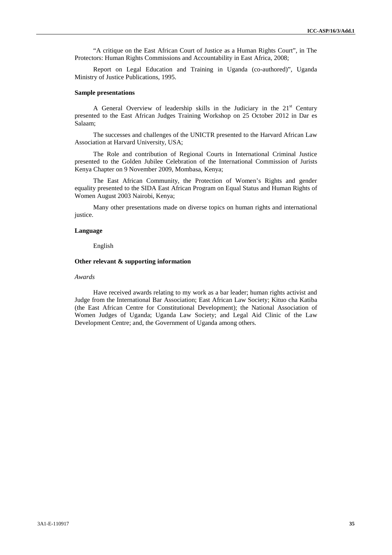"A critique on the East African Court of Justice as a Human Rights Court", in The Protectors: Human Rights Commissions and Accountability in East Africa, 2008;

Report on Legal Education and Training in Uganda (co-authored)", Uganda Ministry of Justice Publications, 1995.

#### **Sample presentations**

A General Overview of leadership skills in the Judiciary in the  $21<sup>st</sup>$  Century presented to the East African Judges Training Workshop on 25 October 2012 in Dar es Salaam;

The successes and challenges of the UNICTR presented to the Harvard African Law Association at Harvard University, USA;

The Role and contribution of Regional Courts in International Criminal Justice presented to the Golden Jubilee Celebration of the International Commission of Jurists Kenya Chapter on 9 November 2009, Mombasa, Kenya;

The East African Community, the Protection of Women's Rights and gender equality presented to the SIDA East African Program on Equal Status and Human Rights of Women August 2003 Nairobi, Kenya;

Many other presentations made on diverse topics on human rights and international justice.

#### **Language**

English

#### **Other relevant & supporting information**

#### *Awards*

Have received awards relating to my work as a bar leader; human rights activist and Judge from the International Bar Association; East African Law Society; Kituo cha Katiba (the East African Centre for Constitutional Development); the National Association of Women Judges of Uganda; Uganda Law Society; and Legal Aid Clinic of the Law Development Centre; and, the Government of Uganda among others.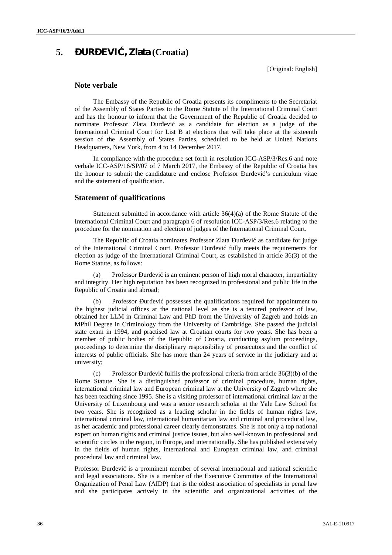# **5. UR EVI**, **Zlata** (Croatia)

[Original: English]

#### **Note verbale**

The Embassy of the Republic of Croatia presents its compliments to the Secretariat of the Assembly of States Parties to the Rome Statute of the International Criminal Court and has the honour to inform that the Government of the Republic of Croatia decided to nominate Professor Zlata ur evi as a candidate for election as a judge of the International Criminal Court for List B at elections that will take place at the sixteenth session of the Assembly of States Parties, scheduled to be held at United Nations Headquarters, New York, from 4 to 14 December 2017.

In compliance with the procedure set forth in resolution ICC-ASP/3/Res.6 and note verbale ICC-ASP/16/SP/07 of 7 March 2017, the Embassy of the Republic of Croatia has the honour to submit the candidature and enclose Professor ur evi 's curriculum vitae and the statement of qualification.

#### **Statement of qualifications**

Statement submitted in accordance with article 36(4)(a) of the Rome Statute of the International Criminal Court and paragraph 6 of resolution ICC-ASP/3/Res.6 relating to the procedure for the nomination and election of judges of the International Criminal Court.

The Republic of Croatia nominates Professor Zlata ur evi as candidate for judge of the International Criminal Court. Professor ur evi fully meets the requirements for election as judge of the International Criminal Court, as established in article 36(3) of the Rome Statute, as follows:

(a) Professor ur evi is an eminent person of high moral character, impartiality and integrity. Her high reputation has been recognized in professional and public life in the Republic of Croatia and abroad;

(b) Professor ur evi possesses the qualifications required for appointment to the highest judicial offices at the national level as she is a tenured professor of law, obtained her LLM in Criminal Law and PhD from the University of Zagreb and holds an MPhil Degree in Criminology from the University of Cambridge. She passed the judicial state exam in 1994, and practised law at Croatian courts for two years. She has been a member of public bodies of the Republic of Croatia, conducting asylum proceedings, proceedings to determine the disciplinary responsibility of prosecutors and the conflict of interests of public officials. She has more than 24 years of service in the judiciary and at university;

(c) Professor ur evi fulfils the professional criteria from article  $36(3)(b)$  of the Rome Statute. She is a distinguished professor of criminal procedure, human rights, international criminal law and European criminal law at the University of Zagreb where she has been teaching since 1995. She is a visiting professor of international criminal law at the University of Luxembourg and was a senior research scholar at the Yale Law School for two years. She is recognized as a leading scholar in the fields of human rights law, international criminal law, international humanitarian law and criminal and procedural law, as her academic and professional career clearly demonstrates. She is not only a top national expert on human rights and criminal justice issues, but also well-known in professional and scientific circles in the region, in Europe, and internationally. She has published extensively in the fields of human rights, international and European criminal law, and criminal procedural law and criminal law.

Professor ur evi is a prominent member of several international and national scientific and legal associations. She is a member of the Executive Committee of the International Organization of Penal Law (AIDP) that is the oldest association of specialists in penal law and she participates actively in the scientific and organizational activities of the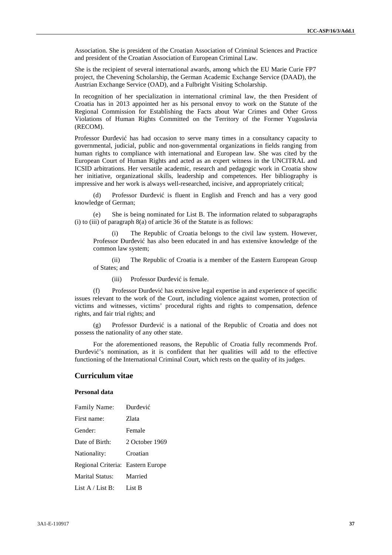Association. She is president of the Croatian Association of Criminal Sciences and Practice and president of the Croatian Association of European Criminal Law.

She is the recipient of several international awards, among which the EU Marie Curie FP7 project, the Chevening Scholarship, the German Academic Exchange Service (DAAD), the Austrian Exchange Service (OAD), and a Fulbright Visiting Scholarship.

In recognition of her specialization in international criminal law, the then President of Croatia has in 2013 appointed her as his personal envoy to work on the Statute of the Regional Commission for Establishing the Facts about War Crimes and Other Gross Violations of Human Rights Committed on the Territory of the Former Yugoslavia (RECOM).

Professor ur evi has had occasion to serve many times in a consultancy capacity to governmental, judicial, public and non-governmental organizations in fields ranging from human rights to compliance with international and European law. She was cited by the European Court of Human Rights and acted as an expert witness in the UNCITRAL and ICSID arbitrations. Her versatile academic, research and pedagogic work in Croatia show her initiative, organizational skills, leadership and competences. Her bibliography is impressive and her work is always well-researched, incisive, and appropriately critical;

(d) Professor ur evi is fluent in English and French and has a very good knowledge of German;

She is being nominated for List B. The information related to subparagraphs (i) to (iii) of paragraph 8(a) of article 36 of the Statute is as follows:

(i) The Republic of Croatia belongs to the civil law system. However, Professor ur evi has also been educated in and has extensive knowledge of the common law system;

(ii) The Republic of Croatia is a member of the Eastern European Group of States; and

(iii) Professor ur evi is female.

(f) Professor ur evi has extensive legal expertise in and experience of specific issues relevant to the work of the Court, including violence against women, protection of victims and witnesses, victims' procedural rights and rights to compensation, defence rights, and fair trial rights; and

 $(g)$  Professor ur evi is a national of the Republic of Croatia and does not possess the nationality of any other state.

For the aforementioned reasons, the Republic of Croatia fully recommends Prof. ur evi 's nomination, as it is confident that her qualities will add to the effective functioning of the International Criminal Court, which rests on the quality of its judges.

# **Curriculum vitae**

## **Personal data**

| Family Name:                      | ur evi         |
|-----------------------------------|----------------|
| First name:                       | Zlata          |
| Gender:                           | Female         |
| Date of Birth:                    | 2 October 1969 |
| Nationality:                      | Croatian       |
| Regional Criteria: Eastern Europe |                |
| Marital Status: Married           |                |
| List $A /$ List B: List B         |                |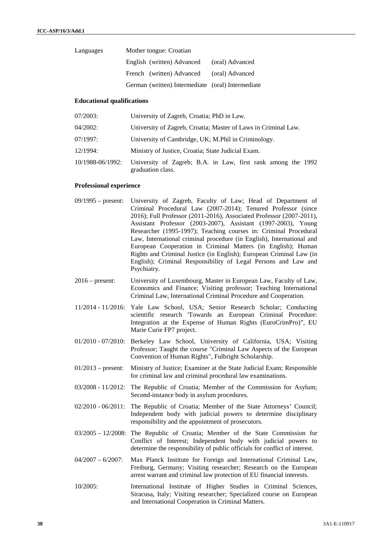| Languages | Mother tongue: Croatian                           |                 |
|-----------|---------------------------------------------------|-----------------|
|           | English (written) Advanced                        | (oral) Advanced |
|           | French (written) Advanced (oral) Advanced         |                 |
|           | German (written) Intermediate (oral) Intermediate |                 |

# **Educational qualifications**

| 07/2003:         | University of Zagreb, Croatia; PhD in Law.                                        |
|------------------|-----------------------------------------------------------------------------------|
| 04/2002:         | University of Zagreb, Croatia; Master of Laws in Criminal Law.                    |
| $07/1997$ :      | University of Cambridge, UK; M.Phil in Criminology.                               |
| 12/1994:         | Ministry of Justice, Croatia; State Judicial Exam.                                |
| 10/1988-06/1992: | University of Zagreb; B.A. in Law, first rank among the 1992<br>graduation class. |

# **Professional experience**

| $09/1995$ – present: | University of Zagreb, Faculty of Law; Head of Department of<br>Criminal Procedural Law (2007-2014); Tenured Professor (since<br>2016); Full Professor (2011-2016), Associated Professor (2007-2011),<br>Assistant Professor (2003-2007), Assistant (1997-2003), Young<br>Researcher (1995-1997); Teaching courses in: Criminal Procedural<br>Law, International criminal procedure (in English), International and<br>European Cooperation in Criminal Matters (in English); Human<br>Rights and Criminal Justice (in English); European Criminal Law (in<br>English); Criminal Responsibility of Legal Persons and Law and<br>Psychiatry. |
|----------------------|--------------------------------------------------------------------------------------------------------------------------------------------------------------------------------------------------------------------------------------------------------------------------------------------------------------------------------------------------------------------------------------------------------------------------------------------------------------------------------------------------------------------------------------------------------------------------------------------------------------------------------------------|
| $2016$ – present:    | University of Luxembourg, Master in European Law, Faculty of Law,<br>Economics and Finance; Visiting professor; Teaching International<br>Criminal Law, International Criminal Procedure and Cooperation.                                                                                                                                                                                                                                                                                                                                                                                                                                  |
|                      | 11/2014 - 11/2016: Yale Law School, USA; Senior Research Scholar; Conducting<br>scientific research 'Towards an European Criminal Procedure:<br>Integration at the Expense of Human Rights (EuroCrimPro)", EU<br>Marie Curie FP7 project.                                                                                                                                                                                                                                                                                                                                                                                                  |
|                      | 01/2010 - 07/2010: Berkeley Law School, University of California, USA; Visiting<br>Professor; Taught the course "Criminal Law Aspects of the European<br>Convention of Human Rights", Fulbright Scholarship.                                                                                                                                                                                                                                                                                                                                                                                                                               |
| $01/2013$ – present: | Ministry of Justice; Examiner at the State Judicial Exam; Responsible<br>for criminal law and criminal procedural law examinations.                                                                                                                                                                                                                                                                                                                                                                                                                                                                                                        |
|                      | 03/2008 - 11/2012: The Republic of Croatia; Member of the Commission for Asylum;<br>Second-instance body in asylum procedures.                                                                                                                                                                                                                                                                                                                                                                                                                                                                                                             |
|                      | 02/2010 - 06/2011: The Republic of Croatia; Member of the State Attorneys' Council;<br>Independent body with judicial powers to determine disciplinary<br>responsibility and the appointment of prosecutors.                                                                                                                                                                                                                                                                                                                                                                                                                               |
|                      | $03/2005 - 12/2008$ : The Republic of Croatia; Member of the State Commission for<br>Conflict of Interest; Independent body with judicial powers to<br>determine the responsibility of public officials for conflict of interest.                                                                                                                                                                                                                                                                                                                                                                                                          |
| $04/2007 - 6/2007$   | Max Planck Institute for Foreign and International Criminal Law,<br>Freiburg, Germany; Visiting researcher; Research on the European<br>arrest warrant and criminal law protection of EU financial interests.                                                                                                                                                                                                                                                                                                                                                                                                                              |
| 10/2005:             | International Institute of Higher Studies in Criminal Sciences,                                                                                                                                                                                                                                                                                                                                                                                                                                                                                                                                                                            |

Siracusa, Italy; Visiting researcher; Specialized course on European and International Cooperation in Criminal Matters.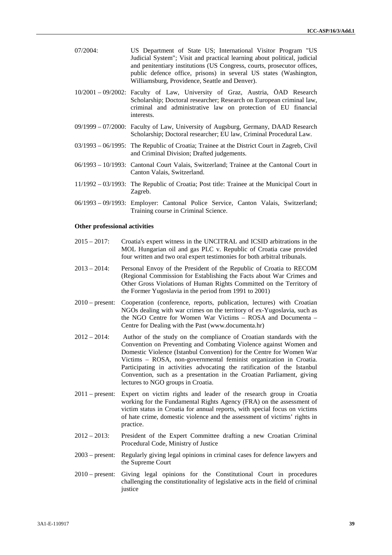| $07/2004$ : | US Department of State US; International Visitor Program "US<br>Judicial System"; Visit and practical learning about political, judicial<br>and penitentiary institutions (US Congress, courts, prosecutor offices,<br>public defence office, prisons) in several US states (Washington,<br>Williamsburg, Providence, Seattle and Denver). |
|-------------|--------------------------------------------------------------------------------------------------------------------------------------------------------------------------------------------------------------------------------------------------------------------------------------------------------------------------------------------|
|             | 10/2001 - 09/2002: Faculty of Law, University of Graz, Austria, ÖAD Research<br>Scholarship; Doctoral researcher; Research on European criminal law,<br>criminal and administrative law on protection of EU financial<br>interests.                                                                                                        |
|             | 09/1999 – 07/2000: Faculty of Law, University of Augsburg, Germany, DAAD Research<br>Scholarship; Doctoral researcher; EU law, Criminal Procedural Law.                                                                                                                                                                                    |
|             | 03/1993 - 06/1995: The Republic of Croatia; Trainee at the District Court in Zagreb, Civil<br>and Criminal Division; Drafted judgements.                                                                                                                                                                                                   |
|             | 06/1993 – 10/1993: Cantonal Court Valais, Switzerland; Trainee at the Cantonal Court in<br>Canton Valais, Switzerland.                                                                                                                                                                                                                     |
|             | $11/1992 - 03/1993$ : The Republic of Croatia; Post title: Trainee at the Municipal Court in<br>Zagreb.                                                                                                                                                                                                                                    |
|             | 06/1993 – 09/1993: Employer: Cantonal Police Service, Canton Valais, Switzerland;<br>Training course in Criminal Science.                                                                                                                                                                                                                  |

#### **Other professional activities**

- 2015 2017: Croatia's expert witness in the UNCITRAL and ICSID arbitrations in the MOL Hungarian oil and gas PLC v. Republic of Croatia case provided four written and two oral expert testimonies for both arbitral tribunals.
- 2013 2014: Personal Envoy of the President of the Republic of Croatia to RECOM (Regional Commission for Establishing the Facts about War Crimes and Other Gross Violations of Human Rights Committed on the Territory of the Former Yugoslavia in the period from 1991 to 2001)
- 2010 present: Cooperation (conference, reports, publication, lectures) with Croatian NGOs dealing with war crimes on the territory of ex-Yugoslavia, such as the NGO Centre for Women War Victims – ROSA and Documenta – Centre for Dealing with the Past (www.documenta.hr)
- 2012 2014: Author of the study on the compliance of Croatian standards with the Convention on Preventing and Combating Violence against Women and Domestic Violence (Istanbul Convention) for the Centre for Women War Victims – ROSA, non-governmental feminist organization in Croatia. Participating in activities advocating the ratification of the Istanbul Convention, such as a presentation in the Croatian Parliament, giving lectures to NGO groups in Croatia.
- 2011 present: Expert on victim rights and leader of the research group in Croatia working for the Fundamental Rights Agency (FRA) on the assessment of victim status in Croatia for annual reports, with special focus on victims of hate crime, domestic violence and the assessment of victims' rights in practice.
- 2012 2013: President of the Expert Committee drafting a new Croatian Criminal Procedural Code, Ministry of Justice
- 2003 present: Regularly giving legal opinions in criminal cases for defence lawyers and the Supreme Court
- 2010 present: Giving legal opinions for the Constitutional Court in procedures challenging the constitutionality of legislative acts in the field of criminal justice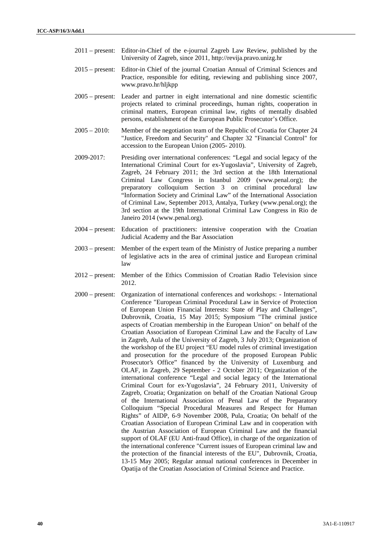- 2011 present: Editor-in-Chief of the e-journal Zagreb Law Review, published by the University of Zagreb, since 2011, http://revija.pravo.unizg.hr
- 2015 present: Editor-in Chief of the journal Croatian Annual of Criminal Sciences and Practice, responsible for editing, reviewing and publishing since 2007, www.pravo.hr/hljkpp
- 2005 present: Leader and partner in eight international and nine domestic scientific projects related to criminal proceedings, human rights, cooperation in criminal matters, European criminal law, rights of mentally disabled persons, establishment of the European Public Prosecutor's Office.
- 2005 2010: Member of the negotiation team of the Republic of Croatia for Chapter 24 "Justice, Freedom and Security" and Chapter 32 "Financial Control" for accession to the European Union (2005- 2010).
- 2009-2017: Presiding over international conferences: "Legal and social legacy of the International Criminal Court for ex-Yugoslavia", University of Zagreb, Zagreb, 24 February 2011; the 3rd section at the 18th International Criminal Law Congress in Istanbul 2009 (www.penal.org); the preparatory colloquium Section 3 on criminal procedural law "Information Society and Criminal Law" of the International Association of Criminal Law, September 2013, Antalya, Turkey (www.penal.org); the 3rd section at the 19th International Criminal Law Congress in Rio de Janeiro 2014 (www.penal.org).
- 2004 present: Education of practitioners: intensive cooperation with the Croatian Judicial Academy and the Bar Association
- 2003 present: Member of the expert team of the Ministry of Justice preparing a number of legislative acts in the area of criminal justice and European criminal law
- 2012 present: Member of the Ethics Commission of Croatian Radio Television since 2012.
- 2000 present: Organization of international conferences and workshops: International Conference "European Criminal Procedural Law in Service of Protection of European Union Financial Interests: State of Play and Challenges", Dubrovnik, Croatia, 15 May 2015; Symposium "The criminal justice aspects of Croatian membership in the European Union" on behalf of the Croatian Association of European Criminal Law and the Faculty of Law in Zagreb, Aula of the University of Zagreb, 3 July 2013; Organization of the workshop of the EU project "EU model rules of criminal investigation and prosecution for the procedure of the proposed European Public Prosecutor's Office" financed by the University of Luxemburg and OLAF, in Zagreb, 29 September - 2 October 2011; Organization of the international conference "Legal and social legacy of the International Criminal Court for ex-Yugoslavia", 24 February 2011, University of Zagreb, Croatia; Organization on behalf of the Croatian National Group of the International Association of Penal Law of the Preparatory Colloquium "Special Procedural Measures and Respect for Human Rights" of AIDP, 6-9 November 2008, Pula, Croatia; On behalf of the Croatian Association of European Criminal Law and in cooperation with the Austrian Association of European Criminal Law and the financial support of OLAF (EU Anti-fraud Office), in charge of the organization of the international conference "Current issues of European criminal law and the protection of the financial interests of the EU", Dubrovnik, Croatia, 13-15 May 2005; Regular annual national conferences in December in Opatija of the Croatian Association of Criminal Science and Practice.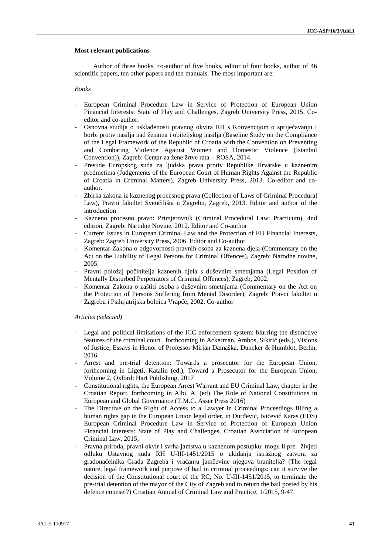#### **Most relevant publications**

Author of three books, co-author of five books, editor of four books, author of 46 scientific papers, ten other papers and ten manuals. The most important are:

#### *Books*

- European Criminal Procedure Law in Service of Protection of European Union Financial Interests: State of Play and Challenges, Zagreb University Press, 2015. Co editor and co-author.
- Osnovna studija o uskla enosti pravnog okvira RH s Konvencijom o sprije avanju i borbi protiv nasilja nad ženama i obiteljskog nasilja (Baseline Study on the Compliance of the Legal Framework of the Republic of Croatia with the Convention on Preventing and Combating Violence Against Women and Domestic Violence (Istanbul Convention)), Zagreb: Centar za žene žrtve rata – ROSA, 2014.
- Presude Europskog suda za ljudska prava protiv Republike Hrvatske u kaznenim predmetima (Judgements of the European Court of Human Rights Against the Republic of Croatia in Criminal Matters), Zagreb University Press, 2013. Co-editor and co author.
- Zbirka zakona iz kaznenog procesnog prava (Collection of Laws of Criminal Procedural Law), Pravni fakultet Sveu ilišta u Zagrebu, Zagreb, 2013. Editor and author of the introduction
- Kazneno procesno pravo: Primjerovnik (Criminal Procedural Law: Practicum), 4nd edition, Zagreb: Narodne Novine, 2012. Editor and Co-author
- Current Issues in European Criminal Law and the Protection of EU Financial Interests, Zagreb: Zagreb University Press, 2006. Editor and Co-author
- Komentar Zakona o odgovornosti pravnih osoba za kaznena djela (Commentary on the Act on the Liability of Legal Persons for Criminal Offences), Zagreb: Narodne novine, 2005.
- Pravni položaj po initelja kaznenih djela s duševnim smetnjama (Legal Position of Mentally Disturbed Perpetrators of Criminal Offences), Zagreb, 2002.
- Komentar Zakona o zaštiti osoba s duševnim smetnjama (Commentary on the Act on the Protection of Persons Suffering from Mental Disorder), Zagreb: Pravni fakultet u Zagrebu i Psihijatrijska bolnica Vrape, 2002. Co-author

#### *Articles (selected)*

- Legal and political limitations of the ICC enforcement system: blurring the distinctive features of the criminal court, forthcoming in Ackerman, Ambos, Sikiri (eds.), Visions of Justice, Essays in Honor of Professor Mirjan Damaška, Duncker & Humblot, Berlin, 2016
- Arrest and pre-trial detention: Towards a prosecutor for the European Union, forthcoming in Ligeti, Katalin (ed.), Toward a Prosecutor for the European Union, Volume 2, Oxford: Hart Publishing, 2017
- Constitutional rights, the European Arrest Warrant and EU Criminal Law, chapter in the Croatian Report, forthcoming in Albi, A. (ed) The Role of National Constitutions in European and Global Governance (T.M.C. Asser Press 2016)
- The Directive on the Right of Access to a Lawyer in Criminal Proceedings filling a human rights gap in the European Union legal order, in Turtevitt, Ivit evit Karas (EDS) European Criminal Procedure Law in Service of Protection of European Union Financial Interests: State of Play and Challenges, Croatian Association of European Criminal Law, 2015;
- Pravna priroda, pravni okvir i svrha jamstva u kaznenom postupku: mogu li pre živjeti odluku Ustavnog suda RH U-III-1451/2015 o ukidanju istražnog zatvora za gradona elnika Grada Zagreba i vra anju jam evine njegova branitelja? (The legal nature, legal framework and purpose of bail in criminal proceedings: can it survive the decision of the Constitutional court of the RC, No. U-III-1451/2015, to terminate the pre-trial detention of the mayor of the City of Zagreb and to return the bail posted by his defence counsel?) Croatian Annual of Criminal Law and Practice, 1/2015, 9-47.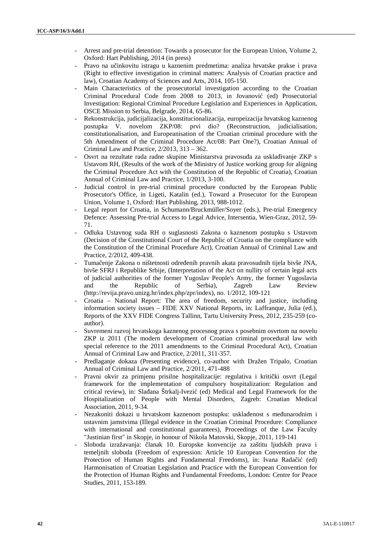- Arrest and pre-trial detention: Towards a prosecutor for the European Union, Volume 2, Oxford: Hart Publishing, 2014 (in press)
- Pravo na u inkovitu istragu u kaznenim predmetima: analiza hrvatske prakse i prava (Right to effective investigation in criminal matters: Analysis of Croatian practice and law), Croatian Academy of Sciences and Arts, 2014, 105-150.
- Main Characteristics of the prosecutorial investigation according to the Croatian Criminal Procedural Code from 2008 to 2013, in Jovanovi (ed) Prosecutorial Investigation: Regional Criminal Procedure Legislation and Experiences in Application, OSCE Mission to Serbia, Belgrade, 2014, 65-86.
- Rekonstrukcija, judicijalizacija, konstitucionalizacija, europeizacija hrvatskog kaznenog postupka V. novelom ZKP/08: prvi dio? (Reconstruction, judicialisation, constitutionalisation, and Europeanisation of the Croatian criminal procedure with the 5th Amendment of the Criminal Procedure Act/08: Part One?), Croatian Annual of Criminal Law and Practice, 2/2013, 313 – 362.
- Osvrt na rezultate rada radne skupine Ministarstva pravosu a za uskla ivanje ZKP s Ustavom RH, (Results of the work of the Ministry of Justice working group for aligning the Criminal Procedure Act with the Constitution of the Republic of Croatia), Croatian Annual of Criminal Law and Practice, 1/2013, 3-100.
- Judicial control in pre-trial criminal procedure conducted by the European Public Prosecutor's Office, in Ligeti, Katalin (ed.), Toward a Prosecutor for the European Union, Volume 1, Oxford: Hart Publishing, 2013, 988-1012.
- Legal report for Croatia, in Schumann/Bruckmüller/Soyer (eds.), Pre-trial Emergency Defence: Assessing Pre-trial Access to Legal Advice, Intersentia, Wien-Graz, 2012, 59- 71.
- Odluka Ustavnog suda RH o suglasnosti Zakona o kaznenom postupku s Ustavom (Decision of the Constitutional Court of the Republic of Croatia on the compliance with the Constitution of the Criminal Procedure Act), Croatian Annual of Criminal Law and Practice, 2/2012, 409-438.
- Tuma enje Zakona o ništetnosti odre enih pravnih akata pravosudnih tijela bivše JNA, bivše SFRJ i Republike Srbije, (Interpretation of the Act on nullity of certain legal acts of judicial authorities of the former Yugoslav People's Army, the former Yugoslavia and the Republic of Serbia), Zagreb Law Review (http://revija.pravo.unizg.hr/index.php/zpr/index), no. 1/2012, 109-121
- Croatia National Report: The area of freedom, security and justice, including information society issues – FIDE XXV National Reports, in: Laffranque, Julia (ed.), Reports of the XXV FIDE Congress Tallinn, Tartu University Press, 2012, 235-259 (co author).
- Suvremeni razvoj hrvatskoga kaznenog procesnog prava s posebnim osvrtom na novelu ZKP iz 2011 (The modern development of Croatian criminal procedural law with special reference to the 2011 amendments to the Criminal Procedural Act), Croatian Annual of Criminal Law and Practice, 2/2011, 311-357.
- Predlaganje dokaza (Presenting evidence), co-author with Dražen Tripalo, Croatian Annual of Criminal Law and Practice, 2/2011, 471-488
- Pravni okvir za primjenu prisilne hospitalizacije: regulativa i kriti ki osvrt (Legal framework for the implementation of compulsory hospitalization: Regulation and critical review), in: Sla ana Štrkalj-Ivezi (ed) Medical and Legal Framework for the Hospitalization of People with Mental Disorders, Zagreb: Croatian Medical Association, 2011, 9-34.
- Nezakoniti dokazi u hrvatskom kaznenom postupku: uskla enost s me unarodnim i ustavnim jamstvima (Illegal evidence in the Croatian Criminal Procedure: Compliance with international and constitutional guarantees), Proceedings of the Law Faculty "Justinian first" in Skopje, in honour of Nikola Matovski, Skopje, 2011, 119-141
- Sloboda izražavanja: lanak 10. Europske konvencije za zaštitu ljudskih prava i temeljnih sloboda (Freedom of expression: Article 10 European Convention for the Protection of Human Rights and Fundamental Freedoms), in: Ivana Rada i (ed) Harmonisation of Croatian Legislation and Practice with the European Convention for the Protection of Human Rights and Fundamental Freedoms, London: Centre for Peace Studies, 2011, 153-189.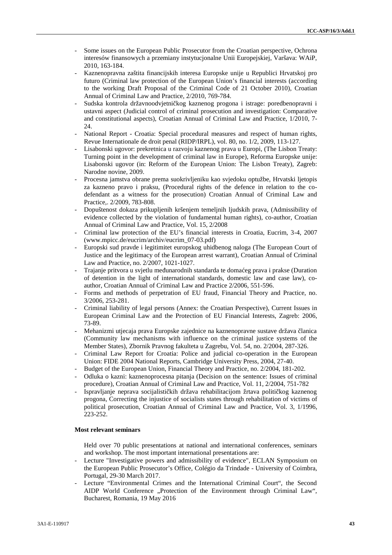- Some issues on the European Public Prosecutor from the Croatian perspective, Ochrona interesów finansowych a przemiany instytucjonalne Unii Europejskiej, Varšava: WAiP, 2010, 163-184.
- Kaznenopravna zaštita financijskih interesa Europske unije u Republici Hrvatskoj pro futuro (Criminal law protection of the European Union's financial interests (according to the working Draft Proposal of the Criminal Code of 21 October 2010), Croatian Annual of Criminal Law and Practice, 2/2010, 769-784.
- Sudska kontrola državnoodvjetni kog kaznenog progona i istrage: poredbenopravni i ustavni aspect (Judicial control of criminal prosecution and investigation: Comparative and constitutional aspects), Croatian Annual of Criminal Law and Practice, 1/2010, 7- 24.
- National Report Croatia: Special procedural measures and respect of human rights, Revue Internationale de droit penal (RIDP/IRPL), vol. 80, no. 1/2, 2009, 113-127.
- Lisabonski ugovor: prekretnica u razvoju kaznenog prava u Europi, (The Lisbon Treaty: Turning point in the development of criminal law in Europe), Reforma Europske unije: Lisabonski ugovor (in: Reform of the European Union: The Lisbon Treaty), Zagreb: Narodne novine, 2009.
- Procesna jamstva obrane prema suokrivljeniku kao svjedoku optužbe, Hrvatski ljetopis za kazneno pravo i praksu, (Procedural rights of the defence in relation to the co defendant as a witness for the prosecution) Croatian Annual of Criminal Law and Practice,. 2/2009, 783-808.
- Dopuštenost dokaza prikupljenih kršenjem temeljnih ljudskih prava, (Admissibility of evidence collected by the violation of fundamental human rights), co-author, Croatian Annual of Criminal Law and Practice, Vol. 15, 2/2008
- Criminal law protection of the EU's financial interests in Croatia, Eucrim, 3-4, 2007 (www.mpicc.de/eucrim/archiv/eucrim\_07-03.pdf)
- Europski sud pravde i legitimitet europskog uhidbenog naloga (The European Court of Justice and the legitimacy of the European arrest warrant), Croatian Annual of Criminal Law and Practice, no. 2/2007, 1021-1027.
- Trajanje pritvora u svjetlu me unarodnih standarda te doma eg prava i prakse (Duration of detention in the light of international standards, domestic law and case law), co author, Croatian Annual of Criminal Law and Practice 2/2006, 551-596.
- Forms and methods of perpetration of EU fraud, Financial Theory and Practice, no. 3/2006, 253-281.
- Criminal liability of legal persons (Annex: the Croatian Perspective), Current Issues in European Criminal Law and the Protection of EU Financial Interests, Zagreb: 2006, 73-89.
- Mehanizmi utjecaja prava Europske zajednice na kaznenopravne sustave država lanica (Community law mechanisms with influence on the criminal justice systems of the Member States), Zbornik Pravnog fakulteta u Zagrebu, Vol. 54, no. 2/2004, 287-326.
- Criminal Law Report for Croatia: Police and judicial co-operation in the European Union: FIDE 2004 National Reports, Cambridge University Press, 2004, 27-40.
- Budget of the European Union, Financial Theory and Practice, no. 2/2004, 181-202.
- Odluka o kazni: kaznenoprocesna pitanja (Decision on the sentence: Issues of criminal procedure), Croatian Annual of Criminal Law and Practice, Vol. 11, 2/2004, 751-782
- Ispravljanje neprava socijalisti kih država rehabilitacijom žrtava politi kog kaznenog progona, Correcting the injustice of socialists states through rehabilitation of victims of political prosecution, Croatian Annual of Criminal Law and Practice, Vol. 3, 1/1996, 223-252.

# **Most relevant seminars**

- Held over 70 public presentations at national and international conferences, seminars and workshop. The most important international presentations are:
- Lecture "Investigative powers and admissibility of evidence", ECLAN Symposium on the European Public Prosecutor's Office, Colégio da Trindade - University of Coimbra, Portugal, 29-30 March 2017.
- Lecture "Environmental Crimes and the International Criminal Court", the Second AIDP World Conference "Protection of the Environment through Criminal Law", Bucharest, Romania, 19 May 2016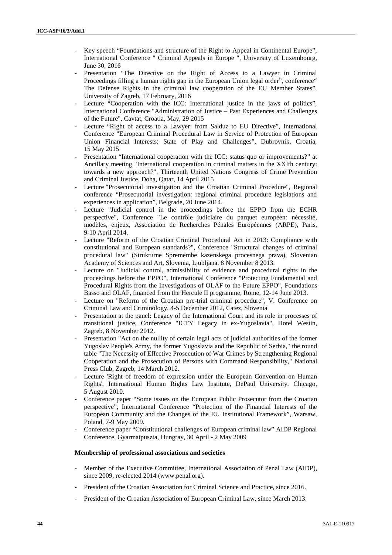- Key speech "Foundations and structure of the Right to Appeal in Continental Europe", International Conference " Criminal Appeals in Europe ", University of Luxembourg, June 30, 2016
- Presentation "The Directive on the Right of Access to a Lawyer in Criminal Proceedings filling a human rights gap in the European Union legal order", conference" The Defense Rights in the criminal law cooperation of the EU Member States", University of Zagreb, 17 February, 2016
- Lecture "Cooperation with the ICC: International justice in the jaws of politics", International Conference "Administration of Justice – Past Experiences and Challenges of the Future", Cavtat, Croatia, May, 29 2015
- Lecture "Right of access to a Lawyer: from Salduz to EU Directive", International Conference "European Criminal Procedural Law in Service of Protection of European Union Financial Interests: State of Play and Challenges", Dubrovnik, Croatia, 15 May 2015
- Presentation "International cooperation with the ICC: status quo or improvements?" at Ancillary meeting "International cooperation in criminal matters in the XXIth century: towards a new approach?", Thirteenth United Nations Congress of Crime Prevention and Criminal Justice, Doha, Qatar, 14 April 2015
- Lecture "Prosecutorial investigation and the Croatian Criminal Procedure", Regional conference "Prosecutorial investigation: regional criminal procedure legislations and experiences in application", Belgrade, 20 June 2014.
- Lecture "Judicial control in the proceedings before the EPPO from the ECHR perspective", Conference "Le contrôle judiciaire du parquet européen: nècessité, modèles, enjeux, Association de Recherches Pénales Européennes (ARPE), Paris, 9-10 April 2014.
- Lecture "Reform of the Croatian Criminal Procedural Act in 2013: Compliance with constitutional and European standards?", Conference "Structural changes of criminal procedural law" (Strukturne Spremembe kazenskega procesnega prava), Slovenian Academy of Sciences and Art, Slovenia, Ljubljana, 8 November 8 2013.
- Lecture on "Judicial control, admissibility of evidence and procedural rights in the proceedings before the EPPO", International Conference "Protecting Fundamental and Procedural Rights from the Investigations of OLAF to the Future EPPO", Foundations Basso and OLAF, financed from the Hercule II programme, Rome, 12-14 June 2013.
- Lecture on "Reform of the Croatian pre-trial criminal procedure", V. Conference on Criminal Law and Criminology, 4-5 December 2012, Catez, Slovenia
- Presentation at the panel: Legacy of the International Court and its role in processes of transitional justice, Conference "ICTY Legacy in ex-Yugoslavia", Hotel Westin, Zagreb, 8 November 2012.
- Presentation "Act on the nullity of certain legal acts of judicial authorities of the former Yugoslav People's Army, the former Yugoslavia and the Republic of Serbia," the round table "The Necessity of Effective Prosecution of War Crimes by Strengthening Regional Cooperation and the Prosecution of Persons with Command Responsibility," National Press Club, Zagreb, 14 March 2012.
- Lecture 'Right of freedom of expression under the European Convention on Human Rights', International Human Rights Law Institute, DePaul University, Chicago, 5 August 2010.
- Conference paper "Some issues on the European Public Prosecutor from the Croatian perspective", International Conference "Protection of the Financial Interests of the European Community and the Changes of the EU Institutional Framework", Warsaw, Poland, 7-9 May 2009.
- Conference paper "Constitutional challenges of European criminal law" AIDP Regional Conference, Gyarmatpuszta, Hungray, 30 April - 2 May 2009

### **Membership of professional associations and societies**

- Member of the Executive Committee, International Association of Penal Law (AIDP), since 2009, re-elected 2014 (www.penal.org).
- President of the Croatian Association for Criminal Science and Practice, since 2016.
- President of the Croatian Association of European Criminal Law, since March 2013.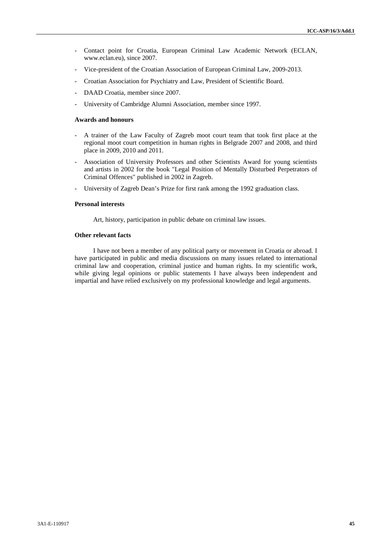- Contact point for Croatia, European Criminal Law Academic Network (ECLAN, www.eclan.eu), since 2007.
- Vice-president of the Croatian Association of European Criminal Law, 2009-2013.
- Croatian Association for Psychiatry and Law, President of Scientific Board.
- DAAD Croatia, member since 2007.
- University of Cambridge Alumni Association, member since 1997.

#### **Awards and honours**

- A trainer of the Law Faculty of Zagreb moot court team that took first place at the regional moot court competition in human rights in Belgrade 2007 and 2008, and third place in 2009, 2010 and 2011.
- Association of University Professors and other Scientists Award for young scientists and artists in 2002 for the book "Legal Position of Mentally Disturbed Perpetrators of Criminal Offences" published in 2002 in Zagreb.
- University of Zagreb Dean's Prize for first rank among the 1992 graduation class.

#### **Personal interests**

Art, history, participation in public debate on criminal law issues.

## **Other relevant facts**

I have not been a member of any political party or movement in Croatia or abroad. I have participated in public and media discussions on many issues related to international criminal law and cooperation, criminal justice and human rights. In my scientific work, while giving legal opinions or public statements I have always been independent and impartial and have relied exclusively on my professional knowledge and legal arguments.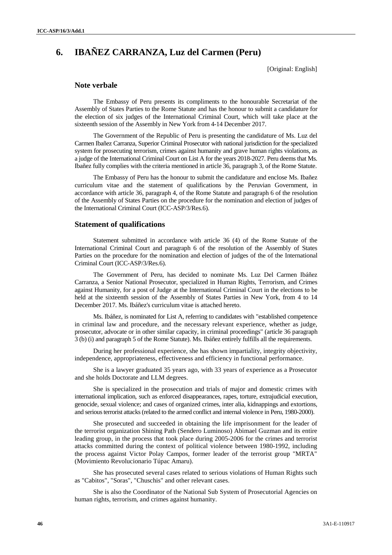# **6. IBAÑEZ CARRANZA, Luz del Carmen (Peru)**

[Original: English]

# **Note verbale**

The Embassy of Peru presents its compliments to the honourable Secretariat of the Assembly of States Parties to the Rome Statute and has the honour to submit a candidature for the election of six judges of the International Criminal Court, which will take place at the sixteenth session of the Assembly in New York from 4-14 December 2017.

The Government of the Republic of Peru is presenting the candidature of Ms. Luz del Carmen Ibañez Carranza, Superior Criminal Prosecutor with national jurisdiction for the specialized system for prosecuting terrorism, crimes against humanity and grave human rights violations, as a judge of the International Criminal Court on List A for the years 2018-2027. Peru deems that Ms. Ibañez fully complies with the criteria mentioned in article 36, paragraph 3, of the Rome Statute.

The Embassy of Peru has the honour to submit the candidature and enclose Ms. Ibañez curriculum vitae and the statement of qualifications by the Peruvian Government, in accordance with article 36, paragraph 4, of the Rome Statute and paragraph 6 of the resolution of the Assembly of States Parties on the procedure for the nomination and election of judges of the International Criminal Court (ICC-ASP/3/Res.6).

# **Statement of qualifications**

Statement submitted in accordance with article 36 (4) of the Rome Statute of the International Criminal Court and paragraph 6 of the resolution of the Assembly of States Parties on the procedure for the nomination and election of judges of the of the International Criminal Court (ICC-ASP/3/Res.6).

The Government of Peru, has decided to nominate Ms. Luz Del Carmen Ibáñez Carranza, a Senior National Prosecutor, specialized in Human Rights, Terrorism, and Crimes against Humanity, for a post of Judge at the International Criminal Court in the elections to be held at the sixteenth session of the Assembly of States Parties in New York, from 4 to 14 December 2017. Ms. Ibáñez's curriculum vitae is attached hereto.

Ms. Ibáñez, is nominated for List A, referring to candidates with "established competence in criminal law and procedure, and the necessary relevant experience, whether as judge, prosecutor, advocate or in other similar capacity, in criminal proceedings" (article 36 paragraph 3 (b) (i) and paragraph 5 of the Rome Statute). Ms. Ibáñez entirely fulfills all the requirements.

During her professional experience, she has shown impartiality, integrity objectivity, independence, appropriateness, effectiveness and efficiency in functional performance.

She is a lawyer graduated 35 years ago, with 33 years of experience as a Prosecutor and she holds Doctorate and LLM degrees.

She is specialized in the prosecution and trials of major and domestic crimes with international implication, such as enforced disappearances, rapes, torture, extrajudicial execution, genocide, sexual violence; and cases of organized crimes, inter alia, kidnappings and extortions, and serious terrorist attacks (related to the armed conflict and internal violence in Peru, 1980-2000).

She prosecuted and succeeded in obtaining the life imprisonment for the leader of the terrorist organization Shining Path (Sendero Luminoso) Abimael Guzman and its entire leading group, in the process that took place during 2005-2006 for the crimes and terrorist attacks committed during the context of political violence between 1980-1992, including the process against Victor Polay Campos, former leader of the terrorist group "MRTA" (Movimiento Revolucionario Túpac Amaru).

She has prosecuted several cases related to serious violations of Human Rights such as "Cabitos", "Soras", "Chuschis" and other relevant cases.

She is also the Coordinator of the National Sub System of Prosecutorial Agencies on human rights, terrorism, and crimes against humanity.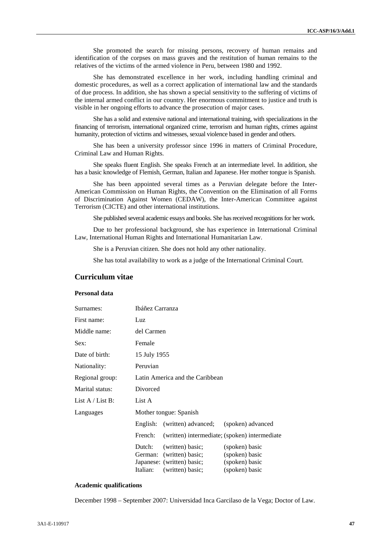She promoted the search for missing persons, recovery of human remains and identification of the corpses on mass graves and the restitution of human remains to the relatives of the victims of the armed violence in Peru, between 1980 and 1992.

She has demonstrated excellence in her work, including handling criminal and domestic procedures, as well as a correct application of international law and the standards of due process. In addition, she has shown a special sensitivity to the suffering of victims of the internal armed conflict in our country. Her enormous commitment to justice and truth is visible in her ongoing efforts to advance the prosecution of major cases.

She has a solid and extensive national and international training, with specializations in the financing of terrorism, international organized crime, terrorism and human rights, crimes against humanity, protection of victims and witnesses, sexual violence based in gender and others.

She has been a university professor since 1996 in matters of Criminal Procedure, Criminal Law and Human Rights.

She speaks fluent English. She speaks French at an intermediate level. In addition, she has a basic knowledge of Flemish, German, Italian and Japanese. Her mother tongue is Spanish.

She has been appointed several times as a Peruvian delegate before the Inter- American Commission on Human Rights, the Convention on the Elimination of all Forms of Discrimination Against Women (CEDAW), the Inter-American Committee against Terrorism (CICTE) and other international institutions.

She published several academic essays and books. She has received recognitions for her work.

Due to her professional background, she has experience in International Criminal Law, International Human Rights and International Humanitarian Law.

She is a Peruvian citizen. She does not hold any other nationality.

She has total availability to work as a judge of the International Criminal Court.

# **Curriculum vitae**

## **Personal data**

| Surnames:          | Ibáñez Carranza |                                 |                                               |
|--------------------|-----------------|---------------------------------|-----------------------------------------------|
| First name:        | Luz             |                                 |                                               |
| Middle name:       | del Carmen      |                                 |                                               |
| Sex:               | Female          |                                 |                                               |
| Date of birth:     | 15 July 1955    |                                 |                                               |
| Nationality:       | Peruvian        |                                 |                                               |
| Regional group:    |                 | Latin America and the Caribbean |                                               |
| Marital status:    | Divorced        |                                 |                                               |
| List $A /$ List B: | List A          |                                 |                                               |
| Languages          |                 | Mother tongue: Spanish          |                                               |
|                    |                 | English: (written) advanced;    | (spoken) advanced                             |
|                    | French:         |                                 | (written) intermediate; (spoken) intermediate |
|                    | Dutch:          | (written) basic;                | (spoken) basic                                |
|                    |                 | German: (written) basic;        | (spoken) basic                                |
|                    |                 | Japanese: (written) basic;      | (spoken) basic                                |
|                    | Italian:        | (written) basic;                | (spoken) basic                                |

#### **Academic qualifications**

December 1998 – September 2007: Universidad Inca Garcilaso de la Vega; Doctor of Law.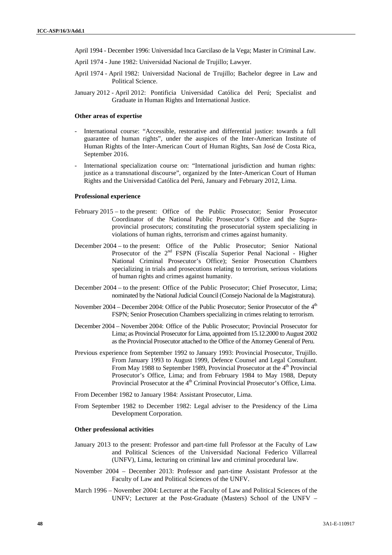- April 1994 December 1996: Universidad Inca Garcilaso de la Vega; Master in Criminal Law.
- April 1974 June 1982: Universidad Nacional de Trujillo; Lawyer.
- April 1974 April 1982: Universidad Nacional de Trujillo; Bachelor degree in Law and Political Science.
- January 2012 April 2012: Pontificia Universidad Católica del Perú; Specialist and Graduate in Human Rights and International Justice.

#### **Other areas of expertise**

- International course: "Accessible, restorative and differential justice: towards a full guarantee of human rights", under the auspices of the Inter-American Institute of Human Rights of the Inter-American Court of Human Rights, San José de Costa Rica, September 2016.
- International specialization course on: "International jurisdiction and human rights: justice as a transnational discourse", organized by the Inter-American Court of Human Rights and the Universidad Católica del Perú, January and February 2012, Lima.

#### **Professional experience**

- February 2015 to the present: Office of the Public Prosecutor; Senior Prosecutor Coordinator of the National Public Prosecutor's Office and the Supra provincial prosecutors; constituting the prosecutorial system specializing in violations of human rights, terrorism and crimes against humanity.
- December 2004 to the present: Office of the Public Prosecutor; Senior National Prosecutor of the 2<sup>nd</sup> FSPN (Fiscalía Superior Penal Nacional - Higher National Criminal Prosecutor's Office); Senior Prosecution Chambers specializing in trials and prosecutions relating to terrorism, serious violations of human rights and crimes against humanity.
- December 2004 to the present: Office of the Public Prosecutor; Chief Prosecutor, Lima; nominated by the National Judicial Council (Consejo Nacional de la Magistratura).
- November 2004 December 2004: Office of the Public Prosecutor; Senior Prosecutor of the 4<sup>th</sup> FSPN; Senior Prosecution Chambers specializing in crimes relating to terrorism.
- December 2004 November 2004: Office of the Public Prosecutor; Provincial Prosecutor for Lima; as Provincial Prosecutor for Lima, appointed from 15.12.2000 to August 2002 as the Provincial Prosecutor attached to the Office of the Attorney General of Peru.
- Previous experience from September 1992 to January 1993: Provincial Prosecutor, Trujillo. From January 1993 to August 1999, Defence Counsel and Legal Consultant. From May 1988 to September 1989, Provincial Prosecutor at the  $4<sup>th</sup>$  Provincial Prosecutor's Office, Lima; and from February 1984 to May 1988, Deputy Provincial Prosecutor at the 4<sup>th</sup> Criminal Provincial Prosecutor's Office, Lima.
- From December 1982 to January 1984: Assistant Prosecutor, Lima.
- From September 1982 to December 1982: Legal adviser to the Presidency of the Lima Development Corporation.

#### **Other professional activities**

- January 2013 to the present: Professor and part-time full Professor at the Faculty of Law and Political Sciences of the Universidad Nacional Federico Villarreal (UNFV), Lima, lecturing on criminal law and criminal procedural law.
- November 2004 December 2013: Professor and part-time Assistant Professor at the Faculty of Law and Political Sciences of the UNFV.
- March 1996 November 2004: Lecturer at the Faculty of Law and Political Sciences of the UNFV; Lecturer at the Post-Graduate (Masters) School of the UNFV –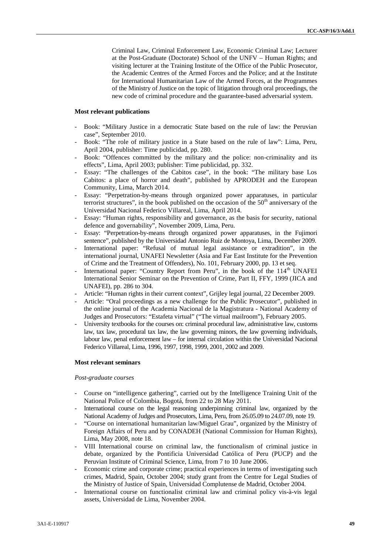Criminal Law, Criminal Enforcement Law, Economic Criminal Law; Lecturer at the Post-Graduate (Doctorate) School of the UNFV – Human Rights; and visiting lecturer at the Training Institute of the Office of the Public Prosecutor, the Academic Centres of the Armed Forces and the Police; and at the Institute for International Humanitarian Law of the Armed Forces, at the Programmes of the Ministry of Justice on the topic of litigation through oral proceedings, the new code of criminal procedure and the guarantee-based adversarial system.

### **Most relevant publications**

- Book: "Military Justice in a democratic State based on the rule of law: the Peruvian case", September 2010.
- Book: "The role of military justice in a State based on the rule of law": Lima, Peru, April 2004, publisher: Time publicidad, pp. 280.
- Book: "Offences committed by the military and the police: non-criminality and its effects", Lima, April 2003; publisher: Time publicidad, pp. 332.
- Essay: "The challenges of the Cabitos case", in the book: "The military base Los Cabitos: a place of horror and death", published by APRODEH and the European Community, Lima, March 2014.
- Essay: "Perpetration-by-means through organized power apparatuses, in particular terrorist structures", in the book published on the occasion of the  $50<sup>th</sup>$  anniversary of the Universidad Nacional Federico Villareal, Lima, April 2014.
- Essay: "Human rights, responsibility and governance, as the basis for security, national defence and governability", November 2009, Lima, Peru.
- Essay: "Perpetration-by-means through organized power apparatuses, in the Fujimori sentence", published by the Universidad Antonio Ruiz de Montoya, Lima, December 2009.
- International paper: "Refusal of mutual legal assistance or extradition", in the international journal, UNAFEI Newsletter (Asia and Far East Institute for the Prevention of Crime and the Treatment of Offenders), No. 101, February 2000, pp. 13 et seq.
- International paper: "Country Report from Peru", in the book of the 114<sup>th</sup> UNAFEI International Senior Seminar on the Prevention of Crime, Part II, FFY, 1999 (JICA and UNAFEI), pp. 286 to 304.
- Article: "Human rights in their current context", Grijley legal journal, 22 December 2009.
- Article: "Oral proceedings as a new challenge for the Public Prosecutor", published in the online journal of the Academia Nacional de la Magistratura - National Academy of Judges and Prosecutors: "Estafeta virtual" ("The virtual mailroom"), February 2005.
- University textbooks for the courses on: criminal procedural law, administrative law, customs law, tax law, procedural tax law, the law governing minors, the law governing individuals, labour law, penal enforcement law – for internal circulation within the Universidad Nacional Federico Villareal, Lima, 1996, 1997, 1998, 1999, 2001, 2002 and 2009.

### **Most relevant seminars**

#### *Post-graduate courses*

- Course on "intelligence gathering", carried out by the Intelligence Training Unit of the National Police of Colombia, Bogotá, from 22 to 28 May 2011.
- International course on the legal reasoning underpinning criminal law, organized by the National Academy of Judges and Prosecutors, Lima, Peru, from 26.05.09 to 24.07.09, note 19.
- "Course on international humanitarian law/Miguel Grau", organized by the Ministry of Foreign Affairs of Peru and by CONADEH (National Commission for Human Rights), Lima, May 2008, note 18.
- VIII International course on criminal law, the functionalism of criminal justice in debate, organized by the Pontificia Universidad Católica of Peru (PUCP) and the Peruvian Institute of Criminal Science, Lima, from 7 to 10 June 2006.
- Economic crime and corporate crime; practical experiences in terms of investigating such crimes, Madrid, Spain, October 2004; study grant from the Centre for Legal Studies of the Ministry of Justice of Spain, Universidad Complutense de Madrid, October 2004.
- International course on functionalist criminal law and criminal policy vis-à-vis legal assets, Universidad de Lima, November 2004.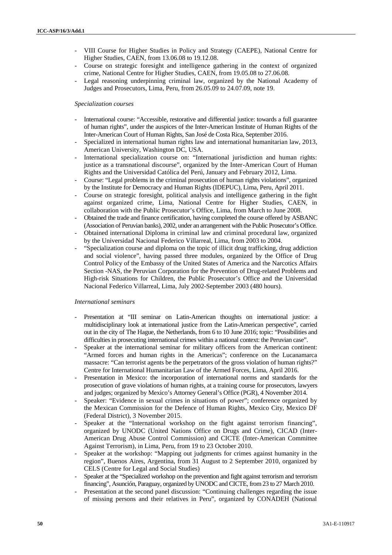- VIII Course for Higher Studies in Policy and Strategy (CAEPE), National Centre for Higher Studies, CAEN, from 13.06.08 to 19.12.08.
- Course on strategic foresight and intelligence gathering in the context of organized crime, National Centre for Higher Studies, CAEN, from 19.05.08 to 27.06.08.
- Legal reasoning underpinning criminal law, organized by the National Academy of Judges and Prosecutors, Lima, Peru, from 26.05.09 to 24.07.09, note 19.

### *Specialization courses*

- International course: "Accessible, restorative and differential justice: towards a full guarantee of human rights", under the auspices of the Inter-American Institute of Human Rights of the Inter-American Court of Human Rights, San José de Costa Rica, September 2016.
- Specialized in international human rights law and international humanitarian law, 2013, American University, Washington DC, USA.
- International specialization course on: "International jurisdiction and human rights: justice as a transnational discourse", organized by the Inter-American Court of Human Rights and the Universidad Católica del Perú, January and February 2012, Lima.
- Course: "Legal problems in the criminal prosecution of human rights violations", organized by the Institute for Democracy and Human Rights (IDEPUC), Lima, Peru, April 2011.
- Course on strategic foresight, political analysis and intelligence gathering in the fight against organized crime, Lima, National Centre for Higher Studies, CAEN, in collaboration with the Public Prosecutor's Office, Lima, from March to June 2008.
- Obtained the trade and finance certification, having completed the course offered by ASBANC (Association of Peruvian banks), 2002, under an arrangement with the Public Prosecutor's Office.
- Obtained international Diploma in criminal law and criminal procedural law, organized by the Universidad Nacional Federico Villarreal, Lima, from 2003 to 2004.
- "Specialization course and diploma on the topic of illicit drug trafficking, drug addiction and social violence", having passed three modules, organized by the Office of Drug Control Policy of the Embassy of the United States of America and the Narcotics Affairs Section -NAS, the Peruvian Corporation for the Prevention of Drug-related Problems and High-risk Situations for Children, the Public Prosecutor's Office and the Universidad Nacional Federico Villarreal, Lima, July 2002-September 2003 (480 hours).

### *International seminars*

- Presentation at "III seminar on Latin-American thoughts on international justice: a multidisciplinary look at international justice from the Latin-American perspective", carried out in the city of The Hague, the Netherlands, from 6 to 10 June 2016; topic: "Possibilities and difficulties in prosecuting international crimes within a national context: the Peruvian case".
- Speaker at the international seminar for military officers from the American continent: "Armed forces and human rights in the Americas"; conference on the Lucanamarca massacre: "Can terrorist agents be the perpetrators of the gross violation of human rights?" Centre for International Humanitarian Law of the Armed Forces, Lima, April 2016.
- Presentation in Mexico: the incorporation of international norms and standards for the prosecution of grave violations of human rights, at a training course for prosecutors, lawyers and judges; organized by Mexico's Attorney General's Office (PGR), 4 November 2014.
- Speaker: "Evidence in sexual crimes in situations of power"; conference organized by the Mexican Commission for the Defence of Human Rights, Mexico City, Mexico DF (Federal District), 3 November 2015.
- Speaker at the "International workshop on the fight against terrorism financing", organized by UNODC (United Nations Office on Drugs and Crime), CICAD (Inter- American Drug Abuse Control Commission) and CICTE (Inter-American Committee Against Terrorism), in Lima, Peru, from 19 to 23 October 2010.
- Speaker at the workshop: "Mapping out judgments for crimes against humanity in the region", Buenos Aires, Argentina, from 31 August to 2 September 2010, organized by CELS (Centre for Legal and Social Studies)
- Speaker at the "Specialized workshop on the prevention and fight against terrorism and terrorism financing", Asunción, Paraguay, organized by UNODC and CICTE, from 23 to 27 March 2010.
- Presentation at the second panel discussion: "Continuing challenges regarding the issue of missing persons and their relatives in Peru", organized by CONADEH (National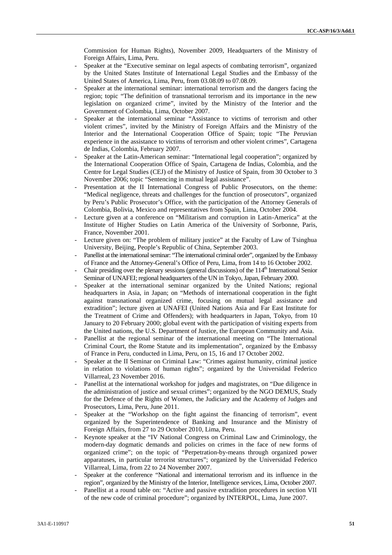Commission for Human Rights), November 2009, Headquarters of the Ministry of Foreign Affairs, Lima, Peru.

- Speaker at the "Executive seminar on legal aspects of combating terrorism", organized by the United States Institute of International Legal Studies and the Embassy of the United States of America, Lima, Peru, from 03.08.09 to 07.08.09.
- Speaker at the international seminar: international terrorism and the dangers facing the region; topic "The definition of transnational terrorism and its importance in the new legislation on organized crime", invited by the Ministry of the Interior and the Government of Colombia, Lima, October 2007.
- Speaker at the international seminar "Assistance to victims of terrorism and other violent crimes", invited by the Ministry of Foreign Affairs and the Ministry of the Interior and the International Cooperation Office of Spain; topic "The Peruvian experience in the assistance to victims of terrorism and other violent crimes", Cartagena de Indias, Colombia, February 2007.
- Speaker at the Latin-American seminar: "International legal cooperation"; organized by the International Cooperation Office of Spain, Cartagena de Indias, Colombia, and the Centre for Legal Studies (CEJ) of the Ministry of Justice of Spain, from 30 October to 3 November 2006; topic "Sentencing in mutual legal assistance".
- Presentation at the II International Congress of Public Prosecutors, on the theme: "Medical negligence, threats and challenges for the function of prosecutors", organized by Peru's Public Prosecutor's Office, with the participation of the Attorney Generals of Colombia, Bolivia, Mexico and representatives from Spain, Lima, October 2004.
- Lecture given at a conference on "Militarism and corruption in Latin-America" at the Institute of Higher Studies on Latin America of the University of Sorbonne, Paris, France, November 2001.
- Lecture given on: "The problem of military justice" at the Faculty of Law of Tsinghua University, Beijing, People's Republic of China, September 2003.
- Panellist at the international seminar: "The international criminal order", organized by the Embassy of France and the Attorney-General's Office of Peru, Lima, from 14 to 16 October 2002.
- Chair presiding over the plenary sessions (general discussions) of the 114<sup>th</sup> International Senior Seminar of UNAFEI; regional headquarters of the UN in Tokyo, Japan, February 2000.
- Speaker at the international seminar organized by the United Nations; regional headquarters in Asia, in Japan; on "Methods of international cooperation in the fight against transnational organized crime, focusing on mutual legal assistance and extradition"; lecture given at UNAFEI (United Nations Asia and Far East Institute for the Treatment of Crime and Offenders); with headquarters in Japan, Tokyo, from 10 January to 20 February 2000; global event with the participation of visiting experts from the United nations, the U.S. Department of Justice, the European Community and Asia.
- Panellist at the regional seminar of the international meeting on "The International Criminal Court, the Rome Statute and its implementation", organized by the Embassy of France in Peru, conducted in Lima, Peru, on 15, 16 and 17 October 2002.
- Speaker at the II Seminar on Criminal Law: "Crimes against humanity, criminal justice in relation to violations of human rights"; organized by the Universidad Federico Villarreal, 23 November 2016.
- Panellist at the international workshop for judges and magistrates, on "Due diligence in the administration of justice and sexual crimes"; organized by the NGO DEMUS, Study for the Defence of the Rights of Women, the Judiciary and the Academy of Judges and Prosecutors, Lima, Peru, June 2011.
- Speaker at the "Workshop on the fight against the financing of terrorism", event organized by the Superintendence of Banking and Insurance and the Ministry of Foreign Affairs, from 27 to 29 October 2010, Lima, Peru.
- Keynote speaker at the "IV National Congress on Criminal Law and Criminology, the modern-day dogmatic demands and policies on crimes in the face of new forms of organized crime"; on the topic of "Perpetration-by-means through organized power apparatuses, in particular terrorist structures"; organized by the Universidad Federico Villarreal, Lima, from 22 to 24 November 2007.
- Speaker at the conference "National and international terrorism and its influence in the region", organized by the Ministry of the Interior, Intelligence services, Lima, October 2007.
- Panellist at a round table on: "Active and passive extradition procedures in section VII of the new code of criminal procedure"; organized by INTERPOL, Lima, June 2007.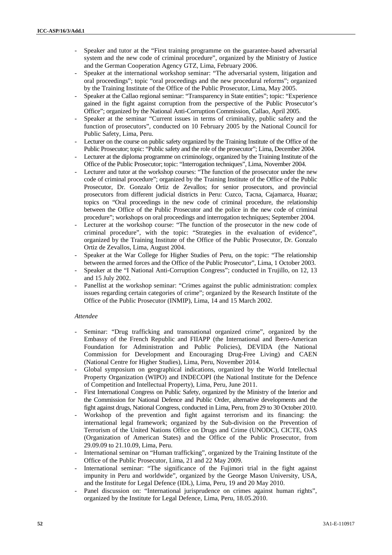- Speaker and tutor at the "First training programme on the guarantee-based adversarial system and the new code of criminal procedure", organized by the Ministry of Justice and the German Cooperation Agency GTZ, Lima, February 2006.
- Speaker at the international workshop seminar: "The adversarial system, litigation and oral proceedings"; topic "oral proceedings and the new procedural reforms"; organized by the Training Institute of the Office of the Public Prosecutor, Lima, May 2005.
- Speaker at the Callao regional seminar: "Transparency in State entities"; topic: "Experience gained in the fight against corruption from the perspective of the Public Prosecutor's Office"; organized by the National Anti-Corruption Commission, Callao, April 2005.
- Speaker at the seminar "Current issues in terms of criminality, public safety and the function of prosecutors", conducted on 10 February 2005 by the National Council for Public Safety, Lima, Peru.
- Lecturer on the course on public safety organized by the Training Institute of the Office of the Public Prosecutor; topic: "Public safety and the role of the prosecutor"; Lima, December 2004.
- Lecturer at the diploma programme on criminology, organized by the Training Institute of the Office of the Public Prosecutor; topic: "Interrogation techniques", Lima, November 2004.
- Lecturer and tutor at the workshop courses: "The function of the prosecutor under the new code of criminal procedure"; organized by the Training Institute of the Office of the Public Prosecutor, Dr. Gonzalo Ortiz de Zevallos; for senior prosecutors, and provincial prosecutors from different judicial districts in Peru: Cuzco, Tacna, Cajamarca, Huaraz; topics on "Oral proceedings in the new code of criminal procedure, the relationship between the Office of the Public Prosecutor and the police in the new code of criminal procedure"; workshops on oral proceedings and interrogation techniques; September 2004.
- Lecturer at the workshop course: "The function of the prosecutor in the new code of criminal procedure", with the topic: "Strategies in the evaluation of evidence", organized by the Training Institute of the Office of the Public Prosecutor, Dr. Gonzalo Ortiz de Zevallos, Lima, August 2004.
- Speaker at the War College for Higher Studies of Peru, on the topic: "The relationship between the armed forces and the Office of the Public Prosecutor", Lima, 1 October 2003.
- Speaker at the "I National Anti-Corruption Congress"; conducted in Trujillo, on 12, 13 and 15 July 2002.
- Panellist at the workshop seminar: "Crimes against the public administration: complex issues regarding certain categories of crime"; organized by the Research Institute of the Office of the Public Prosecutor (INMIP), Lima, 14 and 15 March 2002.

# *Attendee*

- Seminar: "Drug trafficking and transnational organized crime", organized by the Embassy of the French Republic and FIIAPP (the International and Ibero-American Foundation for Administration and Public Policies), DEVIDA (the National Commission for Development and Encouraging Drug-Free Living) and CAEN (National Centre for Higher Studies), Lima, Peru, November 2014.
- Global symposium on geographical indications, organized by the World Intellectual Property Organization (WIPO) and INDECOPI (the National Institute for the Defence of Competition and Intellectual Property), Lima, Peru, June 2011.
- First International Congress on Public Safety, organized by the Ministry of the Interior and the Commission for National Defence and Public Order, alternative developments and the fight against drugs, National Congress, conducted in Lima, Peru, from 29 to 30 October 2010.
- Workshop of the prevention and fight against terrorism and its financing: the international legal framework; organized by the Sub-division on the Prevention of Terrorism of the United Nations Office on Drugs and Crime (UNODC), CICTE, OAS (Organization of American States) and the Office of the Public Prosecutor, from 29.09.09 to 21.10.09, Lima, Peru.
- International seminar on "Human trafficking", organized by the Training Institute of the Office of the Public Prosecutor, Lima, 21 and 22 May 2009.
- International seminar: "The significance of the Fujimori trial in the fight against impunity in Peru and worldwide", organized by the George Mason University, USA, and the Institute for Legal Defence (IDL), Lima, Peru, 19 and 20 May 2010.
- Panel discussion on: "International jurisprudence on crimes against human rights", organized by the Institute for Legal Defence, Lima, Peru, 18.05.2010.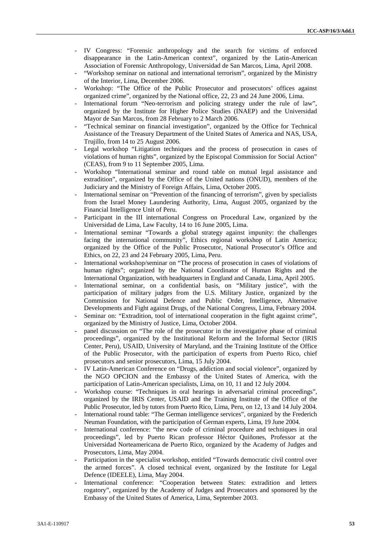- IV Congress: "Forensic anthropology and the search for victims of enforced disappearance in the Latin-American context", organized by the Latin-American Association of Forensic Anthropology, Universidad de San Marcos, Lima, April 2008.
- "Workshop seminar on national and international terrorism", organized by the Ministry of the Interior, Lima, December 2006.
- Workshop: "The Office of the Public Prosecutor and prosecutors' offices against organized crime", organized by the National office, 22, 23 and 24 June 2006, Lima.
- International forum "Neo-terrorism and policing strategy under the rule of law", organized by the Institute for Higher Police Studies (INAEP) and the Universidad Mayor de San Marcos, from 28 February to 2 March 2006.
- "Technical seminar on financial investigation", organized by the Office for Technical Assistance of the Treasury Department of the United States of America and NAS, USA, Trujillo, from 14 to 25 August 2006.
- Legal workshop "Litigation techniques and the process of prosecution in cases of violations of human rights", organized by the Episcopal Commission for Social Action" (CEAS), from 9 to 11 September 2005, Lima.
- Workshop "International seminar and round table on mutual legal assistance and extradition", organized by the Office of the United nations (ONUD), members of the Judiciary and the Ministry of Foreign Affairs, Lima, October 2005.
- International seminar on "Prevention of the financing of terrorism", given by specialists from the Israel Money Laundering Authority, Lima, August 2005, organized by the Financial Intelligence Unit of Peru.
- Participant in the III international Congress on Procedural Law, organized by the Universidad de Lima, Law Faculty, 14 to 16 June 2005, Lima.
- International seminar "Towards a global strategy against impunity: the challenges facing the international community", Ethics regional workshop of Latin America; organized by the Office of the Public Prosecutor, National Prosecutor's Office and Ethics, on 22, 23 and 24 February 2005, Lima, Peru.
- International workshop/seminar on "The process of prosecution in cases of violations of human rights"; organized by the National Coordinator of Human Rights and the International Organization, with headquarters in England and Canada, Lima, April 2005.
- International seminar, on a confidential basis, on "Military justice", with the participation of military judges from the U.S. Military Justice, organized by the Commission for National Defence and Public Order, Intelligence, Alternative Developments and Fight against Drugs, of the National Congress, Lima, February 2004.
- Seminar on: "Extradition, tool of international cooperation in the fight against crime", organized by the Ministry of Justice, Lima, October 2004.
- panel discussion on "The role of the prosecutor in the investigative phase of criminal proceedings", organized by the Institutional Reform and the Informal Sector (IRIS Center, Peru), USAID, University of Maryland, and the Training Institute of the Office of the Public Prosecutor, with the participation of experts from Puerto Rico, chief prosecutors and senior prosecutors, Lima, 15 July 2004.
- IV Latin-American Conference on "Drugs, addiction and social violence", organized by the NGO OPCION and the Embassy of the United States of America, with the participation of Latin-American specialists, Lima, on 10, 11 and 12 July 2004.
- Workshop course: "Techniques in oral hearings in adversarial criminal proceedings", organized by the IRIS Center, USAID and the Training Institute of the Office of the Public Prosecutor, led by tutors from Puerto Rico, Lima, Peru, on 12, 13 and 14 July 2004.
- International round table: "The German intelligence services", organized by the Frederich Neuman Foundation, with the participation of German experts, Lima, 19 June 2004.
- International conference: "the new code of criminal procedure and techniques in oral proceedings", led by Puerto Rican professor Héctor Quiñones, Professor at the Universidad Norteamericana de Puerto Rico, organized by the Academy of Judges and Prosecutors, Lima, May 2004.
- Participation in the specialist workshop, entitled "Towards democratic civil control over the armed forces". A closed technical event, organized by the Institute for Legal Defence (IDEELE), Lima, May 2004.
- International conference: "Cooperation between States: extradition and letters rogatory", organized by the Academy of Judges and Prosecutors and sponsored by the Embassy of the United States of America, Lima, September 2003.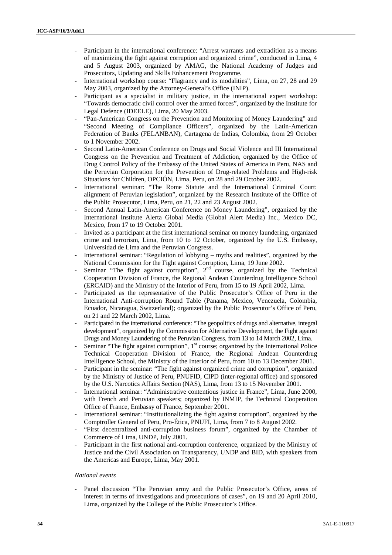- Participant in the international conference: "Arrest warrants and extradition as a means of maximizing the fight against corruption and organized crime", conducted in Lima, 4 and 5 August 2003, organized by AMAG, the National Academy of Judges and Prosecutors, Updating and Skills Enhancement Programme.
- International workshop course: "Flagrancy and its modalities", Lima, on 27, 28 and 29 May 2003, organized by the Attorney-General's Office (INIP).
- Participant as a specialist in military justice, in the international expert workshop: "Towards democratic civil control over the armed forces", organized by the Institute for Legal Defence (IDEELE), Lima, 20 May 2003.
- "Pan-American Congress on the Prevention and Monitoring of Money Laundering" and "Second Meeting of Compliance Officers", organized by the Latin-American Federation of Banks (FELANBAN), Cartagena de Indias, Colombia, from 29 October to 1 November 2002.
- Second Latin-American Conference on Drugs and Social Violence and III International Congress on the Prevention and Treatment of Addiction, organized by the Office of Drug Control Policy of the Embassy of the United States of America in Peru, NAS and the Peruvian Corporation for the Prevention of Drug-related Problems and High-risk Situations for Children, OPCIÓN, Lima, Peru, on 28 and 29 October 2002.
- International seminar: "The Rome Statute and the International Criminal Court: alignment of Peruvian legislation", organized by the Research Institute of the Office of the Public Prosecutor, Lima, Peru, on 21, 22 and 23 August 2002.
- Second Annual Latin-American Conference on Money Laundering", organized by the International Institute Alerta Global Media (Global Alert Media) Inc., Mexico DC, Mexico, from 17 to 19 October 2001.
- Invited as a participant at the first international seminar on money laundering, organized crime and terrorism, Lima, from 10 to 12 October, organized by the U.S. Embassy, Universidad de Lima and the Peruvian Congress.
- International seminar: "Regulation of lobbying myths and realities", organized by the National Commission for the Fight against Corruption, Lima, 19 June 2002.
- Seminar "The fight against corruption",  $2<sup>nd</sup>$  course, organized by the Technical Cooperation Division of France, the Regional Andean Counterdrug Intelligence School (ERCAID) and the Ministry of the Interior of Peru, from 15 to 19 April 2002, Lima.
- Participated as the representative of the Public Prosecutor's Office of Peru in the International Anti-corruption Round Table (Panama, Mexico, Venezuela, Colombia, Ecuador, Nicaragua, Switzerland); organized by the Public Prosecutor's Office of Peru, on 21 and 22 March 2002, Lima.
- Participated in the international conference: "The geopolitics of drugs and alternative, integral development", organized by the Commission for Alternative Development, the Fight against Drugs and Money Laundering of the Peruvian Congress, from 13 to 14 March 2002, Lima.
- Seminar "The fight against corruption",  $1<sup>st</sup>$  course; organized by the International Police Technical Cooperation Division of France, the Regional Andean Counterdrug Intelligence School, the Ministry of the Interior of Peru, from 10 to 13 December 2001.
- Participant in the seminar: "The fight against organized crime and corruption", organized by the Ministry of Justice of Peru, PNUFID, CIPD (inter-regional office) and sponsored by the U.S. Narcotics Affairs Section (NAS), Lima, from 13 to 15 November 2001.
- International seminar: "Administrative contentious justice in France", Lima, June 2000, with French and Peruvian speakers; organized by INMIP, the Technical Cooperation Office of France, Embassy of France, September 2001.
- International seminar: "Institutionalizing the fight against corruption", organized by the Comptroller General of Peru, Pro-Ética, PNUFI, Lima, from 7 to 8 August 2002.
- "First decentralized anti-corruption business forum", organized by the Chamber of Commerce of Lima, UNDP, July 2001.
- Participant in the first national anti-corruption conference, organized by the Ministry of Justice and the Civil Association on Transparency, UNDP and BID, with speakers from the Americas and Europe, Lima, May 2001.

### *National events*

Panel discussion "The Peruvian army and the Public Prosecutor's Office, areas of interest in terms of investigations and prosecutions of cases", on 19 and 20 April 2010, Lima, organized by the College of the Public Prosecutor's Office.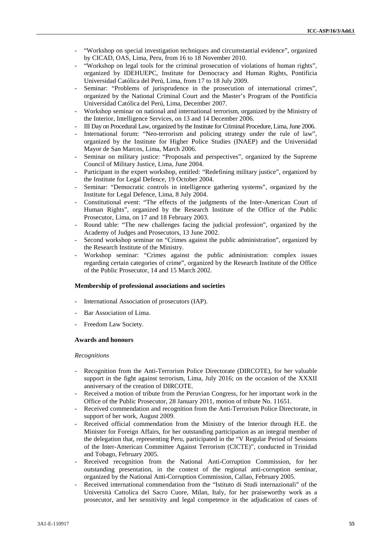- "Workshop on special investigation techniques and circumstantial evidence", organized by CICAD, OAS, Lima, Peru, from 16 to 18 November 2010.
- "Workshop on legal tools for the criminal prosecution of violations of human rights", organized by IDEHUEPC, Institute for Democracy and Human Rights, Pontificia Universidad Católica del Perú, Lima, from 17 to 18 July 2009.
- Seminar: "Problems of jurisprudence in the prosecution of international crimes", organized by the National Criminal Court and the Master's Program of the Pontificia Universidad Católica del Perú, Lima, December 2007.
- Workshop seminar on national and international terrorism, organized by the Ministry of the Interior, Intelligence Services, on 13 and 14 December 2006.
- III Day on Procedural Law, organized by the Institute for Criminal Procedure, Lima, June 2006.
- International forum: "Neo-terrorism and policing strategy under the rule of law", organized by the Institute for Higher Police Studies (INAEP) and the Universidad Mayor de San Marcos, Lima, March 2006.
- Seminar on military justice: "Proposals and perspectives", organized by the Supreme Council of Military Justice, Lima, June 2004.
- Participant in the expert workshop, entitled: "Redefining military justice", organized by the Institute for Legal Defence, 19 October 2004.
- Seminar: "Democratic controls in intelligence gathering systems", organized by the Institute for Legal Defence, Lima, 8 July 2004.
- Constitutional event: "The effects of the judgments of the Inter-American Court of Human Rights", organized by the Research Institute of the Office of the Public Prosecutor, Lima, on 17 and 18 February 2003.
- Round table: "The new challenges facing the judicial profession", organized by the Academy of Judges and Prosecutors, 13 June 2002.
- Second workshop seminar on "Crimes against the public administration", organized by the Research Institute of the Ministry.
- Workshop seminar: "Crimes against the public administration: complex issues regarding certain categories of crime", organized by the Research Institute of the Office of the Public Prosecutor, 14 and 15 March 2002.

#### **Membership of professional associations and societies**

- International Association of prosecutors (IAP).
- Bar Association of Lima.
- Freedom Law Society.

#### **Awards and honours**

#### *Recognitions*

- Recognition from the Anti-Terrorism Police Directorate (DIRCOTE), for her valuable support in the fight against terrorism, Lima, July 2016; on the occasion of the XXXII anniversary of the creation of DIRCOTE.
- Received a motion of tribute from the Peruvian Congress, for her important work in the Office of the Public Prosecutor, 28 January 2011, motion of tribute No. 11651.
- Received commendation and recognition from the Anti-Terrorism Police Directorate, in support of her work, August 2009.
- Received official commendation from the Ministry of the Interior through H.E. the Minister for Foreign Affairs, for her outstanding participation as an integral member of the delegation that, representing Peru, participated in the "V Regular Period of Sessions of the Inter-American Committee Against Terrorism (CICTE)", conducted in Trinidad and Tobago, February 2005.
- Received recognition from the National Anti-Corruption Commission, for her outstanding presentation, in the context of the regional anti-corruption seminar, organized by the National Anti-Corruption Commission, Callao, February 2005.
- Received international commendation from the "Istituto di Studi internazionali" of the Università Cattolica del Sacro Cuore, Milan, Italy, for her praiseworthy work as a prosecutor, and her sensitivity and legal competence in the adjudication of cases of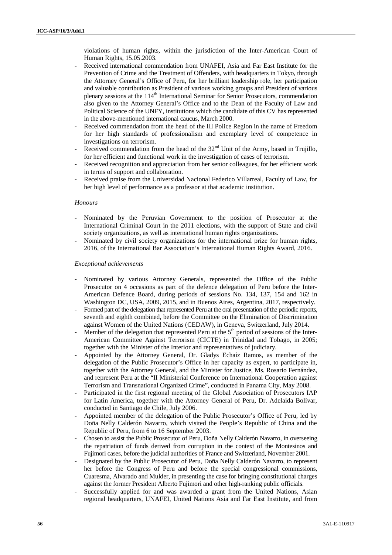violations of human rights, within the jurisdiction of the Inter-American Court of Human Rights, 15.05.2003.

- Received international commendation from UNAFEI, Asia and Far East Institute for the Prevention of Crime and the Treatment of Offenders, with headquarters in Tokyo, through the Attorney General's Office of Peru, for her brilliant leadership role, her participation and valuable contribution as President of various working groups and President of various plenary sessions at the 114<sup>th</sup> International Seminar for Senior Prosecutors, commendation also given to the Attorney General's Office and to the Dean of the Faculty of Law and Political Science of the UNFY, institutions which the candidate of this CV has represented in the above-mentioned international caucus, March 2000.
- Received commendation from the head of the III Police Region in the name of Freedom for her high standards of professionalism and exemplary level of competence in investigations on terrorism.
- Received commendation from the head of the  $32<sup>nd</sup>$  Unit of the Army, based in Trujillo, for her efficient and functional work in the investigation of cases of terrorism.
- Received recognition and appreciation from her senior colleagues, for her efficient work in terms of support and collaboration.
- Received praise from the Universidad Nacional Federico Villarreal, Faculty of Law, for her high level of performance as a professor at that academic institution.

### *Honours*

- Nominated by the Peruvian Government to the position of Prosecutor at the International Criminal Court in the 2011 elections, with the support of State and civil society organizations, as well as international human rights organizations.
- Nominated by civil society organizations for the international prize for human rights, 2016, of the International Bar Association's International Human Rights Award, 2016.

### *Exceptional achievements*

- Nominated by various Attorney Generals, represented the Office of the Public Prosecutor on 4 occasions as part of the defence delegation of Peru before the Inter- American Defence Board, during periods of sessions No. 134, 137, 154 and 162 in Washington DC, USA, 2009, 2015, and in Buenos Aires, Argentina, 2017, respectively.
- Formed part of the delegation that represented Peru at the oral presentation of the periodic reports, seventh and eighth combined, before the Committee on the Elimination of Discrimination against Women of the United Nations (CEDAW), in Geneva, Switzerland, July 2014.
- Member of the delegation that represented Peru at the  $5<sup>th</sup>$  period of sessions of the Inter-American Committee Against Terrorism (CICTE) in Trinidad and Tobago, in 2005; together with the Minister of the Interior and representatives of judiciary.
- Appointed by the Attorney General, Dr. Gladys Echaíz Ramos, as member of the delegation of the Public Prosecutor's Office in her capacity as expert, to participate in, together with the Attorney General, and the Minister for Justice, Ms. Rosario Fernández, and represent Peru at the "II Ministerial Conference on International Cooperation against Terrorism and Transnational Organized Crime", conducted in Panama City, May 2008.
- Participated in the first regional meeting of the Global Association of Prosecutors IAP for Latin America, together with the Attorney General of Peru, Dr. Adelaida Bolívar, conducted in Santiago de Chile, July 2006.
- Appointed member of the delegation of the Public Prosecutor's Office of Peru, led by Doña Nelly Calderón Navarro, which visited the People's Republic of China and the Republic of Peru, from 6 to 16 September 2003.
- Chosen to assist the Public Prosecutor of Peru, Doña Nelly Calderón Navarro, in overseeing the repatriation of funds derived from corruption in the context of the Montesinos and Fujimori cases, before the judicial authorities of France and Switzerland, November 2001.
- Designated by the Public Prosecutor of Peru, Doña Nelly Calderón Navarro, to represent her before the Congress of Peru and before the special congressional commissions, Cuaresma, Alvarado and Mulder, in presenting the case for bringing constitutional charges against the former President Alberto Fujimori and other high-ranking public officials.
- Successfully applied for and was awarded a grant from the United Nations, Asian regional headquarters, UNAFEI, United Nations Asia and Far East Institute, and from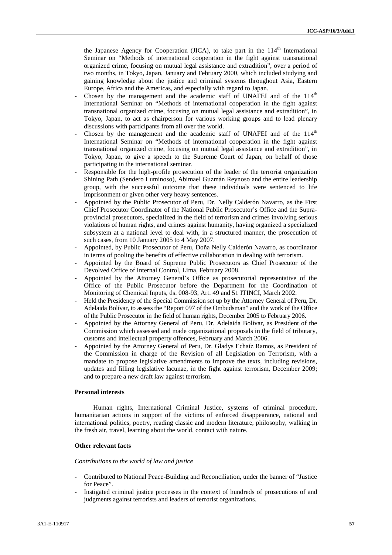the Japanese Agency for Cooperation (JICA), to take part in the  $114<sup>th</sup>$  International Seminar on "Methods of international cooperation in the fight against transnational organized crime, focusing on mutual legal assistance and extradition", over a period of two months, in Tokyo, Japan, January and February 2000, which included studying and gaining knowledge about the justice and criminal systems throughout Asia, Eastern Europe, Africa and the Americas, and especially with regard to Japan.

- Chosen by the management and the academic staff of UNAFEI and of the 114<sup>th</sup> International Seminar on "Methods of international cooperation in the fight against transnational organized crime, focusing on mutual legal assistance and extradition", in Tokyo, Japan, to act as chairperson for various working groups and to lead plenary discussions with participants from all over the world.
- Chosen by the management and the academic staff of UNAFEI and of the  $114<sup>th</sup>$ International Seminar on "Methods of international cooperation in the fight against transnational organized crime, focusing on mutual legal assistance and extradition", in Tokyo, Japan, to give a speech to the Supreme Court of Japan, on behalf of those participating in the international seminar.
- Responsible for the high-profile prosecution of the leader of the terrorist organization Shining Path (Sendero Luminoso), Abimael Guzmán Reynoso and the entire leadership group, with the successful outcome that these individuals were sentenced to life imprisonment or given other very heavy sentences.
- Appointed by the Public Prosecutor of Peru, Dr. Nelly Calderón Navarro, as the First Chief Prosecutor Coordinator of the National Public Prosecutor's Office and the Supra provincial prosecutors, specialized in the field of terrorism and crimes involving serious violations of human rights, and crimes against humanity, having organized a specialized subsystem at a national level to deal with, in a structured manner, the prosecution of such cases, from 10 January 2005 to 4 May 2007.
- Appointed, by Public Prosecutor of Peru, Doña Nelly Calderón Navarro, as coordinator in terms of pooling the benefits of effective collaboration in dealing with terrorism.
- Appointed by the Board of Supreme Public Prosecutors as Chief Prosecutor of the Devolved Office of Internal Control, Lima, February 2008.
- Appointed by the Attorney General's Office as prosecutorial representative of the Office of the Public Prosecutor before the Department for the Coordination of Monitoring of Chemical Inputs, ds. 008-93, Art. 49 and 51 ITINCI, March 2002.
- Held the Presidency of the Special Commission set up by the Attorney General of Peru, Dr. Adelaida Bolívar, to assess the "Report 097 of the Ombudsman" and the work of the Office of the Public Prosecutor in the field of human rights, December 2005 to February 2006.
- Appointed by the Attorney General of Peru, Dr. Adelaida Bolívar, as President of the Commission which assessed and made organizational proposals in the field of tributary, customs and intellectual property offences, February and March 2006.
- Appointed by the Attorney General of Peru, Dr. Gladys Echaíz Ramos, as President of the Commission in charge of the Revision of all Legislation on Terrorism, with a mandate to propose legislative amendments to improve the texts, including revisions, updates and filling legislative lacunae, in the fight against terrorism, December 2009; and to prepare a new draft law against terrorism.

# **Personal interests**

Human rights, International Criminal Justice, systems of criminal procedure, humanitarian actions in support of the victims of enforced disappearance, national and international politics, poetry, reading classic and modern literature, philosophy, walking in the fresh air, travel, learning about the world, contact with nature.

# **Other relevant facts**

### *Contributions to the world of law and justice*

- Contributed to National Peace-Building and Reconciliation, under the banner of "Justice for Peace".
- Instigated criminal justice processes in the context of hundreds of prosecutions of and judgments against terrorists and leaders of terrorist organizations.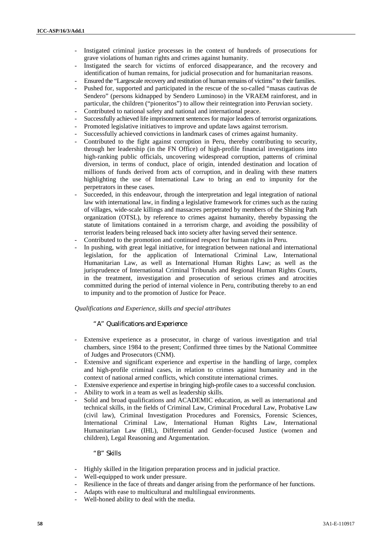- Instigated criminal justice processes in the context of hundreds of prosecutions for grave violations of human rights and crimes against humanity.
- Instigated the search for victims of enforced disappearance, and the recovery and identification of human remains, for judicial prosecution and for humanitarian reasons.
- Ensured the "Largescale recovery and restitution of human remains of victims" to their families.
- Pushed for, supported and participated in the rescue of the so-called "masas cautivas de Sendero" (persons kidnapped by Sendero Luminoso) in the VRAEM rainforest, and in particular, the children ("pioneritos") to allow their reintegration into Peruvian society.
- Contributed to national safety and national and international peace.
- Successfully achieved life imprisonment sentences for major leaders of terrorist organizations.
- Promoted legislative initiatives to improve and update laws against terrorism.
- Successfully achieved convictions in landmark cases of crimes against humanity.
- Contributed to the fight against corruption in Peru, thereby contributing to security, through her leadership (in the FN Office) of high-profile financial investigations into high-ranking public officials, uncovering widespread corruption, patterns of criminal diversion, in terms of conduct, place of origin, intended destination and location of millions of funds derived from acts of corruption, and in dealing with these matters highlighting the use of International Law to bring an end to impunity for the perpetrators in these cases.
- Succeeded, in this endeavour, through the interpretation and legal integration of national law with international law, in finding a legislative framework for crimes such as the razing of villages, wide-scale killings and massacres perpetrated by members of the Shining Path organization (OTSL), by reference to crimes against humanity, thereby bypassing the statute of limitations contained in a terrorism charge, and avoiding the possibility of terrorist leaders being released back into society after having served their sentence.
- Contributed to the promotion and continued respect for human rights in Peru.
- In pushing, with great legal initiative, for integration between national and international legislation, for the application of International Criminal Law, International Humanitarian Law, as well as International Human Rights Law; as well as the jurisprudence of International Criminal Tribunals and Regional Human Rights Courts, in the treatment, investigation and prosecution of serious crimes and atrocities committed during the period of internal violence in Peru, contributing thereby to an end to impunity and to the promotion of Justice for Peace.

#### *Qualifications and Experience, skills and special attributes*

#### *"A" Qualifications and Experience*

- Extensive experience as a prosecutor, in charge of various investigation and trial chambers, since 1984 to the present; Confirmed three times by the National Committee of Judges and Prosecutors (CNM).
- Extensive and significant experience and expertise in the handling of large, complex and high-profile criminal cases, in relation to crimes against humanity and in the context of national armed conflicts, which constitute international crimes.
- Extensive experience and expertise in bringing high-profile cases to a successful conclusion.
- Ability to work in a team as well as leadership skills.
- Solid and broad qualifications and ACADEMIC education, as well as international and technical skills, in the fields of Criminal Law, Criminal Procedural Law, Probative Law (civil law), Criminal Investigation Procedures and Forensics, Forensic Sciences, International Criminal Law, International Human Rights Law, International Humanitarian Law (IHL), Differential and Gender-focused Justice (women and children), Legal Reasoning and Argumentation.

### *"B" Skills*

- Highly skilled in the litigation preparation process and in judicial practice.
- Well-equipped to work under pressure.
- Resilience in the face of threats and danger arising from the performance of her functions.
- Adapts with ease to multicultural and multilingual environments.
- Well-honed ability to deal with the media.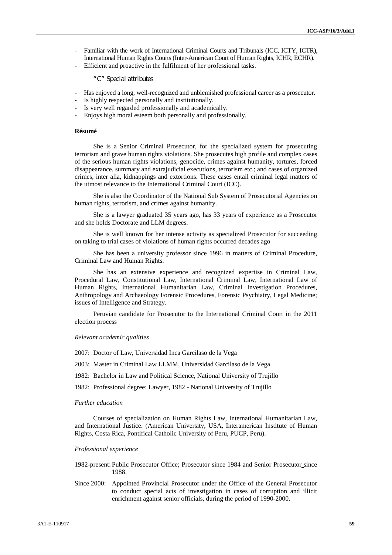- Familiar with the work of International Criminal Courts and Tribunals (ICC, ICTY, ICTR), International Human Rights Courts (Inter-American Court of Human Rights, ICHR, ECHR).
- Efficient and proactive in the fulfilment of her professional tasks.

#### *"C" Special attributes*

- Has enjoyed a long, well-recognized and unblemished professional career as a prosecutor.
- Is highly respected personally and institutionally.
- Is very well regarded professionally and academically.
- Enjoys high moral esteem both personally and professionally.

#### **Résumé**

She is a Senior Criminal Prosecutor, for the specialized system for prosecuting terrorism and grave human rights violations. She prosecutes high profile and complex cases of the serious human rights violations, genocide, crimes against humanity, tortures, forced disappearance, summary and extrajudicial executions, terrorism etc.; and cases of organized crimes, inter alia, kidnappings and extortions. These cases entail criminal legal matters of the utmost relevance to the International Criminal Court (ICC).

She is also the Coordinator of the National Sub System of Prosecutorial Agencies on human rights, terrorism, and crimes against humanity.

She is a lawyer graduated 35 years ago, has 33 years of experience as a Prosecutor and she holds Doctorate and LLM degrees.

She is well known for her intense activity as specialized Prosecutor for succeeding on taking to trial cases of violations of human rights occurred decades ago

She has been a university professor since 1996 in matters of Criminal Procedure, Criminal Law and Human Rights.

She has an extensive experience and recognized expertise in Criminal Law, Procedural Law, Constitutional Law, International Criminal Law, International Law of Human Rights, International Humanitarian Law, Criminal Investigation Procedures, Anthropology and Archaeology Forensic Procedures, Forensic Psychiatry, Legal Medicine; issues of Intelligence and Strategy.

Peruvian candidate for Prosecutor to the International Criminal Court in the 2011 election process

#### *Relevant academic qualities*

2007: Doctor of Law, Universidad Inca Garcilaso de la Vega

2003: Master in Criminal Law LLMM, Universidad Garcilaso de la Vega

1982: Bachelor in Law and Political Science, National University of Trujillo

1982: Professional degree: Lawyer, 1982 - National University of Trujillo

#### *Further education*

Courses of specialization on Human Rights Law, International Humanitarian Law, and International Justice. (American University, USA, Interamerican Institute of Human Rights, Costa Rica, Pontifical Catholic University of Peru, PUCP, Peru).

#### *Professional experience*

1982-present: Public Prosecutor Office; Prosecutor since 1984 and Senior Prosecutor since 1988.

Since 2000: Appointed Provincial Prosecutor under the Office of the General Prosecutor to conduct special acts of investigation in cases of corruption and illicit enrichment against senior officials, during the period of 1990-2000.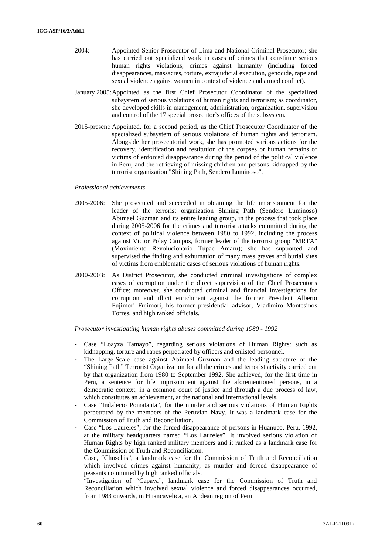- 2004: Appointed Senior Prosecutor of Lima and National Criminal Prosecutor; she has carried out specialized work in cases of crimes that constitute serious human rights violations, crimes against humanity (including forced disappearances, massacres, torture, extrajudicial execution, genocide, rape and sexual violence against women in context of violence and armed conflict).
- January 2005:Appointed as the first Chief Prosecutor Coordinator of the specialized subsystem of serious violations of human rights and terrorism; as coordinator, she developed skills in management, administration, organization, supervision and control of the 17 special prosecutor's offices of the subsystem.
- 2015-present: Appointed, for a second period, as the Chief Prosecutor Coordinator of the specialized subsystem of serious violations of human rights and terrorism. Alongside her prosecutorial work, she has promoted various actions for the recovery, identification and restitution of the corpses or human remains of victims of enforced disappearance during the period of the political violence in Peru; and the retrieving of missing children and persons kidnapped by the terrorist organization "Shining Path, Sendero Luminoso".

#### *Professional achievements*

- 2005-2006: She prosecuted and succeeded in obtaining the life imprisonment for the leader of the terrorist organization Shining Path (Sendero Luminoso) Abimael Guzman and its entire leading group, in the process that took place during 2005-2006 for the crimes and terrorist attacks committed during the context of political violence between 1980 to 1992, including the process against Victor Polay Campos, former leader of the terrorist group "MRTA" (Movimiento Revolucionario Túpac Amaru); she has supported and supervised the finding and exhumation of many mass graves and burial sites of victims from emblematic cases of serious violations of human rights.
- 2000-2003: As District Prosecutor, she conducted criminal investigations of complex cases of corruption under the direct supervision of the Chief Prosecutor's Office; moreover, she conducted criminal and financial investigations for corruption and illicit enrichment against the former President Alberto Fujimori Fujimori, his former presidential advisor, Vladimiro Montesinos Torres, and high ranked officials.

*Prosecutor investigating human rights abuses committed during 1980 - 1992*

- Case "Loayza Tamayo", regarding serious violations of Human Rights: such as kidnapping, torture and rapes perpetrated by officers and enlisted personnel.
- The Large-Scale case against Abimael Guzman and the leading structure of the "Shining Path" Terrorist Organization for all the crimes and terrorist activity carried out by that organization from 1980 to September 1992. She achieved, for the first time in Peru, a sentence for life imprisonment against the aforementioned persons, in a democratic context, in a common court of justice and through a due process of law, which constitutes an achievement, at the national and international levels.
- Case "Indalecio Pomatanta", for the murder and serious violations of Human Rights perpetrated by the members of the Peruvian Navy. It was a landmark case for the Commission of Truth and Reconciliation.
- Case "Los Laureles", for the forced disappearance of persons in Huanuco, Peru, 1992, at the military headquarters named "Los Laureles". It involved serious violation of Human Rights by high ranked military members and it ranked as a landmark case for the Commission of Truth and Reconciliation.
- Case, "Chuschis", a landmark case for the Commission of Truth and Reconciliation which involved crimes against humanity, as murder and forced disappearance of peasants committed by high ranked officials.
- "Investigation of "Capaya", landmark case for the Commission of Truth and Reconciliation which involved sexual violence and forced disappearances occurred, from 1983 onwards, in Huancavelica, an Andean region of Peru.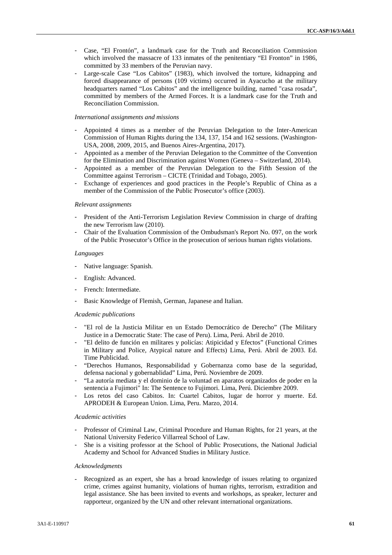- Case, "El Frontón", a landmark case for the Truth and Reconciliation Commission which involved the massacre of 133 inmates of the penitentiary "El Fronton" in 1986, committed by 33 members of the Peruvian navy.
- Large-scale Case "Los Cabitos" (1983), which involved the torture, kidnapping and forced disappearance of persons (109 victims) occurred in Ayacucho at the military headquarters named "Los Cabitos" and the intelligence building, named "casa rosada", committed by members of the Armed Forces. It is a landmark case for the Truth and Reconciliation Commission.

#### *International assignments and missions*

- Appointed 4 times as a member of the Peruvian Delegation to the Inter-American Commission of Human Rights during the 134, 137, 154 and 162 sessions. (Washington- USA, 2008, 2009, 2015, and Buenos Aires-Argentina, 2017).
- Appointed as a member of the Peruvian Delegation to the Committee of the Convention for the Elimination and Discrimination against Women (Geneva – Switzerland, 2014).
- Appointed as a member of the Peruvian Delegation to the Fifth Session of the Committee against Terrorism – CICTE (Trinidad and Tobago, 2005).
- Exchange of experiences and good practices in the People's Republic of China as a member of the Commission of the Public Prosecutor's office (2003).

#### *Relevant assignments*

- President of the Anti-Terrorism Legislation Review Commission in charge of drafting the new Terrorism law (2010).
- Chair of the Evaluation Commission of the Ombudsman's Report No. 097, on the work of the Public Prosecutor's Office in the prosecution of serious human rights violations.

#### *Languages*

- Native language: Spanish.
- English: Advanced.
- French: Intermediate.
- Basic Knowledge of Flemish, German, Japanese and Italian.

#### *Academic publications*

- "El rol de la Justicia Militar en un Estado Democrático de Derecho" (The Military Justice in a Democratic State: The case of Peru). Lima, Perú. Abril de 2010.
- "El delito de función en militares y policías: Atipicidad y Efectos" (Functional Crimes in Military and Police, Atypical nature and Effects) Lima, Perú. Abril de 2003. Ed. Time Publicidad.
- "Derechos Humanos, Responsabilidad y Gobernanza como base de la seguridad, defensa nacional y gobernablidad" Lima, Perú. Noviembre de 2009.
- "La autoría mediata y el dominio de la voluntad en aparatos organizados de poder en la sentencia a Fujimori" In: The Sentence to Fujimori. Lima, Perú. Diciembre 2009.
- Los retos del caso Cabitos. In: Cuartel Cabitos, lugar de horror y muerte. Ed. APRODEH & European Union. Lima, Peru. Marzo, 2014.

## *Academic activities*

- Professor of Criminal Law, Criminal Procedure and Human Rights, for 21 years, at the National University Federico Villarreal School of Law.
- She is a visiting professor at the School of Public Prosecutions, the National Judicial Academy and School for Advanced Studies in Military Justice.

#### *Acknowledgments*

- Recognized as an expert, she has a broad knowledge of issues relating to organized crime, crimes against humanity, violations of human rights, terrorism, extradition and legal assistance. She has been invited to events and workshops, as speaker, lecturer and rapporteur, organized by the UN and other relevant international organizations.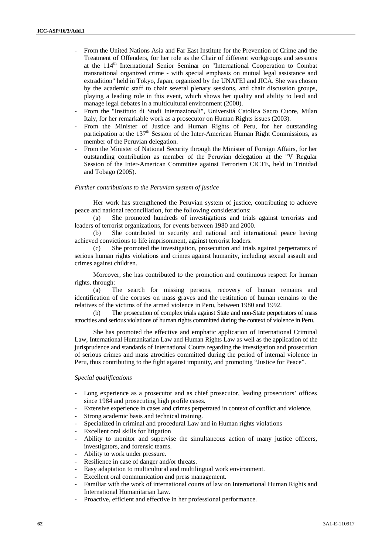- From the United Nations Asia and Far East Institute for the Prevention of Crime and the Treatment of Offenders, for her role as the Chair of different workgroups and sessions at the 114<sup>th</sup> International Senior Seminar on "International Cooperation to Combat transnational organized crime - with special emphasis on mutual legal assistance and extradition" held in Tokyo, Japan, organized by the UNAFEI and JICA. She was chosen by the academic staff to chair several plenary sessions, and chair discussion groups, playing a leading role in this event, which shows her quality and ability to lead and manage legal debates in a multicultural environment (2000).
- From the "Instituto di Studi Internazionali", Universitá Catolica Sacro Cuore, Milan Italy, for her remarkable work as a prosecutor on Human Rights issues (2003).
- From the Minister of Justice and Human Rights of Peru, for her outstanding participation at the  $137<sup>th</sup>$  Session of the Inter-American Human Right Commissions, as member of the Peruvian delegation.
- From the Minister of National Security through the Minister of Foreign Affairs, for her outstanding contribution as member of the Peruvian delegation at the "V Regular Session of the Inter-American Committee against Terrorism CICTE, held in Trinidad and Tobago (2005).

#### *Further contributions to the Peruvian system of justice*

Her work has strengthened the Peruvian system of justice, contributing to achieve peace and national reconciliation, for the following considerations:

(a) She promoted hundreds of investigations and trials against terrorists and leaders of terrorist organizations, for events between 1980 and 2000.

(b) She contributed to security and national and international peace having achieved convictions to life imprisonment, against terrorist leaders.

(c) She promoted the investigation, prosecution and trials against perpetrators of serious human rights violations and crimes against humanity, including sexual assault and crimes against children.

Moreover, she has contributed to the promotion and continuous respect for human rights, through:

(a) The search for missing persons, recovery of human remains and identification of the corpses on mass graves and the restitution of human remains to the relatives of the victims of the armed violence in Peru, between 1980 and 1992.

(b) The prosecution of complex trials against State and non-State perpetrators of mass atrocities and serious violations of human rights committed during the context of violence in Peru.

She has promoted the effective and emphatic application of International Criminal Law, International Humanitarian Law and Human Rights Law as well as the application of the jurisprudence and standards of International Courts regarding the investigation and prosecution of serious crimes and mass atrocities committed during the period of internal violence in Peru, thus contributing to the fight against impunity, and promoting "Justice for Peace".

# *Special qualifications*

- Long experience as a prosecutor and as chief prosecutor, leading prosecutors' offices since 1984 and prosecuting high profile cases.
- Extensive experience in cases and crimes perpetrated in context of conflict and violence.
- Strong academic basis and technical training.
- Specialized in criminal and procedural Law and in Human rights violations
- Excellent oral skills for litigation
- Ability to monitor and supervise the simultaneous action of many justice officers, investigators, and forensic teams.
- Ability to work under pressure.
- Resilience in case of danger and/or threats.
- Easy adaptation to multicultural and multilingual work environment.
- Excellent oral communication and press management.
- Familiar with the work of international courts of law on International Human Rights and International Humanitarian Law.
- Proactive, efficient and effective in her professional performance.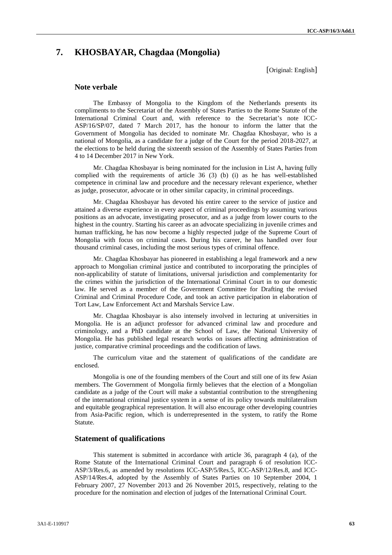# **7. KHOSBAYAR, Chagdaa (Mongolia)**

[Original: English]

### **Note verbale**

The Embassy of Mongolia to the Kingdom of the Netherlands presents its compliments to the Secretariat of the Assembly of States Parties to the Rome Statute of the International Criminal Court and, with reference to the Secretariat's note ICC- ASP/16/SP/07, dated 7 March 2017, has the honour to inform the latter that the Government of Mongolia has decided to nominate Mr. Chagdaa Khosbayar, who is a national of Mongolia, as a candidate for a judge of the Court for the period 2018-2027, at the elections to be held during the sixteenth session of the Assembly of States Parties from 4 to 14 December 2017 in New York.

Mr. Chagdaa Khosbayar is being nominated for the inclusion in List A, having fully complied with the requirements of article 36 (3) (b) (i) as he has well-established competence in criminal law and procedure and the necessary relevant experience, whether as judge, prosecutor, advocate or in other similar capacity, in criminal proceedings.

Mr. Chagdaa Khosbayar has devoted his entire career to the service of justice and attained a diverse experience in every aspect of criminal proceedings by assuming various positions as an advocate, investigating prosecutor, and as a judge from lower courts to the highest in the country. Starting his career as an advocate specializing in juvenile crimes and human trafficking, he has now become a highly respected judge of the Supreme Court of Mongolia with focus on criminal cases. During his career, he has handled over four thousand criminal cases, including the most serious types of criminal offence.

Mr. Chagdaa Khosbayar has pioneered in establishing a legal framework and a new approach to Mongolian criminal justice and contributed to incorporating the principles of non-applicability of statute of limitations, universal jurisdiction and complementarity for the crimes within the jurisdiction of the International Criminal Court in to our domestic law. He served as a member of the Government Committee for Drafting the revised Criminal and Criminal Procedure Code, and took an active participation in elaboration of Tort Law, Law Enforcement Act and Marshals Service Law.

Mr. Chagdaa Khosbayar is also intensely involved in lecturing at universities in Mongolia. He is an adjunct professor for advanced criminal law and procedure and criminology, and a PhD candidate at the School of Law, the National University of Mongolia. He has published legal research works on issues affecting administration of justice, comparative criminal proceedings and the codification of laws.

The curriculum vitae and the statement of qualifications of the candidate are enclosed.

Mongolia is one of the founding members of the Court and still one of its few Asian members. The Government of Mongolia firmly believes that the election of a Mongolian candidate as a judge of the Court will make a substantial contribution to the strengthening of the international criminal justice system in a sense of its policy towards multilateralism and equitable geographical representation. It will also encourage other developing countries from Asia-Pacific region, which is underrepresented in the system, to ratify the Rome Statute.

# **Statement of qualifications**

This statement is submitted in accordance with article 36, paragraph 4 (a), of the Rome Statute of the International Criminal Court and paragraph 6 of resolution ICC- ASP/3/Res.6, as amended by resolutions ICC-ASP/5/Res.5, ICC-ASP/12/Res.8, and ICC- ASP/14/Res.4, adopted by the Assembly of States Parties on 10 September 2004, 1 February 2007, 27 November 2013 and 26 November 2015, respectively, relating to the procedure for the nomination and election of judges of the International Criminal Court.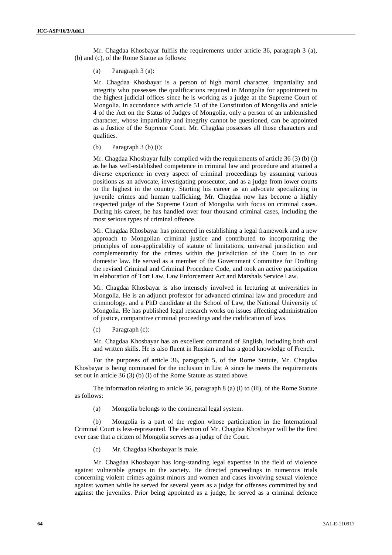Mr. Chagdaa Khosbayar fulfils the requirements under article 36, paragraph 3 (a), (b) and (c), of the Rome Statue as follows:

(a) Paragraph 3 (a):

Mr. Chagdaa Khosbayar is a person of high moral character, impartiality and integrity who possesses the qualifications required in Mongolia for appointment to the highest judicial offices since he is working as a judge at the Supreme Court of Mongolia. In accordance with article 51 of the Constitution of Mongolia and article 4 of the Act on the Status of Judges of Mongolia, only a person of an unblemished character, whose impartiality and integrity cannot be questioned, can be appointed as a Justice of the Supreme Court. Mr. Chagdaa possesses all those characters and qualities.

(b) Paragraph 3 (b) (i):

Mr. Chagdaa Khosbayar fully complied with the requirements of article 36 (3) (b) (i) as he has well-established competence in criminal law and procedure and attained a diverse experience in every aspect of criminal proceedings by assuming various positions as an advocate, investigating prosecutor, and as a judge from lower courts to the highest in the country. Starting his career as an advocate specializing in juvenile crimes and human trafficking, Mr. Chagdaa now has become a highly respected judge of the Supreme Court of Mongolia with focus on criminal cases. During his career, he has handled over four thousand criminal cases, including the most serious types of criminal offence.

Mr. Chagdaa Khosbayar has pioneered in establishing a legal framework and a new approach to Mongolian criminal justice and contributed to incorporating the principles of non-applicability of statute of limitations, universal jurisdiction and complementarity for the crimes within the jurisdiction of the Court in to our domestic law. He served as a member of the Government Committee for Drafting the revised Criminal and Criminal Procedure Code, and took an active participation in elaboration of Tort Law, Law Enforcement Act and Marshals Service Law.

Mr. Chagdaa Khosbayar is also intensely involved in lecturing at universities in Mongolia. He is an adjunct professor for advanced criminal law and procedure and criminology, and a PhD candidate at the School of Law, the National University of Mongolia. He has published legal research works on issues affecting administration of justice, comparative criminal proceedings and the codification of laws.

(c) Paragraph (c):

Mr. Chagdaa Khosbayar has an excellent command of English, including both oral and written skills. He is also fluent in Russian and has a good knowledge of French.

For the purposes of article 36, paragraph 5, of the Rome Statute, Mr. Chagdaa Khosbayar is being nominated for the inclusion in List A since he meets the requirements set out in article 36 (3) (b) (i) of the Rome Statute as stated above.

The information relating to article 36, paragraph 8 (a) (i) to (iii), of the Rome Statute as follows:

(a) Mongolia belongs to the continental legal system.

(b) Mongolia is a part of the region whose participation in the International Criminal Court is less-represented. The election of Mr. Chagdaa Khosbayar will be the first ever case that a citizen of Mongolia serves as a judge of the Court.

(c) Mr. Chagdaa Khosbayar is male.

Mr. Chagdaa Khosbayar has long-standing legal expertise in the field of violence against vulnerable groups in the society. He directed proceedings in numerous trials concerning violent crimes against minors and women and cases involving sexual violence against women while he served for several years as a judge for offenses committed by and against the juveniles. Prior being appointed as a judge, he served as a criminal defence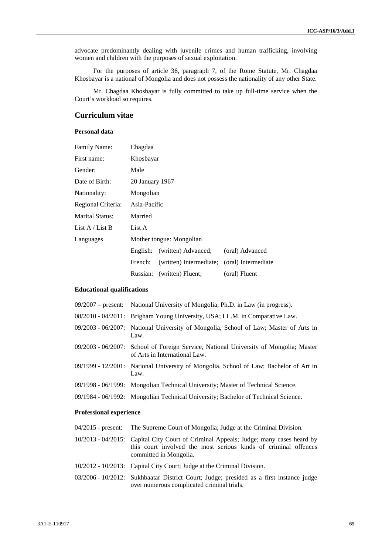advocate predominantly dealing with juvenile crimes and human trafficking, involving women and children with the purposes of sexual exploitation.

For the purposes of article 36, paragraph 7, of the Rome Statute, Mr. Chagdaa Khosbayar is a national of Mongolia and does not possess the nationality of any other State.

Mr. Chagdaa Khosbayar is fully committed to take up full-time service when the Court's workload so requires.

# **Curriculum vitae**

# **Personal data**

| Family Name:           | Chagdaa                  |                                             |                 |  |
|------------------------|--------------------------|---------------------------------------------|-----------------|--|
| First name:            | Khosbayar                |                                             |                 |  |
| Gender:                | Male                     |                                             |                 |  |
| Date of Birth:         | 20 January 1967          |                                             |                 |  |
| Nationality:           |                          | Mongolian                                   |                 |  |
| Regional Criteria:     | Asia-Pacific             |                                             |                 |  |
| <b>Marital Status:</b> | Married                  |                                             |                 |  |
| List $A /$ List B      | List A                   |                                             |                 |  |
| Languages              | Mother tongue: Mongolian |                                             |                 |  |
|                        | English:                 | (written) Advanced:                         | (oral) Advanced |  |
|                        | French:                  | (written) Intermediate; (oral) Intermediate |                 |  |
|                        | Russian:                 | (written) Fluent;                           | (oral) Fluent   |  |

# **Educational qualifications**

| $09/2007$ – present: National University of Mongolia; Ph.D. in Law (in progress).                                      |
|------------------------------------------------------------------------------------------------------------------------|
| 08/2010 - 04/2011: Brigham Young University, USA; LL.M. in Comparative Law.                                            |
| 09/2003 - 06/2007: National University of Mongolia, School of Law; Master of Arts in<br>Law.                           |
| 09/2003 - 06/2007: School of Foreign Service, National University of Mongolia; Master<br>of Arts in International Law. |
| 09/1999 - 12/2001: National University of Mongolia, School of Law; Bachelor of Art in<br>Law.                          |
| 09/1998 - 06/1999: Mongolian Technical University; Master of Technical Science.                                        |
| 09/1984 - 06/1992: Mongolian Technical University; Bachelor of Technical Science.                                      |

# **Professional experience**

| $04/2015$ - present: The Supreme Court of Mongolia; Judge at the Criminal Division.                                                                                                |  |
|------------------------------------------------------------------------------------------------------------------------------------------------------------------------------------|--|
| 10/2013 - 04/2015: Capital City Court of Criminal Appeals; Judge; many cases heard by<br>this court involved the most serious kinds of criminal offences<br>committed in Mongolia. |  |
| 10/2012 - 10/2013: Capital City Court; Judge at the Criminal Division.                                                                                                             |  |
| 03/2006 - 10/2012: Sukhbaatar District Court; Judge; presided as a first instance judge<br>over numerous complicated criminal trials.                                              |  |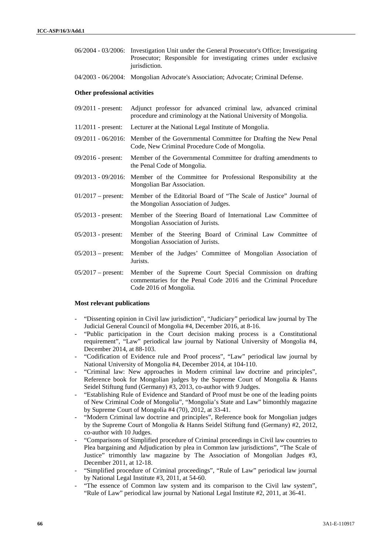- 06/2004 03/2006: Investigation Unit under the General Prosecutor's Office; Investigating Prosecutor; Responsible for investigating crimes under exclusive jurisdiction.
- 04/2003 06/2004: Mongolian Advocate's Association; Advocate; Criminal Defense.

#### **Other professional activities**

- 09/2011 present: Adjunct professor for advanced criminal law, advanced criminal procedure and criminology at the National University of Mongolia.
- 11/2011 present: Lecturer at the National Legal Institute of Mongolia.
- 09/2011 06/2016: Member of the Governmental Committee for Drafting the New Penal Code, New Criminal Procedure Code of Mongolia.
- 09/2016 present: Member of the Governmental Committee for drafting amendments to the Penal Code of Mongolia.
- 09/2013 09/2016: Member of the Committee for Professional Responsibility at the Mongolian Bar Association.
- 01/2017 present: Member of the Editorial Board of "The Scale of Justice" Journal of the Mongolian Association of Judges.
- 05/2013 present: Member of the Steering Board of International Law Committee of Mongolian Association of Jurists.
- 05/2013 present: Member of the Steering Board of Criminal Law Committee of Mongolian Association of Jurists.
- 05/2013 present: Member of the Judges' Committee of Mongolian Association of Jurists.
- 05/2017 present: Member of the Supreme Court Special Commission on drafting commentaries for the Penal Code 2016 and the Criminal Procedure Code 2016 of Mongolia.

#### **Most relevant publications**

- *-* "Dissenting opinion in Civil law jurisdiction", "Judiciary" periodical law journal by The Judicial General Council of Mongolia #4, December 2016, at 8-16.
- *-* "Public participation in the Court decision making process is a Constitutional requirement", "Law" periodical law journal by National University of Mongolia #4, December 2014, at 88-103.
- *-* "Codification of Evidence rule and Proof process", "Law" periodical law journal by National University of Mongolia #4, December 2014, at 104-110.
- *-* "Criminal law: New approaches in Modern criminal law doctrine and principles", Reference book for Mongolian judges by the Supreme Court of Mongolia & Hanns Seidel Stiftung fund (Germany) #3, 2013, co-author with 9 Judges.
- *-* "Establishing Rule of Evidence and Standard of Proof must be one of the leading points of New Criminal Code of Mongolia", "Mongolia's State and Law" bimonthly magazine by Supreme Court of Mongolia #4 (70), 2012, at 33-41.
- *-* "Modern Criminal law doctrine and principles", Reference book for Mongolian judges by the Supreme Court of Mongolia & Hanns Seidel Stiftung fund (Germany) #2, 2012, co-author with 10 Judges.
- *-* "Comparisons of Simplified procedure of Criminal proceedings in Civil law countries to Plea bargaining and Adjudication by plea in Common law jurisdictions", "The Scale of Justice" trimonthly law magazine by The Association of Mongolian Judges #3, December 2011, at 12-18.
- *-* "Simplified procedure of Criminal proceedings", "Rule of Law" periodical law journal by National Legal Institute #3, 2011, at 54-60.
- *-* "The essence of Common law system and its comparison to the Civil law system", "Rule of Law" periodical law journal by National Legal Institute #2, 2011, at 36-41.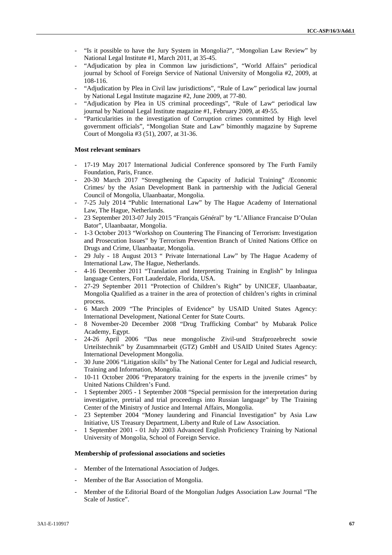- *-* "Is it possible to have the Jury System in Mongolia?", "Mongolian Law Review" by National Legal Institute #1, March 2011, at 35-45.
- *-* "Adjudication by plea in Common law jurisdictions", "World Affairs" periodical journal by School of Foreign Service of National University of Mongolia #2, 2009, at 108-116.
- *-* "Adjudication by Plea in Civil law jurisdictions", "Rule of Law" periodical law journal by National Legal Institute magazine #2, June 2009, at 77-80.
- *-* "Adjudication by Plea in US criminal proceedings", "Rule of Law" periodical law journal by National Legal Institute magazine #1, February 2009, at 49-55.
- *-* "Particularities in the investigation of Corruption crimes committed by High level government officials", "Mongolian State and Law" bimonthly magazine by Supreme Court of Mongolia #3 (51), 2007, at 31-36.

### **Most relevant seminars**

- *-* 17-19 May 2017 International Judicial Conference sponsored by The Furth Family Foundation, Paris, France.
- *-* 20-30 March 2017 "Strengthening the Capacity of Judicial Training" /Economic Crimes/ by the Asian Development Bank in partnership with the Judicial General Council of Mongolia, Ulaanbaatar, Mongolia.
- *-* 7-25 July 2014 "Public International Law" by The Hague Academy of International Law, The Hague, Netherlands.
- *-* 23 September 2013-07 July 2015 "Français Général" by "L'Alliance Francaise D'Oulan Bator", Ulaanbaatar, Mongolia.
- *-* 1-3 October 2013 "Workshop on Countering The Financing of Terrorism: Investigation and Prosecution Issues" by Terrorism Prevention Branch of United Nations Office on Drugs and Crime, Ulaanbaatar, Mongolia.
- *-* 29 July 18 August 2013 " Private International Law" by The Hague Academy of International Law, The Hague, Netherlands.
- *-* 4-16 December 2011 "Translation and Interpreting Training in English" by Inlingua language Centers, Fort Lauderdale, Florida, USA.
- *-* 27-29 September 2011 "Protection of Children's Right" by UNICEF, Ulaanbaatar, Mongolia Qualified as a trainer in the area of protection of children's rights in criminal process.
- *-* 6 March 2009 "The Principles of Evidence" by USAID United States Agency: International Development, National Center for State Courts.
- *-* 8 November-20 December 2008 "Drug Trafficking Combat" by Mubarak Police Academy, Egypt.
- *-* 24-26 April 2006 "Das neue mongolische Zivil-und Strafprozebrecht sowie Urteilstechnik" by Zusammnarbeit (GTZ) GmbH and USAID United States Agency: International Development Mongolia.
- *-* 30 June 2006 "Litigation skills" by The National Center for Legal and Judicial research, Training and Information, Mongolia.
- *-* 10-11 October 2006 "Preparatory training for the experts in the juvenile crimes" by United Nations Children's Fund.
- *-* 1 September 2005 1 September 2008 "Special permission for the interpretation during investigative, pretrial and trial proceedings into Russian language" by The Training Center of the Ministry of Justice and Internal Affairs, Mongolia.
- *-* 23 September 2004 "Money laundering and Financial Investigation" by Asia Law Initiative, US Treasury Department, Liberty and Rule of Law Association.
- *-* 1 September 2001 01 July 2003 Advanced English Proficiency Training by National University of Mongolia, School of Foreign Service.

### **Membership of professional associations and societies**

- *-* Member of the International Association of Judges.
- *-* Member of the Bar Association of Mongolia.
- *-* Member of the Editorial Board of the Mongolian Judges Association Law Journal "The Scale of Justice".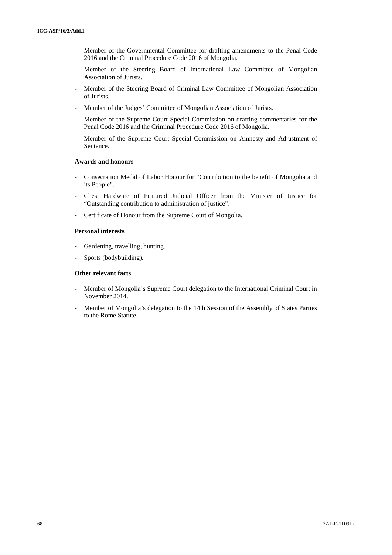- *-* Member of the Governmental Committee for drafting amendments to the Penal Code 2016 and the Criminal Procedure Code 2016 of Mongolia.
- *-* Member of the Steering Board of International Law Committee of Mongolian Association of Jurists.
- *-* Member of the Steering Board of Criminal Law Committee of Mongolian Association of Jurists.
- *-* Member of the Judges' Committee of Mongolian Association of Jurists.
- *-* Member of the Supreme Court Special Commission on drafting commentaries for the Penal Code 2016 and the Criminal Procedure Code 2016 of Mongolia.
- *-* Member of the Supreme Court Special Commission on Amnesty and Adjustment of Sentence.

# **Awards and honours**

- *-* Consecration Medal of Labor Honour for "Contribution to the benefit of Mongolia and its People".
- *-* Chest Hardware of Featured Judicial Officer from the Minister of Justice for "Outstanding contribution to administration of justice".
- *-* Certificate of Honour from the Supreme Court of Mongolia.

# **Personal interests**

- *-* Gardening, travelling, hunting.
- Sports (bodybuilding).

# **Other relevant facts**

- **-** Member of Mongolia's Supreme Court delegation to the International Criminal Court in November 2014.
- **-** Member of Mongolia's delegation to the 14th Session of the Assembly of States Parties to the Rome Statute.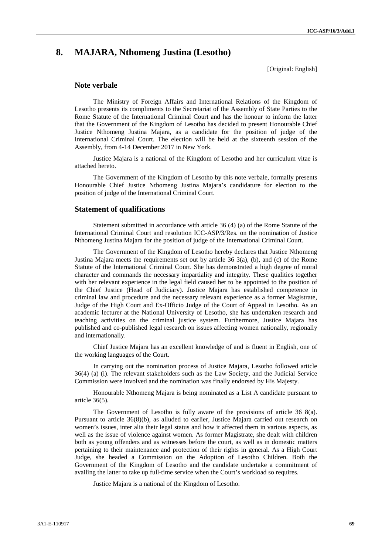# **8. MAJARA, Nthomeng Justina (Lesotho)**

[Original: English]

# **Note verbale**

The Ministry of Foreign Affairs and International Relations of the Kingdom of Lesotho presents its compliments to the Secretariat of the Assembly of State Parties to the Rome Statute of the International Criminal Court and has the honour to inform the latter that the Government of the Kingdom of Lesotho has decided to present Honourable Chief Justice Nthomeng Justina Majara, as a candidate for the position of judge of the International Criminal Court. The election will be held at the sixteenth session of the Assembly, from 4-14 December 2017 in New York.

Justice Majara is a national of the Kingdom of Lesotho and her curriculum vitae is attached hereto.

The Government of the Kingdom of Lesotho by this note verbale, formally presents Honourable Chief Justice Nthomeng Justina Majara's candidature for election to the position of judge of the International Criminal Court.

## **Statement of qualifications**

Statement submitted in accordance with article 36 (4) (a) of the Rome Statute of the International Criminal Court and resolution ICC-ASP/3/Res. on the nomination of Justice Nthomeng Justina Majara for the position of judge of the International Criminal Court.

The Government of the Kingdom of Lesotho hereby declares that Justice Nthomeng Justina Majara meets the requirements set out by article 36 3(a), (b), and (c) of the Rome Statute of the International Criminal Court. She has demonstrated a high degree of moral character and commands the necessary impartiality and integrity. These qualities together with her relevant experience in the legal field caused her to be appointed to the position of the Chief Justice (Head of Judiciary). Justice Majara has established competence in criminal law and procedure and the necessary relevant experience as a former Magistrate, Judge of the High Court and Ex-Officio Judge of the Court of Appeal in Lesotho. As an academic lecturer at the National University of Lesotho, she has undertaken research and teaching activities on the criminal justice system. Furthermore, Justice Majara has published and co-published legal research on issues affecting women nationally, regionally and internationally.

Chief Justice Majara has an excellent knowledge of and is fluent in English, one of the working languages of the Court.

In carrying out the nomination process of Justice Majara, Lesotho followed article 36(4) (a) (i). The relevant stakeholders such as the Law Society, and the Judicial Service Commission were involved and the nomination was finally endorsed by His Majesty.

Honourable Nthomeng Majara is being nominated as a List A candidate pursuant to article 36(5).

The Government of Lesotho is fully aware of the provisions of article 36 8(a). Pursuant to article 36(8)(b), as alluded to earlier, Justice Majara carried out research on women's issues, inter alia their legal status and how it affected them in various aspects, as well as the issue of violence against women. As former Magistrate, she dealt with children both as young offenders and as witnesses before the court, as well as in domestic matters pertaining to their maintenance and protection of their rights in general. As a High Court Judge, she headed a Commission on the Adoption of Lesotho Children. Both the Government of the Kingdom of Lesotho and the candidate undertake a commitment of availing the latter to take up full-time service when the Court's workload so requires.

Justice Majara is a national of the Kingdom of Lesotho.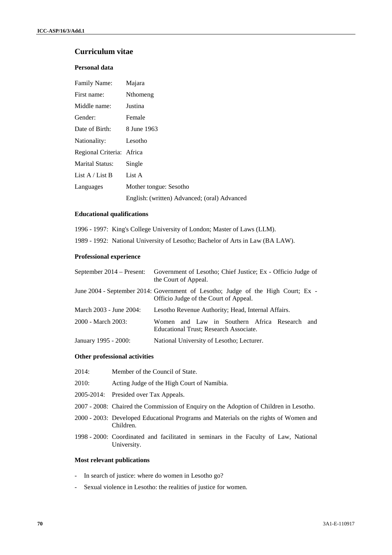# **Curriculum vitae**

# **Personal data**

| <b>Family Name:</b>       | Majara                                       |
|---------------------------|----------------------------------------------|
| First name:               | Nthomeng                                     |
| Middle name:              | Justina                                      |
| Gender:                   | Female                                       |
| Date of Birth:            | 8 June 1963                                  |
| Nationality:              | Lesotho                                      |
| Regional Criteria: Africa |                                              |
| <b>Marital Status:</b>    | Single                                       |
| List $A /$ List B         | List A                                       |
| Languages                 | Mother tongue: Sesotho                       |
|                           | English: (written) Advanced; (oral) Advanced |

# **Educational qualifications**

|  |  | 1996 - 1997: King's College University of London; Master of Laws (LLM). |  |  |
|--|--|-------------------------------------------------------------------------|--|--|
|--|--|-------------------------------------------------------------------------|--|--|

1989 - 1992: National University of Lesotho; Bachelor of Arts in Law (BA LAW).

# **Professional experience**

| September 2014 – Present: | Government of Lesotho; Chief Justice; Ex - Officio Judge of<br>the Court of Appeal.                                       |
|---------------------------|---------------------------------------------------------------------------------------------------------------------------|
|                           | June 2004 - September 2014: Government of Lesotho; Judge of the High Court; Ex -<br>Officio Judge of the Court of Appeal. |
| March 2003 - June 2004:   | Lesotho Revenue Authority; Head, Internal Affairs.                                                                        |
| 2000 - March 2003:        | Women and Law in Southern Africa Research and<br>Educational Trust; Research Associate.                                   |
| January 1995 - 2000:      | National University of Lesotho; Lecturer.                                                                                 |

# **Other professional activities**

| 2014:<br>Member of the Council of State. |  |
|------------------------------------------|--|
|------------------------------------------|--|

- 2010: Acting Judge of the High Court of Namibia.
- 2005-2014: Presided over Tax Appeals.
- 2007 2008: Chaired the Commission of Enquiry on the Adoption of Children in Lesotho.
- 2000 2003: Developed Educational Programs and Materials on the rights of Women and Children.
- 1998 2000: Coordinated and facilitated in seminars in the Faculty of Law, National University.

# **Most relevant publications**

- In search of justice: where do women in Lesotho go?
- Sexual violence in Lesotho: the realities of justice for women.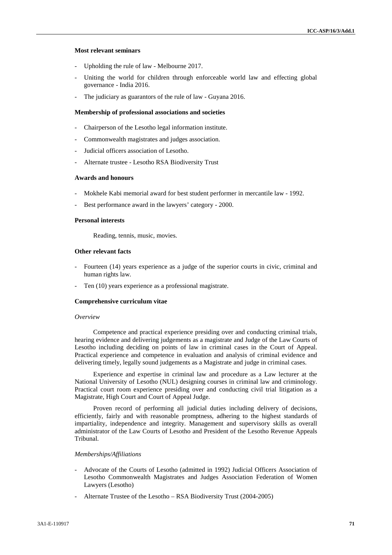### **Most relevant seminars**

- Upholding the rule of law Melbourne 2017.
- Uniting the world for children through enforceable world law and effecting global governance - India 2016.
- The judiciary as guarantors of the rule of law Guyana 2016.

### **Membership of professional associations and societies**

- Chairperson of the Lesotho legal information institute.
- Commonwealth magistrates and judges association.
- Judicial officers association of Lesotho.
- Alternate trustee Lesotho RSA Biodiversity Trust

# **Awards and honours**

- Mokhele Kabi memorial award for best student performer in mercantile law 1992.
- Best performance award in the lawyers' category 2000.

# **Personal interests**

Reading, tennis, music, movies.

#### **Other relevant facts**

- Fourteen (14) years experience as a judge of the superior courts in civic, criminal and human rights law.
- Ten (10) years experience as a professional magistrate.

#### **Comprehensive curriculum vitae**

### *Overview*

Competence and practical experience presiding over and conducting criminal trials, hearing evidence and delivering judgements as a magistrate and Judge of the Law Courts of Lesotho including deciding on points of law in criminal cases in the Court of Appeal. Practical experience and competence in evaluation and analysis of criminal evidence and delivering timely, legally sound judgements as a Magistrate and judge in criminal cases.

Experience and expertise in criminal law and procedure as a Law lecturer at the National University of Lesotho (NUL) designing courses in criminal law and criminology. Practical court room experience presiding over and conducting civil trial litigation as a Magistrate, High Court and Court of Appeal Judge.

Proven record of performing all judicial duties including delivery of decisions, efficiently, fairly and with reasonable promptness, adhering to the highest standards of impartiality, independence and integrity. Management and supervisory skills as overall administrator of the Law Courts of Lesotho and President of the Lesotho Revenue Appeals Tribunal.

### *Memberships/Affiliations*

- Advocate of the Courts of Lesotho (admitted in 1992) Judicial Officers Association of Lesotho Commonwealth Magistrates and Judges Association Federation of Women Lawyers (Lesotho)
- Alternate Trustee of the Lesotho RSA Biodiversity Trust (2004-2005)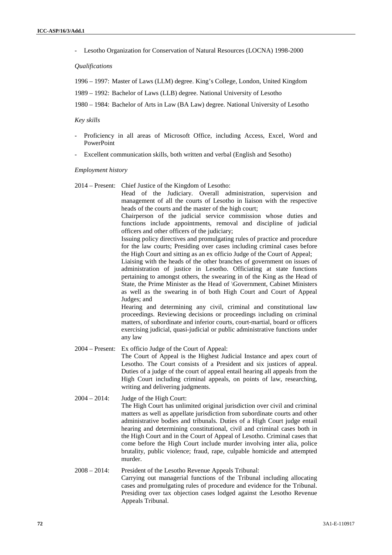- Lesotho Organization for Conservation of Natural Resources (LOCNA) 1998-2000

*Qualifications*

1996 – 1997: Master of Laws (LLM) degree. King's College, London, United Kingdom

1989 – 1992: Bachelor of Laws (LLB) degree. National University of Lesotho

1980 – 1984: Bachelor of Arts in Law (BA Law) degree. National University of Lesotho

### *Key skills*

- Proficiency in all areas of Microsoft Office, including Access, Excel, Word and PowerPoint
- Excellent communication skills, both written and verbal (English and Sesotho)

### *Employment history*

2014 – Present: Chief Justice of the Kingdom of Lesotho:

Head of the Judiciary. Overall administration, supervision and management of all the courts of Lesotho in liaison with the respective heads of the courts and the master of the high court;

Chairperson of the judicial service commission whose duties and functions include appointments, removal and discipline of judicial officers and other officers of the judiciary;

Issuing policy directives and promulgating rules of practice and procedure for the law courts; Presiding over cases including criminal cases before the High Court and sitting as an ex officio Judge of the Court of Appeal;

Liaising with the heads of the other branches of government on issues of administration of justice in Lesotho. Officiating at state functions pertaining to amongst others, the swearing in of the King as the Head of State, the Prime Minister as the Head of \Government, Cabinet Ministers as well as the swearing in of both High Court and Court of Appeal Judges; and

Hearing and determining any civil, criminal and constitutional law proceedings. Reviewing decisions or proceedings including on criminal matters, of subordinate and inferior courts, court-martial, board or officers exercising judicial, quasi-judicial or public administrative functions under any law

2004 – Present: Ex officio Judge of the Court of Appeal:

The Court of Appeal is the Highest Judicial Instance and apex court of Lesotho. The Court consists of a President and six justices of appeal. Duties of a judge of the court of appeal entail hearing all appeals from the High Court including criminal appeals, on points of law, researching, writing and delivering judgments.

2004 – 2014: Judge of the High Court:

The High Court has unlimited original jurisdiction over civil and criminal matters as well as appellate jurisdiction from subordinate courts and other administrative bodies and tribunals. Duties of a High Court judge entail hearing and determining constitutional, civil and criminal cases both in the High Court and in the Court of Appeal of Lesotho. Criminal cases that come before the High Court include murder involving inter alia, police brutality, public violence; fraud, rape, culpable homicide and attempted murder.

# 2008 – 2014: President of the Lesotho Revenue Appeals Tribunal:

Carrying out managerial functions of the Tribunal including allocating cases and promulgating rules of procedure and evidence for the Tribunal. Presiding over tax objection cases lodged against the Lesotho Revenue Appeals Tribunal.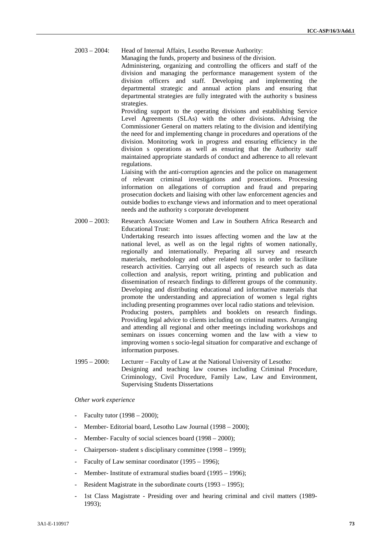2003 – 2004: Head of Internal Affairs, Lesotho Revenue Authority:

Managing the funds, property and business of the division.

Administering, organizing and controlling the officers and staff of the division and managing the performance management system of the division officers and staff. Developing and implementing the departmental strategic and annual action plans and ensuring that departmental strategies are fully integrated with the authority s business strategies.

Providing support to the operating divisions and establishing Service Level Agreements (SLAs) with the other divisions. Advising the Commissioner General on matters relating to the division and identifying the need for and implementing change in procedures and operations of the division. Monitoring work in progress and ensuring efficiency in the division s operations as well as ensuring that the Authority staff maintained appropriate standards of conduct and adherence to all relevant regulations.

Liaising with the anti-corruption agencies and the police on management of relevant criminal investigations and prosecutions. Processing information on allegations of corruption and fraud and preparing prosecution dockets and liaising with other law enforcement agencies and outside bodies to exchange views and information and to meet operational needs and the authority s corporate development

2000 – 2003: Research Associate Women and Law in Southern Africa Research and Educational Trust:

> Undertaking research into issues affecting women and the law at the national level, as well as on the legal rights of women nationally, regionally and internationally. Preparing all survey and research materials, methodology and other related topics in order to facilitate research activities. Carrying out all aspects of research such as data collection and analysis, report writing, printing and publication and dissemination of research findings to different groups of the community. Developing and distributing educational and informative materials that promote the understanding and appreciation of women s legal rights including presenting programmes over local radio stations and television. Producing posters, pamphlets and booklets on research findings. Providing legal advice to clients including on criminal matters. Arranging and attending all regional and other meetings including workshops and seminars on issues concerning women and the law with a view to improving women s socio-legal situation for comparative and exchange of information purposes.

1995 – 2000: Lecturer – Faculty of Law at the National University of Lesotho: Designing and teaching law courses including Criminal Procedure, Criminology, Civil Procedure, Family Law, Law and Environment, Supervising Students Dissertations

# *Other work experience*

- Faculty tutor  $(1998 2000)$ ;
- Member- Editorial board, Lesotho Law Journal (1998 2000);
- Member- Faculty of social sciences board (1998 2000);
- Chairperson- student s disciplinary committee (1998 1999);
- Faculty of Law seminar coordinator (1995 1996);
- Member- Institute of extramural studies board (1995 1996):
- Resident Magistrate in the subordinate courts (1993 1995);
- 1st Class Magistrate -Presiding over and hearing criminal and civil matters (1989- 1993);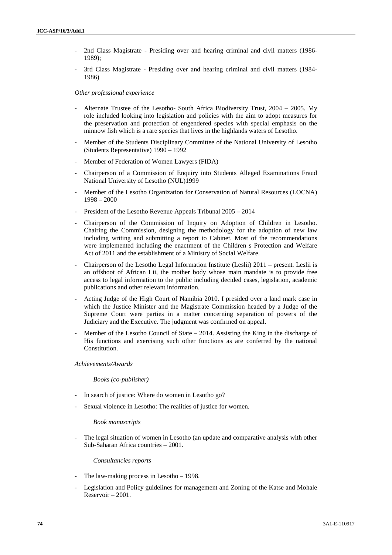- 2nd Class Magistrate Presiding over and hearing criminal and civil matters (1986- 1989);
- 3rd Class Magistrate Presiding over and hearing criminal and civil matters (1984– 1986)

### *Other professional experience*

- Alternate Trustee of the Lesotho- South Africa Biodiversity Trust,  $2004 2005$ . My role included looking into legislation and policies with the aim to adopt measures for the preservation and protection of engendered species with special emphasis on the minnow fish which is a rare species that lives in the highlands waters of Lesotho.
- Member of the Students Disciplinary Committee of the National University of Lesotho (Students Representative) 1990 – 1992
- Member of Federation of Women Lawyers (FIDA)
- Chairperson of a Commission of Enquiry into Students Alleged Examinations Fraud National University of Lesotho (NUL)1999
- Member of the Lesotho Organization for Conservation of Natural Resources (LOCNA) 1998 – 2000
- President of the Lesotho Revenue Appeals Tribunal 2005 2014
- Chairperson of the Commission of Inquiry on Adoption of Children in Lesotho. Chairing the Commission, designing the methodology for the adoption of new law including writing and submitting a report to Cabinet. Most of the recommendations were implemented including the enactment of the Children s Protection and Welfare Act of 2011 and the establishment of a Ministry of Social Welfare.
- Chairperson of the Lesotho Legal Information Institute (Leslii) 2011 present. Leslii is an offshoot of African Lii, the mother body whose main mandate is to provide free access to legal information to the public including decided cases, legislation, academic publications and other relevant information.
- Acting Judge of the High Court of Namibia 2010. I presided over a land mark case in which the Justice Minister and the Magistrate Commission headed by a Judge of the Supreme Court were parties in a matter concerning separation of powers of the Judiciary and the Executive. The judgment was confirmed on appeal.
- Member of the Lesotho Council of State  $-2014$ . Assisting the King in the discharge of His functions and exercising such other functions as are conferred by the national Constitution.

### *Achievements/Awards*

### *Books (co-publisher)*

- In search of justice: Where do women in Lesotho go?
- Sexual violence in Lesotho: The realities of justice for women.

### *Book manuscripts*

The legal situation of women in Lesotho (an update and comparative analysis with other Sub-Saharan Africa countries – 2001.

### *Consultancies reports*

- The law-making process in Lesotho  $-$  1998.
- Legislation and Policy guidelines for management and Zoning of the Katse and Mohale Reservoir – 2001.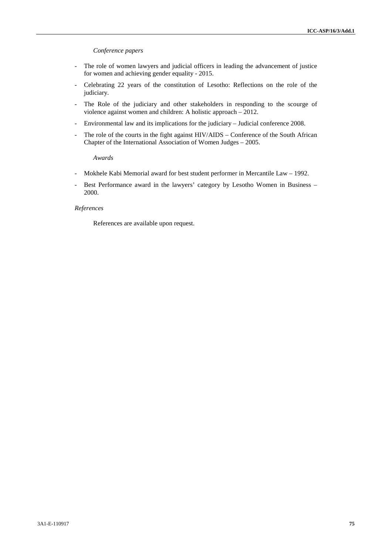## *Conference papers*

- The role of women lawyers and judicial officers in leading the advancement of justice for women and achieving gender equality - 2015.
- Celebrating 22 years of the constitution of Lesotho: Reflections on the role of the judiciary.
- The Role of the judiciary and other stakeholders in responding to the scourge of violence against women and children: A holistic approach – 2012.
- Environmental law and its implications for the judiciary Judicial conference 2008.
- The role of the courts in the fight against HIV/AIDS Conference of the South African Chapter of the International Association of Women Judges – 2005.

*Awards*

- Mokhele Kabi Memorial award for best student performer in Mercantile Law 1992.
- Best Performance award in the lawyers' category by Lesotho Women in Business -2000.

## *References*

References are available upon request.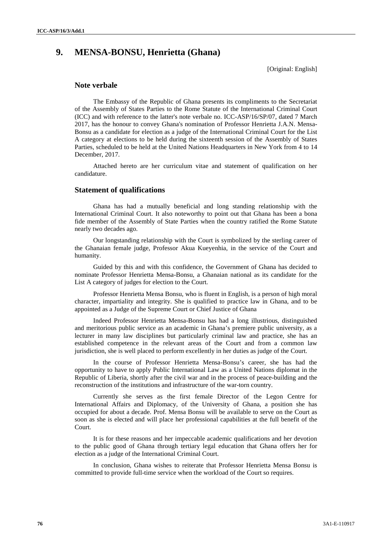# **9. MENSA-BONSU, Henrietta (Ghana)**

[Original: English]

# **Note verbale**

The Embassy of the Republic of Ghana presents its compliments to the Secretariat of the Assembly of States Parties to the Rome Statute of the International Criminal Court (ICC) and with reference to the latter's note verbale no. ICC-ASP/16/SP/07, dated 7 March 2017, has the honour to convey Ghana's nomination of Professor Henrietta J.A.N. Mensa- Bonsu as a candidate for election as a judge of the International Criminal Court for the List A category at elections to be held during the sixteenth session of the Assembly of States Parties, scheduled to be held at the United Nations Headquarters in New York from 4 to 14 December, 2017.

Attached hereto are her curriculum vitae and statement of qualification on her candidature.

## **Statement of qualifications**

Ghana has had a mutually beneficial and long standing relationship with the International Criminal Court. It also noteworthy to point out that Ghana has been a bona fide member of the Assembly of State Parties when the country ratified the Rome Statute nearly two decades ago.

Our longstanding relationship with the Court is symbolized by the sterling career of the Ghanaian female judge, Professor Akua Kueyenhia, in the service of the Court and humanity.

Guided by this and with this confidence, the Government of Ghana has decided to nominate Professor Henrietta Mensa-Bonsu, a Ghanaian national as its candidate for the List A category of judges for election to the Court.

Professor Henrietta Mensa Bonsu, who is fluent in English, is a person of high moral character, impartiality and integrity. She is qualified to practice law in Ghana, and to be appointed as a Judge of the Supreme Court or Chief Justice of Ghana

Indeed Professor Henrietta Mensa-Bonsu has had a long illustrious, distinguished and meritorious public service as an academic in Ghana's premiere public university, as a lecturer in many law disciplines but particularly criminal law and practice, she has an established competence in the relevant areas of the Court and from a common law jurisdiction, she is well placed to perform excellently in her duties as judge of the Court.

In the course of Professor Henrietta Mensa-Bonsu's career, she has had the opportunity to have to apply Public International Law as a United Nations diplomat in the Republic of Liberia, shortly after the civil war and in the process of peace-building and the reconstruction of the institutions and infrastructure of the war-torn country.

Currently she serves as the first female Director of the Legon Centre for International Affairs and Diplomacy, of the University of Ghana, a position she has occupied for about a decade. Prof. Mensa Bonsu will be available to serve on the Court as soon as she is elected and will place her professional capabilities at the full benefit of the Court.

It is for these reasons and her impeccable academic qualifications and her devotion to the public good of Ghana through tertiary legal education that Ghana offers her for election as a judge of the International Criminal Court.

In conclusion, Ghana wishes to reiterate that Professor Henrietta Mensa Bonsu is committed to provide full-time service when the workload of the Court so requires.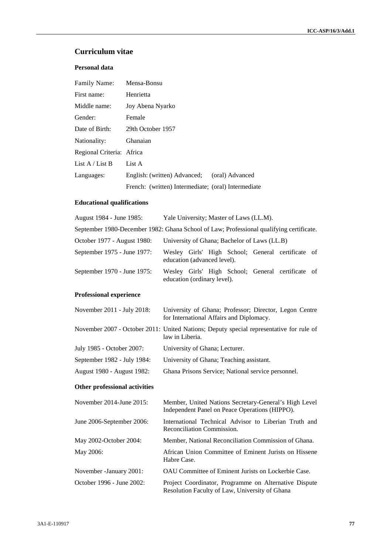# **Curriculum vitae**

# **Personal data**

| <b>Family Name:</b>       | Mensa-Bonsu                                         |
|---------------------------|-----------------------------------------------------|
| First name:               | Henrietta                                           |
| Middle name:              | Joy Abena Nyarko                                    |
| Gender:                   | Female                                              |
| Date of Birth:            | 29th October 1957                                   |
| Nationality:              | Ghanaian                                            |
| Regional Criteria: Africa |                                                     |
| List $A /$ List B         | List A                                              |
| Languages:                | English: (written) Advanced;<br>(oral) Advanced     |
|                           | French: (written) Intermediate; (oral) Intermediate |

# **Educational qualifications**

| August 1984 - June 1985:                                                                | Yale University; Master of Laws (LL.M).      |  |  |  |  |                                                   |  |
|-----------------------------------------------------------------------------------------|----------------------------------------------|--|--|--|--|---------------------------------------------------|--|
| September 1980-December 1982: Ghana School of Law; Professional qualifying certificate. |                                              |  |  |  |  |                                                   |  |
| October 1977 - August 1980:                                                             | University of Ghana; Bachelor of Laws (LL.B) |  |  |  |  |                                                   |  |
| September 1975 - June 1977:                                                             | education (advanced level).                  |  |  |  |  | Wesley Girls' High School; General certificate of |  |
| September 1970 - June 1975:                                                             | education (ordinary level).                  |  |  |  |  | Wesley Girls' High School; General certificate of |  |

# **Professional experience**

| November 2011 - July 2018:     | University of Ghana; Professor; Director, Legon Centre<br>for International Affairs and Diplomacy.         |
|--------------------------------|------------------------------------------------------------------------------------------------------------|
|                                | November 2007 - October 2011: United Nations; Deputy special representative for rule of<br>law in Liberia. |
| July 1985 - October 2007:      | University of Ghana; Lecturer.                                                                             |
| September 1982 - July 1984:    | University of Ghana; Teaching assistant.                                                                   |
| August 1980 - August 1982:     | Ghana Prisons Service; National service personnel.                                                         |
| Other professional activities  |                                                                                                            |
|                                |                                                                                                            |
| November $2014$ -June $2015$ : | Member, United Nations Secretary-General's High Level<br>Independent Panel on Peace Operations (HIPPO).    |
| June 2006-September 2006:      | International Technical Advisor to Liberian Truth and<br>Reconciliation Commission.                        |

May 2006: African Union Committee of Eminent Jurists on Hissene Habre Case.

November -January 2001: OAU Committee of Eminent Jurists on Lockerbie Case.

October 1996 - June 2002: Project Coordinator, Programme on Alternative Dispute Resolution Faculty of Law, University of Ghana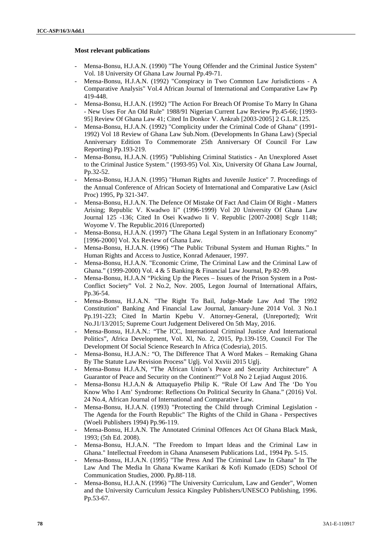## **Most relevant publications**

- Mensa-Bonsu, H.J.A.N. (1990) "The Young Offender and the Criminal Justice System" Vol. 18 University Of Ghana Law Journal Pp.49-71.
- Mensa-Bonsu, H.J.A.N. (1992) "Conspiracy in Two Common Law Jurisdictions A Comparative Analysis" Vol.4 African Journal of International and Comparative Law Pp 419-448.
- Mensa-Bonsu, H.J.A.N. (1992) "The Action For Breach Of Promise To Marry In Ghana - New Uses For An Old Rule" 1988/91 Nigerian Current Law Review Pp.45-66; [1993- 95] Review Of Ghana Law 41; Cited In Donkor V. Ankrah [2003-2005] 2 G.L.R.125.
- Mensa-Bonsu, H.J.A.N. (1992) "Complicity under the Criminal Code of Ghana" (1991- 1992) Vol 18 Review of Ghana Law Sub.Nom. (Developments In Ghana Law) (Special Anniversary Edition To Commemorate 25th Anniversary Of Council For Law Reporting) Pp.193-219.
- Mensa-Bonsu, H.J.A.N. (1995) "Publishing Criminal Statistics An Unexplored Asset to the Criminal Justice System." (1993-95) Vol. Xix, University Of Ghana Law Journal, Pp.32-52.
- Mensa-Bonsu, H.J.A.N. (1995) "Human Rights and Juvenile Justice" 7. Proceedings of the Annual Conference of African Society of International and Comparative Law (Asicl Proc) 1995, Pp 321-347.
- Mensa-Bonsu, H.J.A.N. The Defence Of Mistake Of Fact And Claim Of Right Matters Arising; Republic V. Kwadwo Ii" (1996-1999) Vol 20 University Of Ghana Law Journal 125 -136; Cited In Osei Kwadwo Ii V. Republic [2007-2008] Scglr 1148; Woyome V. The Republic.2016 (Unreported)
- Mensa-Bonsu, H.J.A.N. (1997) "The Ghana Legal System in an Inflationary Economy" [1996-2000] Vol. Xx Review of Ghana Law.
- Mensa-Bonsu, H.J.A.N. (1996) "The Public Tribunal System and Human Rights." In Human Rights and Access to Justice, Konrad Adenauer, 1997.
- Mensa-Bonsu, H.J.A.N. "Economic Crime, The Criminal Law and the Criminal Law of Ghana." (1999-2000) Vol. 4 & 5 Banking & Financial Law Journal, Pp 82-99.
- Mensa-Bonsu, H.J.A.N "Picking Up the Pieces Issues of the Prison System in a Post-Conflict Society" Vol. 2 No.2, Nov. 2005, Legon Journal of International Affairs, Pp.36-54.
- Mensa-Bonsu, H.J.A.N. "The Right To Bail, Judge-Made Law And The 1992 Constitution" Banking And Financial Law Journal, January-June 2014 Vol. 3 No.1 Pp.191-223; Cited In Martin Kpebu V. Attorney-General, (Unreported); Writ No.J1/13/2015; Supreme Court Judgement Delivered On 5th May, 2016.
- Mensa-Bonsu, H.J.A.N.: "The ICC, International Criminal Justice And International Politics", Africa Development, Vol. Xl, No. 2, 2015, Pp.139-159, Council For The Development Of Social Science Research In Africa (Codesria), 2015.
- Mensa-Bonsu, H.J.A.N.: "O, The Difference That A Word Makes Remaking Ghana By The Statute Law Revision Process" Uglj. Vol Xxviii 2015 Uglj.
- Mensa-Bonsu H.J.A.N, "The African Union's Peace and Security Architecture" A Guarantor of Peace and Security on the Continent?" Vol.8 No 2 Lejiad August 2016.
- Mensa-Bonsu H.J.A.N & Attuquayefio Philip K. "Rule Of Law And The 'Do You Know Who I Am' Syndrome: Reflections On Political Security In Ghana." (2016) Vol. 24 No.4, African Journal of International and Comparative Law.
- Mensa-Bonsu, H.J.A.N. (1993) "Protecting the Child through Criminal Legislation -The Agenda for the Fourth Republic" The Rights of the Child in Ghana - Perspectives (Woeli Publishers 1994) Pp.96-119.
- Mensa-Bonsu, H.J.A.N. The Annotated Criminal Offences Act Of Ghana Black Mask, 1993; (5th Ed. 2008).
- Mensa-Bonsu, H.J.A.N. "The Freedom to Impart Ideas and the Criminal Law in Ghana." Intellectual Freedom in Ghana Anansesem Publications Ltd., 1994 Pp. 5-15.
- Mensa-Bonsu, H.J.A.N. (1995) "The Press And The Criminal Law In Ghana" In The Law And The Media In Ghana Kwame Karikari & Kofi Kumado (EDS) School Of Communication Studies, 2000. Pp.88-118.
- Mensa-Bonsu, H.J.A.N. (1996) "The University Curriculum, Law and Gender", Women and the University Curriculum Jessica Kingsley Publishers/UNESCO Publishing, 1996. Pp.53-67.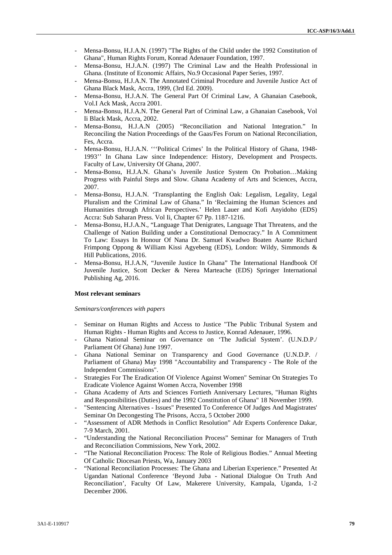- Mensa-Bonsu, H.J.A.N. (1997) "The Rights of the Child under the 1992 Constitution of Ghana", Human Rights Forum, Konrad Adenauer Foundation, 1997.
- Mensa-Bonsu, H.J.A.N. (1997) The Criminal Law and the Health Professional in Ghana. (Institute of Economic Affairs, No.9 Occasional Paper Series, 1997.
- Mensa-Bonsu, H.J.A.N. The Annotated Criminal Procedure and Juvenile Justice Act of Ghana Black Mask, Accra, 1999, (3rd Ed. 2009).
- Mensa-Bonsu, H.J.A.N. The General Part Of Criminal Law, A Ghanaian Casebook, Vol.I Ack Mask, Accra 2001.
- Mensa-Bonsu, H.J.A.N. The General Part of Criminal Law, a Ghanaian Casebook, Vol Ii Black Mask, Accra, 2002.
- Mensa-Bonsu, H.J.A.N (2005) "Reconciliation and National Integration." In Reconciling the Nation Proceedings of the Gaas/Fes Forum on National Reconciliation, Fes, Accra.
- Mensa-Bonsu, H.J.A.N. "'Political Crimes' In the Political History of Ghana, 1948-1993'' In Ghana Law since Independence: History, Development and Prospects. Faculty of Law, University Of Ghana, 2007.
- Mensa-Bonsu, H.J.A.N. Ghana's Juvenile Justice System On Probation…Making Progress with Painful Steps and Slow. Ghana Academy of Arts and Sciences, Accra, 2007.
- Mensa-Bonsu, H.J.A.N. 'Transplanting the English Oak: Legalism, Legality, Legal Pluralism and the Criminal Law of Ghana." In 'Reclaiming the Human Sciences and Humanities through African Perspectives.' Helen Lauer and Kofi Anyidoho (EDS) Accra: Sub Saharan Press. Vol Ii, Chapter 67 Pp. 1187-1216.
- Mensa-Bonsu, H.J.A.N., "Language That Denigrates, Language That Threatens, and the Challenge of Nation Building under a Constitutional Democracy." In A Commitment To Law: Essays In Honour Of Nana Dr. Samuel Kwadwo Boaten Asante Richard Frimpong Oppong & William Kissi Agyebeng (EDS), London: Wildy, Simmonds & Hill Publications, 2016.
- Mensa-Bonsu, H.J.A.N, "Juvenile Justice In Ghana" The International Handbook Of Juvenile Justice, Scott Decker & Nerea Marteache (EDS) Springer International Publishing Ag, 2016.

## **Most relevant seminars**

### *Seminars/conferences with papers*

- Seminar on Human Rights and Access to Justice "The Public Tribunal System and Human Rights - Human Rights and Access to Justice, Konrad Adenauer, 1996.
- Ghana National Seminar on Governance on 'The Judicial System'. (U.N.D.P./ Parliament Of Ghana) June 1997.
- Ghana National Seminar on Transparency and Good Governance (U.N.D.P. / Parliament of Ghana) May 1998 "Accountability and Transparency - The Role of the Independent Commissions".
- Strategies For The Eradication Of Violence Against Women" Seminar On Strategies To Eradicate Violence Against Women Accra, November 1998
- Ghana Academy of Arts and Sciences Fortieth Anniversary Lectures, "Human Rights and Responsibilities (Duties) and the 1992 Constitution of Ghana" 18 November 1999.
- "Sentencing Alternatives Issues" Presented To Conference Of Judges And Magistrates' Seminar On Decongesting The Prisons, Accra, 5 October 2000
- "Assessment of ADR Methods in Conflict Resolution" Adr Experts Conference Dakar, 7-9 March, 2001.
- "Understanding the National Reconciliation Process" Seminar for Managers of Truth and Reconciliation Commissions, New York, 2002.
- "The National Reconciliation Process: The Role of Religious Bodies." Annual Meeting Of Catholic Diocesan Priests, Wa, January 2003
- "National Reconciliation Processes: The Ghana and Liberian Experience." Presented At Ugandan National Conference 'Beyond Juba - National Dialogue On Truth And Reconciliation', Faculty Of Law, Makerere University, Kampala, Uganda, 1-2 December 2006.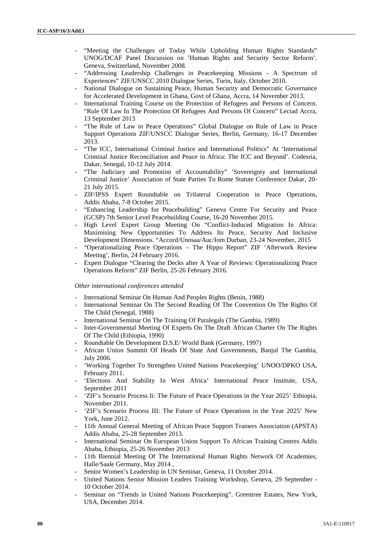- "Meeting the Challenges of Today While Upholding Human Rights Standards" UNOG/DCAF Panel Discussion on 'Human Rights and Security Sector Reform'. Geneva, Switzerland, November 2008.
- "Addressing Leadership Challenges in Peacekeeping Missions A Spectrum of Experiences" ZIF/UNSCC 2010 Dialogue Series, Turin, Italy, October 2010.
- National Dialogue on Sustaining Peace, Human Security and Democratic Governance for Accelerated Development in Ghana, Govt of Ghana, Accra, 14 November 2013.
- International Training Course on the Protection of Refugees and Persons of Concern. "Rule Of Law In The Protection Of Refugees And Persons Of Concern" Leciad Accra, 13 September 2013
- "The Rule of Law in Peace Operations" Global Dialogue on Rule of Law in Peace Support Operations ZIF/UNSCC Dialogue Series, Berlin, Germany, 16-17 December 2013.
- "The ICC, International Criminal Justice and International Politics" At 'International Criminal Justice Reconciliation and Peace in Africa: The ICC and Beyond'. Codesria, Dakar, Senegal, 10-12 July 2014.
- "The Judiciary and Promotion of Accountability" 'Sovereignty and International Criminal Justice' Association of State Parties To Rome Statute Conference Dakar, 20- 21 July 2015.
- ZIF/IPSS Expert Roundtable on Trilateral Cooperation in Peace Operations, Addis Ababa, 7-8 October 2015.
- "Enhancing Leadership for Peacebuilding" Geneva Centre For Security and Peace (GCSP) 7th Senior Level Peacebuilding Course, 16-20 November 2015.
- High Level Expert Group Meeting On "Conflict-Induced Migration In Africa: Maximising New Opportunities To Address Its Peace, Security And Inclusive Development Dimensions. "Accord/Unosaa/Auc/Iom Durban, 23-24 November, 2015
- "Operationalizing Peace Operations The Hippo Report" ZIF 'Afterwork Review Meeting', Berlin, 24 February 2016.
- Expert Dialogue "Clearing the Decks after A Year of Reviews: Operationalizing Peace Operations Reform" ZIF Berlin, 25-26 February 2016.

### *Other international conferences attended*

- International Seminar On Human And Peoples Rights (Benin, 1988)
- International Seminar On The Second Reading Of The Convention On The Rights Of The Child (Senegal, 1988)
- International Seminar On The Training Of Paralegals (The Gambia, 1989)
- Inter-Governmental Meeting Of Experts On The Draft African Charter On The Rights Of The Child (Ethiopia, 1990)
- Roundtable On Development D.S.E/ World Bank (Germany, 1997)
- African Union Summit Of Heads Of State And Governments, Banjul The Gambia, July 2006.
- 'Working Together To Strengthen United Nations Peacekeeping' UNOO/DPKO USA, February 2011.
- 'Elections And Stability In West Africa' International Peace Institute, USA, September 2011
- 'ZIF's Scenario Process Ii: The Future of Peace Operations in the Year 2025' Ethiopia, November 2011.
- 'ZIF's Scenario Process III: The Future of Peace Operations in the Year 2025' New York, June 2012.
- 11th Annual General Meeting of African Peace Support Trainers Association (APSTA) Addis Ababa, 25-28 September 2013.
- International Seminar On European Union Support To African Training Centres Addis Ababa, Ethiopia, 25-26 November 2013
- 11th Biennial Meeting Of The International Human Rights Network Of Academies, Halle/Saale Germany, May 2014 ,
- Senior Women's Leadership in UN Seminar, Geneva, 11 October 2014.
- United Nations Senior Mission Leaders Training Workshop, Geneva, 29 September -10 October 2014.
- Seminar on "Trends in United Nations Peacekeeping". Greentree Estates, New York, USA, December 2014.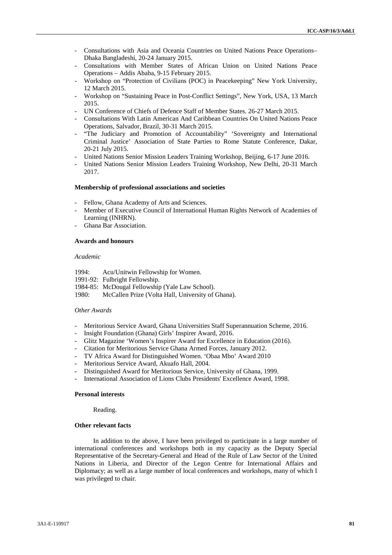- Consultations with Asia and Oceania Countries on United Nations Peace Operations– Dhaka Bangladeshi, 20-24 January 2015.
- Consultations with Member States of African Union on United Nations Peace Operations – Addis Ababa, 9-15 February 2015.
- Workshop on "Protection of Civilians (POC) in Peacekeeping" New York University, 12 March 2015.
- Workshop on "Sustaining Peace in Post-Conflict Settings", New York, USA, 13 March 2015.
- UN Conference of Chiefs of Defence Staff of Member States. 26-27 March 2015.
- Consultations With Latin American And Caribbean Countries On United Nations Peace Operations, Salvador, Brazil, 30-31 March 2015.
- "The Judiciary and Promotion of Accountability" 'Sovereignty and International Criminal Justice' Association of State Parties to Rome Statute Conference, Dakar, 20-21 July 2015.
- United Nations Senior Mission Leaders Training Workshop, Beijing, 6-17 June 2016.
- United Nations Senior Mission Leaders Training Workshop, New Delhi, 20-31 March 2017.

### **Membership of professional associations and societies**

- Fellow, Ghana Academy of Arts and Sciences.
- Member of Executive Council of International Human Rights Network of Academies of Learning (INHRN).
- Ghana Bar Association.

### **Awards and honours**

## *Academic*

- 1994: Acu/Unitwin Fellowship for Women.
- 1991-92: Fulbright Fellowship.
- 1984-85: McDougal Fellowship (Yale Law School).
- 1980: McCallen Prize (Volta Hall, University of Ghana).

### *Other Awards*

- Meritorious Service Award, Ghana Universities Staff Superannuation Scheme, 2016.
- Insight Foundation (Ghana) Girls' Inspirer Award, 2016.
- Glitz Magazine 'Women's Inspirer Award for Excellence in Education (2016).
- Citation for Meritorious Service Ghana Armed Forces, January 2012.
- TV Africa Award for Distinguished Women. 'Obaa Mbo' Award 2010
- Meritorious Service Award, Akuafo Hall, 2004.
- Distinguished Award for Meritorious Service, University of Ghana, 1999.
- International Association of Lions Clubs Presidents' Excellence Award, 1998.

## **Personal interests**

Reading.

### **Other relevant facts**

In addition to the above, I have been privileged to participate in a large number of international conferences and workshops both in my capacity as the Deputy Special Representative of the Secretary-General and Head of the Rule of Law Sector of the United Nations in Liberia, and Director of the Legon Centre for International Affairs and Diplomacy; as well as a large number of local conferences and workshops, many of which I was privileged to chair.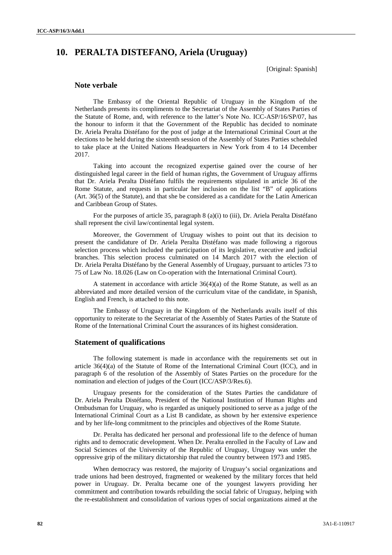# **10. PERALTA DISTEFANO, Ariela (Uruguay)**

[Original: Spanish]

# **Note verbale**

The Embassy of the Oriental Republic of Uruguay in the Kingdom of the Netherlands presents its compliments to the Secretariat of the Assembly of States Parties of the Statute of Rome, and, with reference to the latter's Note No. ICC-ASP/16/SP/07, has the honour to inform it that the Government of the Republic has decided to nominate Dr. Ariela Peralta Distéfano for the post of judge at the International Criminal Court at the elections to be held during the sixteenth session of the Assembly of States Parties scheduled to take place at the United Nations Headquarters in New York from 4 to 14 December 2017.

Taking into account the recognized expertise gained over the course of her distinguished legal career in the field of human rights, the Government of Uruguay affirms that Dr. Ariela Peralta Distéfano fulfils the requirements stipulated in article 36 of the Rome Statute, and requests in particular her inclusion on the list "B" of applications (Art. 36(5) of the Statute), and that she be considered as a candidate for the Latin American and Caribbean Group of States.

For the purposes of article 35, paragraph 8 (a)(i) to (iii), Dr. Ariela Peralta Distéfano shall represent the civil law/continental legal system.

Moreover, the Government of Uruguay wishes to point out that its decision to present the candidature of Dr. Ariela Peralta Distéfano was made following a rigorous selection process which included the participation of its legislative, executive and judicial branches. This selection process culminated on 14 March 2017 with the election of Dr. Ariela Peralta Distéfano by the General Assembly of Uruguay, pursuant to articles 73 to 75 of Law No. 18.026 (Law on Co-operation with the International Criminal Court).

A statement in accordance with article  $36(4)(a)$  of the Rome Statute, as well as an abbreviated and more detailed version of the curriculum vitae of the candidate, in Spanish, English and French, is attached to this note.

The Embassy of Uruguay in the Kingdom of the Netherlands avails itself of this opportunity to reiterate to the Secretariat of the Assembly of States Parties of the Statute of Rome of the International Criminal Court the assurances of its highest consideration.

# **Statement of qualifications**

The following statement is made in accordance with the requirements set out in article 36(4)(a) of the Statute of Rome of the International Criminal Court (ICC), and in paragraph 6 of the resolution of the Assembly of States Parties on the procedure for the nomination and election of judges of the Court (ICC/ASP/3/Res.6).

Uruguay presents for the consideration of the States Parties the candidature of Dr. Ariela Peralta Distéfano, President of the National Institution of Human Rights and Ombudsman for Uruguay, who is regarded as uniquely positioned to serve as a judge of the International Criminal Court as a List B candidate, as shown by her extensive experience and by her life-long commitment to the principles and objectives of the Rome Statute.

Dr. Peralta has dedicated her personal and professional life to the defence of human rights and to democratic development. When Dr. Peralta enrolled in the Faculty of Law and Social Sciences of the University of the Republic of Uruguay, Uruguay was under the oppressive grip of the military dictatorship that ruled the country between 1973 and 1985.

When democracy was restored, the majority of Uruguay's social organizations and trade unions had been destroyed, fragmented or weakened by the military forces that held power in Uruguay. Dr. Peralta became one of the youngest lawyers providing her commitment and contribution towards rebuilding the social fabric of Uruguay, helping with the re-establishment and consolidation of various types of social organizations aimed at the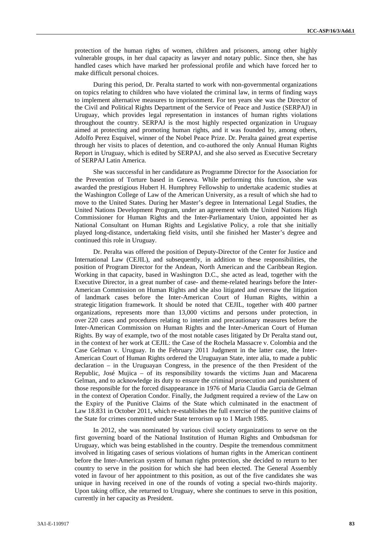protection of the human rights of women, children and prisoners, among other highly vulnerable groups, in her dual capacity as lawyer and notary public. Since then, she has handled cases which have marked her professional profile and which have forced her to make difficult personal choices.

During this period, Dr. Peralta started to work with non-governmental organizations on topics relating to children who have violated the criminal law, in terms of finding ways to implement alternative measures to imprisonment. For ten years she was the Director of the Civil and Political Rights Department of the Service of Peace and Justice (SERPAJ) in Uruguay, which provides legal representation in instances of human rights violations throughout the country. SERPAJ is the most highly respected organization in Uruguay aimed at protecting and promoting human rights, and it was founded by, among others, Adolfo Perez Esquivel, winner of the Nobel Peace Prize. Dr. Peralta gained great expertise through her visits to places of detention, and co-authored the only Annual Human Rights Report in Uruguay, which is edited by SERPAJ, and she also served as Executive Secretary of SERPAJ Latin America.

She was successful in her candidature as Programme Director for the Association for the Prevention of Torture based in Geneva. While performing this function, she was awarded the prestigious Hubert H. Humphrey Fellowship to undertake academic studies at the Washington College of Law of the American University, as a result of which she had to move to the United States. During her Master's degree in International Legal Studies, the United Nations Development Program, under an agreement with the United Nations High Commissioner for Human Rights and the Inter-Parliamentary Union, appointed her as National Consultant on Human Rights and Legislative Policy, a role that she initially played long-distance, undertaking field visits, until she finished her Master's degree and continued this role in Uruguay.

Dr. Peralta was offered the position of Deputy-Director of the Center for Justice and International Law (CEJIL), and subsequently, in addition to these responsibilities, the position of Program Director for the Andean, North American and the Caribbean Region. Working in that capacity, based in Washington D.C., she acted as lead, together with the Executive Director, in a great number of case- and theme-related hearings before the Inter- American Commission on Human Rights and she also litigated and oversaw the litigation of landmark cases before the Inter-American Court of Human Rights, within a strategic litigation framework. It should be noted that CEJIL, together with 400 partner organizations, represents more than 13,000 victims and persons under protection, in over 220 cases and procedures relating to interim and precautionary measures before the Inter-American Commission on Human Rights and the Inter-American Court of Human Rights. By way of example, two of the most notable cases litigated by Dr Peralta stand out, in the context of her work at CEJIL: the Case of the Rochela Massacre v. Colombia and the Case Gelman v. Uruguay. In the February 2011 Judgment in the latter case, the Inter- American Court of Human Rights ordered the Uruguayan State, inter alia, to made a public declaration – in the Uruguayan Congress, in the presence of the then President of the Republic, José Mujica – of its responsibility towards the victims Juan and Macarena Gelman, and to acknowledge its duty to ensure the criminal prosecution and punishment of those responsible for the forced disappearance in 1976 of Maria Claudia Garcia de Gelman in the context of Operation Condor. Finally, the Judgment required a review of the Law on the Expiry of the Punitive Claims of the State which culminated in the enactment of Law 18.831 in October 2011, which re-establishes the full exercise of the punitive claims of the State for crimes committed under State terrorism up to 1 March 1985.

In 2012, she was nominated by various civil society organizations to serve on the first governing board of the National Institution of Human Rights and Ombudsman for Uruguay, which was being established in the country. Despite the tremendous commitment involved in litigating cases of serious violations of human rights in the American continent before the Inter-American system of human rights protection, she decided to return to her country to serve in the position for which she had been elected. The General Assembly voted in favour of her appointment to this position, as out of the five candidates she was unique in having received in one of the rounds of voting a special two-thirds majority. Upon taking office, she returned to Uruguay, where she continues to serve in this position, currently in her capacity as President.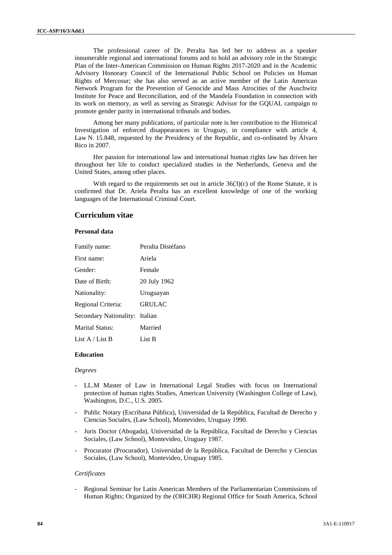The professional career of Dr. Peralta has led her to address as a speaker innumerable regional and international forums and to hold an advisory role in the Strategic Plan of the Inter-American Commission on Human Rights 2017-2020 and in the Academic Advisory Honorary Council of the International Public School on Policies on Human Rights of Mercosur; she has also served as an active member of the Latin American Network Program for the Prevention of Genocide and Mass Atrocities of the Auschwitz Institute for Peace and Reconciliation, and of the Mandela Foundation in connection with its work on memory, as well as serving as Strategic Advisor for the GQUAL campaign to promote gender parity in international tribunals and bodies.

Among her many publications, of particular note is her contribution to the Historical Investigation of enforced disappearances in Uruguay, in compliance with article 4, Law N. 15.848, requested by the Presidency of the Republic, and co-ordinated by Álvaro Rico in 2007.

Her passion for international law and international human rights law has driven her throughout her life to conduct specialized studies in the Netherlands, Geneva and the United States, among other places.

With regard to the requirements set out in article  $36(3)(c)$  of the Rome Statute, it is confirmed that Dr. Ariela Peralta has an excellent knowledge of one of the working languages of the International Criminal Court.

# **Curriculum vitae**

## **Personal data**

| Family name:                   | Peralta Distéfano |
|--------------------------------|-------------------|
| First name:                    | Ariela            |
| Gender:                        | Female            |
| Date of Birth:                 | 20 July 1962      |
| Nationality:                   | Uruguayan         |
| Regional Criteria:             | <b>GRULAC</b>     |
| Secondary Nationality: Italian |                   |
| Marital Status:                | Married           |
| List A / List B                | List B            |

### **Education**

#### *Degrees*

- LL.M Master of Law in International Legal Studies with focus on International protection of human rights Studies, American University (Washington College of Law), Washington, D.C., U.S. 2005.
- Public Notary (Escribana Pública), Universidad de la República, Facultad de Derecho y Ciencias Sociales, (Law School), Montevideo, Uruguay 1990.
- Juris Doctor (Abogada), Universidad de la República, Facultad de Derecho y Ciencias Sociales, (Law School), Montevideo, Uruguay 1987.
- Procurator (Procurador), Universidad de la República, Facultad de Derecho y Ciencias Sociales, (Law School), Montevideo, Uruguay 1985.

## *Certificates*

Regional Seminar for Latin American Members of the Parliamentarian Commissions of Human Rights; Organized by the (OHCHR) Regional Office for South America, School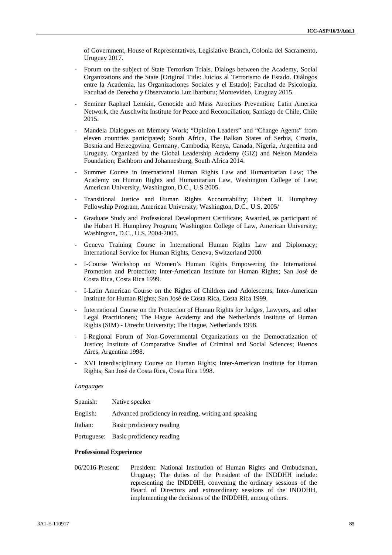of Government, House of Representatives, Legislative Branch, Colonia del Sacramento, Uruguay 2017.

- Forum on the subject of State Terrorism Trials. Dialogs between the Academy, Social Organizations and the State [Original Title: Juicios al Terrorismo de Estado. Diálogos entre la Academia, las Organizaciones Sociales y el Estado]; Facultad de Psicología, Facultad de Derecho y Observatorio Luz Ibarburu; Montevideo, Uruguay 2015.
- Seminar Raphael Lemkin, Genocide and Mass Atrocities Prevention; Latin America Network, the Auschwitz Institute for Peace and Reconciliation; Santiago de Chile, Chile 2015.
- Mandela Dialogues on Memory Work; "Opinion Leaders" and "Change Agents" from eleven countries participated; South Africa, The Balkan States of Serbia, Croatia, Bosnia and Herzegovina, Germany, Cambodia, Kenya, Canada, Nigeria, Argentina and Uruguay. Organized by the Global Leadership Academy (GIZ) and Nelson Mandela Foundation; Eschborn and Johannesburg, South Africa 2014.
- Summer Course in International Human Rights Law and Humanitarian Law; The Academy on Human Rights and Humanitarian Law, Washington College of Law; American University, Washington, D.C., U.S 2005.
- Transitional Justice and Human Rights Accountability; Hubert H. Humphrey Fellowship Program, American University; Washington, D.C., U.S. 2005/
- Graduate Study and Professional Development Certificate; Awarded, as participant of the Hubert H. Humphrey Program; Washington College of Law, American University; Washington, D.C., U.S. 2004-2005.
- Geneva Training Course in International Human Rights Law and Diplomacy; International Service for Human Rights, Geneva, Switzerland 2000.
- I-Course Workshop on Women's Human Rights Empowering the International Promotion and Protection; Inter-American Institute for Human Rights; San José de Costa Rica, Costa Rica 1999.
- I-Latin American Course on the Rights of Children and Adolescents; Inter-American Institute for Human Rights; San José de Costa Rica, Costa Rica 1999.
- International Course on the Protection of Human Rights for Judges, Lawyers, and other Legal Practitioners; The Hague Academy and the Netherlands Institute of Human Rights (SIM) - Utrecht University; The Hague, Netherlands 1998.
- I-Regional Forum of Non-Governmental Organizations on the Democratization of Justice; Institute of Comparative Studies of Criminal and Social Sciences; Buenos Aires, Argentina 1998.
- XVI Interdisciplinary Course on Human Rights; Inter-American Institute for Human Rights; San José de Costa Rica, Costa Rica 1998.

### *Languages*

| Spanish: | Native speaker                                        |
|----------|-------------------------------------------------------|
| English: | Advanced proficiency in reading, writing and speaking |
| Italian: | Basic proficiency reading                             |

Portuguese: Basic proficiency reading

### **Professional Experience**

06/2016-Present: President: National Institution of Human Rights and Ombudsman, Uruguay; The duties of the President of the INDDHH include: representing the INDDHH, convening the ordinary sessions of the Board of Directors and extraordinary sessions of the INDDHH, implementing the decisions of the INDDHH, among others.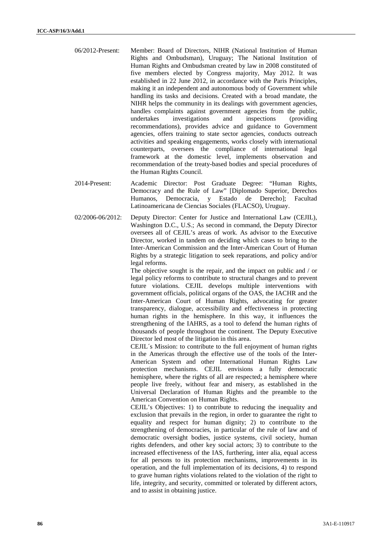- 06/2012-Present: Member: Board of Directors, NIHR (National Institution of Human Rights and Ombudsman), Uruguay; The National Institution of Human Rights and Ombudsman created by law in 2008 constituted of five members elected by Congress majority, May 2012. It was established in 22 June 2012, in accordance with the Paris Principles, making it an independent and autonomous body of Government while handling its tasks and decisions. Created with a broad mandate, the NIHR helps the community in its dealings with government agencies, handles complaints against government agencies from the public, undertakes investigations and inspections (providing recommendations), provides advice and guidance to Government agencies, offers training to state sector agencies, conducts outreach activities and speaking engagements, works closely with international counterparts, oversees the compliance of international legal framework at the domestic level, implements observation and recommendation of the treaty-based bodies and special procedures of the Human Rights Council.
- 2014-Present: Academic Director: Post Graduate Degree: "Human Rights, Democracy and the Rule of Law" [Diplomado Superior, Derechos Humanos, Democracia, y Estado de Derecho]; Facultad Latinoamericana de Ciencias Sociales (FLACSO), Uruguay.
- 02/2006-06/2012: Deputy Director: Center for Justice and International Law (CEJIL), Washington D.C., U.S.; As second in command, the Deputy Director oversees all of CEJIL's areas of work. As advisor to the Executive Director, worked in tandem on deciding which cases to bring to the Inter-American Commission and the Inter-American Court of Human Rights by a strategic litigation to seek reparations, and policy and/or legal reforms.

The objective sought is the repair, and the impact on public and / or legal policy reforms to contribute to structural changes and to prevent future violations. CEJIL develops multiple interventions with government officials, political organs of the OAS, the IACHR and the Inter-American Court of Human Rights, advocating for greater transparency, dialogue, accessibility and effectiveness in protecting human rights in the hemisphere. In this way, it influences the strengthening of the IAHRS, as a tool to defend the human rights of thousands of people throughout the continent. The Deputy Executive Director led most of the litigation in this area.

CEJIL´s Mission: to contribute to the full enjoyment of human rights in the Americas through the effective use of the tools of the Inter- American System and other International Human Rights Law protection mechanisms. CEJIL envisions a fully democratic hemisphere, where the rights of all are respected; a hemisphere where people live freely, without fear and misery, as established in the Universal Declaration of Human Rights and the preamble to the American Convention on Human Rights.

CEJIL's Objectives: 1) to contribute to reducing the inequality and exclusion that prevails in the region, in order to guarantee the right to equality and respect for human dignity; 2) to contribute to the strengthening of democracies, in particular of the rule of law and of democratic oversight bodies, justice systems, civil society, human rights defenders, and other key social actors; 3) to contribute to the increased effectiveness of the IAS, furthering, inter alia, equal access for all persons to its protection mechanisms, improvements in its operation, and the full implementation of its decisions, 4) to respond to grave human rights violations related to the violation of the right to life, integrity, and security, committed or tolerated by different actors, and to assist in obtaining justice.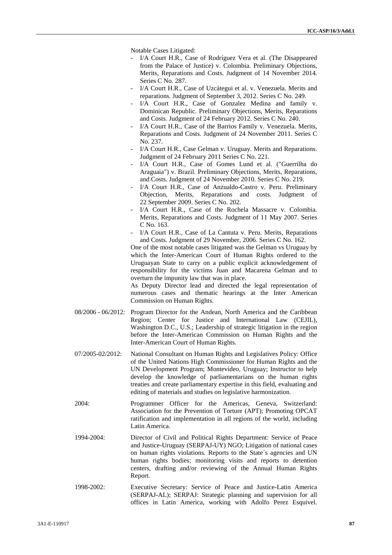Notable Cases Litigated:

- I/A Court H.R., Case of Rodríguez Vera et al. (The Disappeared from the Palace of Justice) v. Colombia. Preliminary Objections, Merits, Reparations and Costs. Judgment of 14 November 2014. Series C No. 287.
- I/A Court H.R., Case of Uzcátegui et al. v. Venezuela. Merits and reparations. Judgment of September 3, 2012. Series C No. 249.
- I/A Court H.R., Case of Gonzalez Medina and family v. Dominican Republic. Preliminary Objections, Merits, Reparations and Costs. Judgment of 24 February 2012. Series C No. 240.
- I/A Court H.R., Case of the Barrios Family v. Venezuela. Merits, Reparations and Costs. Judgment of 24 November 2011. Series C No. 237.
- I/A Court H.R., Case Gelman v. Uruguay. Merits and Reparations. Judgment of 24 February 2011 Series C No. 221.
- I/A Court H.R., Case of Gomes Lund et al. ("Guerrilha do Araguaia") v. Brazil. Preliminary Objections, Merits, Reparations, and Costs. Judgment of 24 November 2010. Series C No. 219.
- I/A Court H.R., Case of Anzualdo-Castro v. Peru. Preliminary Objection, Merits, Reparations and costs. Judgment of 22 September 2009. Series C No. 202.
- I/A Court H.R., Case of the Rochela Massacre v. Colombia. Merits, Reparations and Costs. Judgment of 11 May 2007. Series C No. 163.
- I/A Court H.R., Case of La Cantuta v. Peru. Merits, Reparations and Costs. Judgment of 29 November, 2006. Series C No. 162.

One of the most notable cases litigated was the Gelman vs Uruguay by which the Inter-American Court of Human Rights ordered to the Uruguayan State to carry on a public explicit acknowledgement of responsibility for the victims Juan and Macarena Gelman and to overturn the impunity law that was in place.

As Deputy Director lead and directed the legal representation of numerous cases and thematic hearings at the Inter American Commission on Human Rights.

- 08/2006 06/2012: Program Director for the Andean, North America and the Caribbean Region; Center for Justice and International Law (CEJIL), Washington D.C., U.S.; Leadership of strategic litigation in the region before the Inter-American Commission on Human Rights and the Inter-American Court of Human Rights.
- 07/2005-02/2012: National Consultant on Human Rights and Legislatives Policy: Office of the United Nations High Commissioner for Human Rights and the UN Development Program; Montevideo, Uruguay; Instructor to help develop the knowledge of parliamentarians on the human rights treaties and create parliamentary expertise in this field, evaluating and editing of materials and studies on legislative harmonization.
- 2004: Programmer Officer for the Americas, Geneva, Switzerland: Association for the Prevention of Torture (APT); Promoting OPCAT ratification and implementation in all regions of the world, including Latin America.
- 1994-2004: Director of Civil and Political Rights Department: Service of Peace and Justice-Uruguay (SERPAJ-UY) NGO; Litigation of national cases on human rights violations. Reports to the State´s agencies and UN human rights bodies; monitoring visits and reports to detention centers, drafting and/or reviewing of the Annual Human Rights Report.
- 1998-2002: Executive Secretary: Service of Peace and Justice-Latin America (SERPAJ-AL); SERPAJ: Strategic planning and supervision for all offices in Latin America, working with Adolfo Perez Esquivel.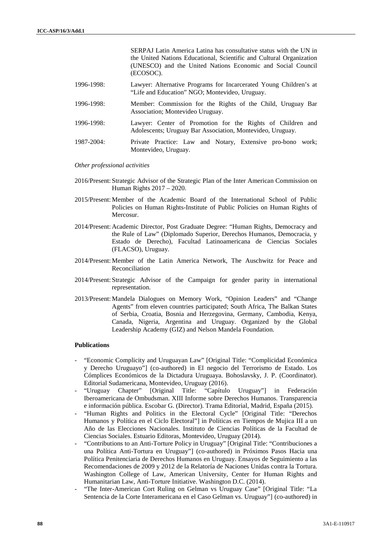| 1996-1998:<br>Lawyer: Alternative Programs for Incarcerated Young Children's at<br>"Life and Education" NGO; Montevideo, Uruguay.<br>1996-1998:<br>Member: Commission for the Rights of the Child, Uruguay Bar<br>Association; Montevideo Uruguay.<br>1996-1998:<br>Lawyer: Center of Promotion for the Rights of Children and<br>Adolescents; Uruguay Bar Association, Montevideo, Uruguay. |            | the United Nations Educational, Scientific and Cultural Organization<br>(UNESCO) and the United Nations Economic and Social Council<br>(ECOSOC). |
|----------------------------------------------------------------------------------------------------------------------------------------------------------------------------------------------------------------------------------------------------------------------------------------------------------------------------------------------------------------------------------------------|------------|--------------------------------------------------------------------------------------------------------------------------------------------------|
|                                                                                                                                                                                                                                                                                                                                                                                              |            |                                                                                                                                                  |
|                                                                                                                                                                                                                                                                                                                                                                                              |            |                                                                                                                                                  |
|                                                                                                                                                                                                                                                                                                                                                                                              |            |                                                                                                                                                  |
| Montevideo, Uruguay.                                                                                                                                                                                                                                                                                                                                                                         | 1987-2004: | Private Practice: Law and Notary, Extensive pro-bono work;                                                                                       |

SERPAJ Latin America Latina has consultative status with the UN in

*Other professional activities*

- 2016/Present: Strategic Advisor of the Strategic Plan of the Inter American Commission on Human Rights 2017 – 2020.
- 2015/Present: Member of the Academic Board of the International School of Public Policies on Human Rights-Institute of Public Policies on Human Rights of Mercosur.
- 2014/Present: Academic Director, Post Graduate Degree: "Human Rights, Democracy and the Rule of Law" (Diplomado Superior, Derechos Humanos, Democracia, y Estado de Derecho), Facultad Latinoamericana de Ciencias Sociales (FLACSO), Uruguay.
- 2014/Present: Member of the Latin America Network, The Auschwitz for Peace and Reconciliation
- 2014/Present: Strategic Advisor of the Campaign for gender parity in international representation.
- 2013/Present: Mandela Dialogues on Memory Work, "Opinion Leaders" and "Change Agents" from eleven countries participated; South Africa, The Balkan States of Serbia, Croatia, Bosnia and Herzegovina, Germany, Cambodia, Kenya, Canada, Nigeria, Argentina and Uruguay. Organized by the Global Leadership Academy (GIZ) and Nelson Mandela Foundation.

### **Publications**

- "Economic Complicity and Uruguayan Law" [Original Title: "Complicidad Económica y Derecho Uruguayo"] (co-authored) in El negocio del Terrorismo de Estado. Los Cómplices Económicos de la Dictadura Uruguaya. Bohoslavsky, J. P. (Coordinator). Editorial Sudamericana, Montevideo, Uruguay (2016).
- "Uruguay Chapter" [Original Title: "Capítulo Uruguay"] in Federación Iberoamericana de Ombudsman. XIII Informe sobre Derechos Humanos. Transparencia e información pública. Escobar G. (Director). Trama Editorial, Madrid, España (2015).
- "Human Rights and Politics in the Electoral Cycle" [Original Title: "Derechos Humanos y Política en el Ciclo Electoral"] in Políticas en Tiempos de Mujica III a un Año de las Elecciones Nacionales. Instituto de Ciencias Políticas de la Facultad de Ciencias Sociales. Estuario Editoras, Montevideo, Uruguay (2014).
- "Contributions to an Anti-Torture Policy in Uruguay" [Original Title: "Contribuciones a una Política Anti-Tortura en Uruguay"] (co-authored) in Próximos Pasos Hacia una Política Penitenciaria de Derechos Humanos en Uruguay. Ensayos de Seguimiento a las Recomendaciones de 2009 y 2012 de la Relatoría de Naciones Unidas contra la Tortura. Washington College of Law, American University, Center for Human Rights and Humanitarian Law, Anti-Torture Initiative. Washington D.C. (2014).
- "The Inter-American Cort Ruling on Gelman vs Uruguay Case" [Original Title: "La Sentencia de la Corte Interamericana en el Caso Gelman vs. Uruguay"] (co-authored) in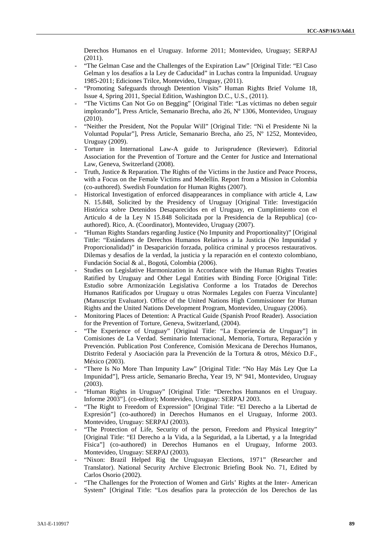Derechos Humanos en el Uruguay. Informe 2011; Montevideo, Uruguay; SERPAJ (2011).

- "The Gelman Case and the Challenges of the Expiration Law" [Original Title: "El Caso"] Gelman y los desafíos a la Ley de Caducidad" in Luchas contra la Impunidad. Uruguay 1985-2011; Ediciones Trilce, Montevideo, Uruguay, (2011).
- "Promoting Safeguards through Detention Visits" Human Rights Brief Volume 18, Issue 4, Spring 2011, Special Edition, Washington D.C., U.S., (2011).
- "The Victims Can Not Go on Begging" [Original Title: "Las víctimas no deben seguir implorando"], Press Article, Semanario Brecha, año 26, Nº 1306, Montevideo, Uruguay (2010).
- "Neither the President, Not the Popular Will" [Original Title: "Ni el Presidente Ni la Voluntad Popular"], Press Article, Semanario Brecha, año 25, Nº 1252, Montevideo, Uruguay (2009).
- Torture in International Law-A guide to Jurisprudence (Reviewer). Editorial Association for the Prevention of Torture and the Center for Justice and International Law, Geneva, Switzerland (2008).
- Truth, Justice & Reparation. The Rights of the Victims in the Justice and Peace Process, with a Focus on the Female Victims and Medellín. Report from a Mission in Colombia (co-authored). Swedish Foundation for Human Rights (2007).
- Historical Investigation of enforced disappearances in compliance with article 4, Law N. 15.848, Solicited by the Presidency of Uruguay [Original Title: Investigación Histórica sobre Detenidos Desaparecidos en el Uruguay, en Cumplimiento con el Articulo 4 de la Ley N 15.848 Solicitada por la Presidencia de la Republica] (co authored). Rico, A. (Coordinator), Montevideo, Uruguay (2007).
- "Human Rights Standars regarding Justice (No Impunity and Proportionality)" [Original Tittle: "Estándares de Derechos Humanos Relativos a la Justicia (No Impunidad y Proporcionalidad)" in Desaparición forzada, política criminal y procesos restaurativos. Dilemas y desafíos de la verdad, la justicia y la reparación en el contexto colombiano, Fundación Social & al., Bogotá, Colombia (2006).
- Studies on Legislative Harmonization in Accordance with the Human Rights Treaties Ratified by Uruguay and Other Legal Entities with Binding Force [Original Title: Estudio sobre Armonización Legislativa Conforme a los Tratados de Derechos Humanos Ratificados por Uruguay u otras Normales Legales con Fuerza Vinculante] (Manuscript Evaluator). Office of the United Nations High Commissioner for Human Rights and the United Nations Development Program, Montevideo, Uruguay (2006).
- Monitoring Places of Detention: A Practical Guide (Spanish Proof Reader). Association for the Prevention of Torture, Geneva, Switzerland, (2004).
- "The Experience of Uruguay" [Original Title: "La Experiencia de Uruguay"] in Comisiones de La Verdad. Seminario Internacional, Memoria, Tortura, Reparación y Prevención. Publication Post Conference, Comisión Mexicana de Derechos Humanos, Distrito Federal y Asociación para la Prevención de la Tortura & otros, México D.F., México (2003).
- "There Is No More Than Impunity Law" [Original Title: "No Hay Más Ley Que La Impunidad"], Press article, Semanario Brecha, Year 19, Nº 941, Montevideo, Uruguay (2003).
- "Human Rights in Uruguay" [Original Title: "Derechos Humanos en el Uruguay. Informe 2003"]. (co-editor); Montevideo, Uruguay: SERPAJ 2003.
- "The Right to Freedom of Expression" [Original Title: "El Derecho a la Libertad de Expresión"] (co-authored) in Derechos Humanos en el Uruguay, Informe 2003. Montevideo, Uruguay: SERPAJ (2003).
- "The Protection of Life, Security of the person, Freedom and Physical Integrity" [Original Title: "El Derecho a la Vida, a la Seguridad, a la Libertad, y a la Integridad Física"] (co-authored) in Derechos Humanos en el Uruguay, Informe 2003. Montevideo, Uruguay: SERPAJ (2003).
- "Nixon: Brazil Helped Rig the Uruguayan Elections, 1971" (Researcher and Translator). National Security Archive Electronic Briefing Book No. 71, Edited by Carlos Osorio (2002).
- "The Challenges for the Protection of Women and Girls' Rights at the Inter- American System" [Original Title: "Los desafíos para la protección de los Derechos de las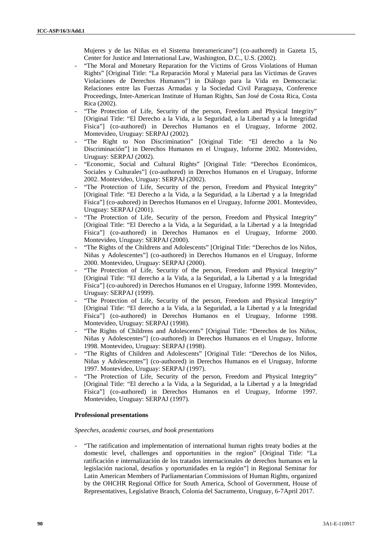Mujeres y de las Niñas en el Sistema Interamericano"] (co-authored) in Gazeta 15, Center for Justice and International Law, Washington, D.C., U.S. (2002).

- "The Moral and Monetary Reparation for the Victims of Gross Violations of Human Rights" [Original Title: "La Reparación Moral y Material para las Víctimas de Graves Violaciones de Derechos Humanos"] in Diálogo para la Vida en Democracia: Relaciones entre las Fuerzas Armadas y la Sociedad Civil Paraguaya, Conference Proceedings, Inter-American Institute of Human Rights, San José de Costa Rica, Costa Rica (2002).
- "The Protection of Life, Security of the person, Freedom and Physical Integrity" [Original Title: "El Derecho a la Vida, a la Seguridad, a la Libertad y a la Integridad Física"] (co-authored) in Derechos Humanos en el Uruguay, Informe 2002. Montevideo, Uruguay: SERPAJ (2002).
- "The Right to Non Discrimination" [Original Title: "El derecho a la No Discriminación"] in Derechos Humanos en el Uruguay, Informe 2002. Montevideo, Uruguay: SERPAJ (2002).
- "Economic, Social and Cultural Rights" [Original Title: "Derechos Económicos, Sociales y Culturales"] (co-authored) in Derechos Humanos en el Uruguay, Informe 2002. Montevideo, Uruguay: SERPAJ (2002).
- "The Protection of Life, Security of the person, Freedom and Physical Integrity" [Original Title: "El Derecho a la Vida, a la Seguridad, a la Libertad y a la Integridad Física"] (co-auhored) in Derechos Humanos en el Uruguay, Informe 2001. Montevideo, Uruguay: SERPAJ (2001).
- "The Protection of Life, Security of the person, Freedom and Physical Integrity" [Original Title: "El Derecho a la Vida, a la Seguridad, a la Libertad y a la Integridad Física"] (co-authored) in Derechos Humanos en el Uruguay, Informe 2000. Montevideo, Uruguay: SERPAJ (2000).
- "The Rights of the Childrens and Adolescents" [Original Title: "Derechos de los Niños, Niñas y Adolescentes"] (co-authored) in Derechos Humanos en el Uruguay, Informe 2000. Montevideo, Uruguay: SERPAJ (2000).
- "The Protection of Life, Security of the person, Freedom and Physical Integrity" [Original Title: "El derecho a la Vida, a la Seguridad, a la Libertad y a la Integridad Física"] (co-auhored) in Derechos Humanos en el Uruguay, Informe 1999. Montevideo, Uruguay: SERPAJ (1999).
- "The Protection of Life, Security of the person, Freedom and Physical Integrity" [Original Title: "El derecho a la Vida, a la Seguridad, a la Libertad y a la Integridad Física"] (co-authored) in Derechos Humanos en el Uruguay, Informe 1998. Montevideo, Uruguay: SERPAJ (1998).
- "The Rights of Childrens and Adolescents" [Original Title: "Derechos de los Niños, Niñas y Adolescentes"] (co-authored) in Derechos Humanos en el Uruguay, Informe 1998. Montevideo, Uruguay: SERPAJ (1998).
- "The Rights of Children and Adolescents" [Original Title: "Derechos de los Niños, Niñas y Adolescentes"] (co-authored) in Derechos Humanos en el Uruguay, Informe 1997. Montevideo, Uruguay: SERPAJ (1997).
- "The Protection of Life, Security of the person, Freedom and Physical Integrity" [Original Title: "El derecho a la Vida, a la Seguridad, a la Libertad y a la Integridad Física"] (co-authored) in Derechos Humanos en el Uruguay, Informe 1997. Montevideo, Uruguay: SERPAJ (1997).

# **Professional presentations**

### *Speeches, academic courses, and book presentations*

- "The ratification and implementation of international human rights treaty bodies at the domestic level, challenges and opportunities in the region" [Original Title: "La ratificación e internalización de los tratados internacionales de derechos humanos en la legislación nacional, desafíos y oportunidades en la región"] in Regional Seminar for Latin American Members of Parliamentarian Commissions of Human Rights, organized by the OHCHR Regional Office for South America, School of Government, House of Representatives, Legislative Branch, Colonia del Sacramento, Uruguay, 6-7April 2017.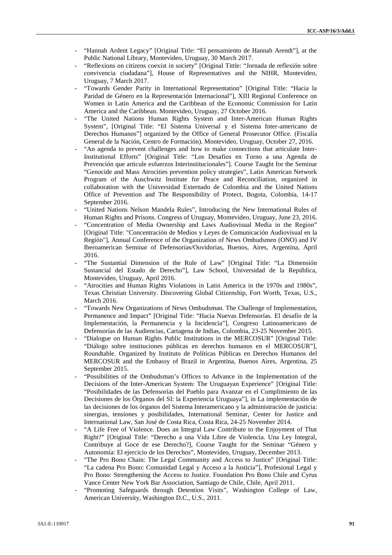- "Hannah Ardent Legacy" [Original Title: "El pensamiento de Hannah Arendt"], at the Public National Library, Montevideo, Uruguay, 30 March 2017.
- "Reflexions on citizens coexist in society" [Original Tittle: "Jornada de reflexión sobre convivencia ciudadana"], House of Representatives and the NIHR, Montevideo, Uruguay, 7 March 2017.
- "Towards Gender Parity in International Representation" [Original Title: "Hacia la Paridad de Género en la Representación Internacional"], XIII Regional Conference on Women in Latin America and the Caribbean of the Economic Commission for Latin America and the Caribbean. Montevideo, Uruguay, 27 October 2016.
- "The United Nations Human Rights System and Inter-American Human Rights System", [Original Title: "El Sistema Universal y el Sistema Inter-americano de Derechos Humanos"] organized by the Office of General Prosecutor Office. (Fiscalía General de la Nación, Centro de Formación). Montevideo, Uruguay, October 27, 2016.
- "An agenda to prevent challenges and how to make connections that articulate Inter-Institutional Efforts" [Original Title: "Los Desafíos en Torno a una Agenda de Prevención que articule esfuerzos Interinstitucionales"]. Course Taught for the Seminar "Genocide and Mass Atrocities prevention policy strategies", Latin American Network Program of the Auschwitz Institute for Peace and Reconciliation, organized in collaboration with the Universidad Externado de Colombia and the United Nations Office of Prevention and The Responsibility of Protect, Bogota, Colombia, 14-17 September 2016.
- "United Nations Nelson Mandela Rules", Introducing the New International Rules of Human Rights and Prisons. Congress of Uruguay, Montevideo, Uruguay, June 23, 2016.
- "Concentration of Media Ownership and Laws Audiovisual Media in the Region" [Original Title: "Concentración de Medios y Leyes de Comunicación Audiovisual en la Región"], Annual Conference of the Organization of News Ombudsmen (ONO) and IV Iberoamerican Seminar of Defensorías/Ouvidorias, Buenos, Aires, Argentina, April 2016.
- "The Sustantial Dimension of the Rule of Law" [Original Title: "La Dimensión Sustancial del Estado de Derecho"], Law School, Universidad de la República, Montevideo, Uruguay, April 2016.
- "Atrocities and Human Rights Violations in Latin America in the 1970s and 1980s", Texas Christian University. Discovering Global Citizenship, Fort Worth, Texas, U.S., March 2016.
- "Towards New Organizations of News Ombudsman. The Challenge of Implementation, Permanence and Impact" [Original Title: "Hacia Nuevas Defensorías. El desafío de la Implementación, la Permanencia y la Incidencia"], Congreso Latinoamericano de Defensorías de las Audiencias, Cartagena de Indias, Colombia, 23-25 November 2015.
- "Dialogue on Human Rights Public Institutions in the MERCOSUR" [Original Title: "Diálogo sobre instituciones públicas en derechos humanos en el MERCOSUR"], Roundtable. Organized by Instituto de Políticas Públicas en Derechos Humanos del MERCOSUR and the Embassy of Brazil in Argentina, Buenos Aires, Argentina, 25 September 2015.
- "Possibilities of the Ombudsman's Offices to Advance in the Implementation of the Decisions of the Inter-American System: The Uruguayan Experience" [Original Title: "Posibilidades de las Defensorías del Pueblo para Avanzar en el Cumplimiento de las Decisiones de los Órganos del SI: la Experiencia Uruguaya"], in La implementación de las decisiones de los órganos del Sistema Interamericano y la administración de justicia: sinergias, tensiones y posibilidades, International Seminar, Center for Justice and International Law, San José de Costa Rica, Costa Rica, 24-25 November 2014.
- "A Life Free of Violence. Does an Integral Law Contribute to the Enjoyment of That Right?" [Original Title: "Derecho a una Vida Libre de Violencia. Una Ley Integral, Contribuye al Goce de ese Derecho?], Course Taught for the Seminar "Género y Autonomía: El ejercicio de los Derechos", Montevideo, Uruguay, December 2013.
- "The Pro Bono Chain: The Legal Community and Access to Justice" [Original Title: "La cadena Pro Bono: Comunidad Legal y Acceso a la Justicia"], Profesional Legal y Pro Bono: Strengthening the Access to Justice. Foundation Pro Bono Chile and Cyrus Vance Center New York Bar Association, Santiago de Chile, Chile, April 2011.
- "Promoting Safeguards through Detention Visits", Washington College of Law, American University, Washington D.C., U.S., 2011.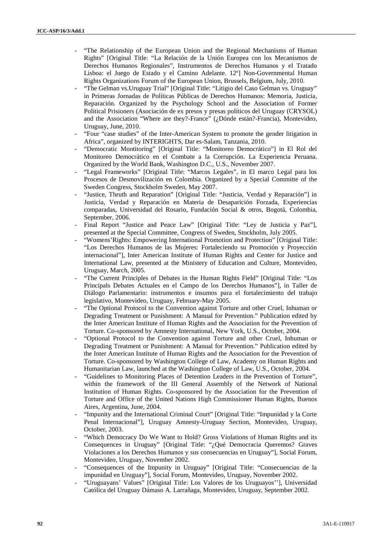- "The Relationship of the European Union and the Regional Mechanisms of Human Rights" [Original Title: "La Relación de la Unión Europea con los Mecanismos de Derechos Humanos Regionales", Instrumentos de Derechos Humanos y el Tratado Lisboa: el Juego de Estado y el Camino Adelante. 12º] Non-Governmental Human Rights Organizations Forum of the European Union, Brussels, Belgium, July, 2010.
- "The Gelman vs. Uruguay Trial" [Original Title: "Litigio del Caso Gelman vs. Uruguay" in Primeras Jornadas de Políticas Públicas de Derechos Humanos: Memoria, Justicia, Reparación. Organized by the Psychology School and the Association of Former Political Prisioners (Asociación de ex presos y presas políticos del Uruguay (CRYSOL) and the Association "Where are they?-France" (¿Dónde están?-Francia), Montevideo, Uruguay, June, 2010.
- "Four "case studies" of the Inter-American System to promote the gender litigation in Africa", organized by INTERIGHTS, Dar es-Salam, Tanzania, 2010.
- "Democratic Montitoring" [Original Title: "Monitoreo Democrático"] in El Rol del Monitoreo Democrático en el Combate a la Corrupción. La Experiencia Peruana. Organized by the World Bank, Washington D.C., U.S., November 2007.
- "Legal Frameworks" [Original Title: "Marcos Legales", in El marco Legal para los Procesos de Desmovilización en Colombia. Organized by a Special Committe of the Sweden Congress, Stockholm Sweden, May 2007.
- "Justice, Thruth and Reparation" [Original Title: "Justicia, Verdad y Reparación"] in Justicia, Verdad y Reparación en Materia de Desaparición Forzada, Experiencias comparadas, Universidad del Rosario, Fundación Social & otros, Bogotá, Colombia, September, 2006.
- Final Report "Justice and Peace Law" [Original Title: "Ley de Justicia y Paz"], presented at the Special Committee, Congress of Sweden, Stockholm, July 2005.
- "Womens'Rights: Empowering International Promotion and Protection" [Original Title: "Los Derechos Humanos de las Mujeres: Fortaleciendo su Promoción y Proyección internacional"], Inter American Institute of Human Rights and Center for Justice and International Law, presented at the Ministery of Education and Culture, Montevideo, Uruguay, March, 2005.
- "The Current Principles of Debates in the Human Rights Field" [Original Title: "Los Principals Debates Actuales en el Campo de los Derechos Humanos"], in Taller de Diálogo Parlamentario: instrumentos e insumos para el fortalecimiento del trabajo legislativo, Montevideo, Uruguay, February-May 2005.
- "The Optional Protocol to the Convention against Torture and other Cruel, Inhuman or Degrading Treatment or Punishment: A Manual for Prevention." Publication edited by the Inter American Institute of Human Rights and the Association for the Prevention of Torture. Co-sponsored by Amnesty International, New York, U.S., October, 2004.
- "Optional Protocol to the Convention against Torture and other Cruel, Inhuman or Degrading Treatment or Punishment: A Manual for Prevention." Publication edited by the Inter American Institute of Human Rights and the Association for the Prevention of Torture. Co-sponsored by Washington College of Law, Academy on Human Rights and Humanitarian Law, launched at the Washington College of Law, U.S., October, 2004.
- "Guidelines to Monitoring Places of Detention Leaders in the Prevention of Torture", within the framework of the III General Assembly of the Network of National Institution of Human Rights. Co-sponsored by the Association for the Prevention of Torture and Office of the United Nations High Commissioner Human Rights, Buenos Aires, Argentina, June, 2004.
- "Impunity and the International Criminal Court" [Original Title: "Impunidad y la Corte Penal Internacional"], Uruguay Amnesty-Uruguay Section, Montevideo, Uruguay, October, 2003.
- "Which Democracy Do We Want to Hold? Gross Violations of Human Rights and its Consequences in Uruguay" [Original Title: "¿Qué Democracia Queremos? Graves Violaciones a los Derechos Humanos y sus consecuencias en Uruguay"], Social Forum, Montevideo, Uruguay, November 2002.
- "Consequences of the Impunity in Uruguay" [Original Title: "Consecuencias de la impunidad en Uruguay"], Social Forum, Montevideo, Uruguay, November 2002.
- "Uruguayans' Values" [Original Title: Los Valores de los Uruguayos''], Universidad Católica del Uruguay Dámaso A. Larrañaga, Montevideo, Uruguay, September 2002.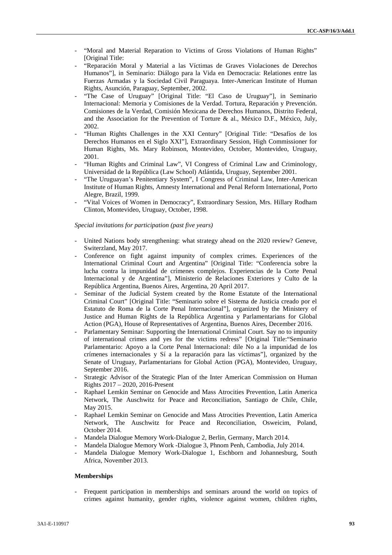- "Moral and Material Reparation to Victims of Gross Violations of Human Rights" [Original Title:
- "Reparación Moral y Material a las Víctimas de Graves Violaciones de Derechos Humanos"], in Seminario: Diálogo para la Vida en Democracia: Relationes entre las Fuerzas Armadas y la Sociedad Civil Paraguaya. Inter-American Institute of Human Rights, Asunción, Paraguay, September, 2002.
- "The Case of Uruguay" [Original Title: "El Caso de Uruguay"], in Seminario Internacional: Memoria y Comisiones de la Verdad. Tortura, Reparación y Prevención. Comisiones de la Verdad, Comisión Mexicana de Derechos Humanos, Distrito Federal, and the Association for the Prevention of Torture & al., México D.F., México, July, 2002.
- "Human Rights Challenges in the XXI Century" [Original Title: "Desafíos de los Derechos Humanos en el Siglo XXI"], Extraordinary Session, High Commissioner for Human Rights, Ms. Mary Robinson, Montevideo, October, Montevideo, Uruguay, 2001.
- "Human Rights and Criminal Law", VI Congress of Criminal Law and Criminology, Universidad de la República (Law School) Atlántida, Uruguay, September 2001.
- "The Uruguayan's Penitentiary System", I Congress of Criminal Law, Inter-American Institute of Human Rights, Amnesty International and Penal Reform International, Porto Alegre, Brazil, 1999.
- "Vital Voices of Women in Democracy", Extraordinary Session, Mrs. Hillary Rodham Clinton, Montevideo, Uruguay, October, 1998.

*Special invitations for participation (past five years)*

- United Nations body strengthening: what strategy ahead on the 2020 review? Geneve, Switerzland, May 2017.
- Conference on fight against impunity of complex crimes. Experiences of the International Criminal Court and Argentina" [Original Title: "Conferencia sobre la lucha contra la impunidad de crímenes complejos. Experiencias de la Corte Penal Internacional y de Argentina"], Ministerio de Relaciones Exteriores y Culto de la República Argentina, Buenos Aires, Argentina, 20 April 2017.
- Seminar of the Judicial System created by the Rome Estatute of the International Criminal Court" [Original Title: "Seminario sobre el Sistema de Justicia creado por el Estatuto de Roma de la Corte Penal Internacional"], organized by the Ministery of Justice and Human Rights de la República Argentina y Parlamentarians for Global Action (PGA), House of Representatives of Argentina, Buenos Aires, December 2016.
- Parlamentary Seminar: Supporting the International Criminal Court. Say no to impunity of international crimes and yes for the victims redress" [Original Title:"Seminario Parlamentario: Apoyo a la Corte Penal Internacional: dile No a la impunidad de los crímenes internacionales y Sí a la reparación para las víctimas"], organized by the Senate of Uruguay, Parlamentarians for Global Action (PGA), Montevideo, Uruguay, September 2016.
- Strategic Advisor of the Strategic Plan of the Inter American Commission on Human Rights 2017 – 2020, 2016-Present
- Raphael Lemkin Seminar on Genocide and Mass Atrocities Prevention, Latin America Network, The Auschwitz for Peace and Reconciliation, Santiago de Chile, Chile, May 2015.
- Raphael Lemkin Seminar on Genocide and Mass Atrocities Prevention, Latin America Network, The Auschwitz for Peace and Reconciliation, Osweicim, Poland, October 2014.
- Mandela Dialogue Memory Work-Dialogue 2, Berlin, Germany, March 2014.
- Mandela Dialogue Memory Work -Dialogue 3, Phnom Penh, Cambodia, July 2014.
- Mandela Dialogue Memory Work-Dialogue 1, Eschborn and Johannesburg, South Africa, November 2013.

### **Memberships**

- Frequent participation in memberships and seminars around the world on topics of crimes against humanity, gender rights, violence against women, children rights,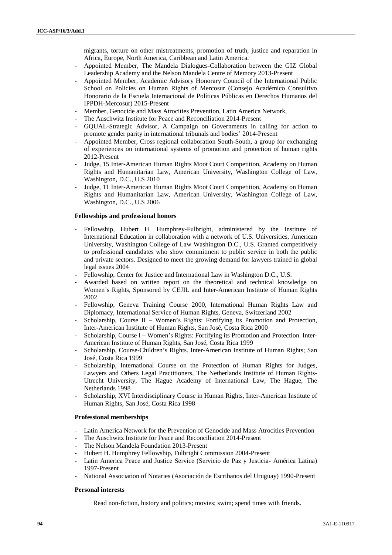migrants, torture on other mistreatments, promotion of truth, justice and reparation in Africa, Europe, North America, Caribbean and Latin America.

- Appointed Member, The Mandela Dialogues-Collaboration between the GIZ Global Leadership Academy and the Nelson Mandela Centre of Memory 2013-Present
- Appointed Member, Academic Advisory Honorary Council of the International Public School on Policies on Human Rights of Mercosur (Consejo Académico Consultivo Honorario de la Escuela Internacional de Políticas Públicas en Derechos Humanos del IPPDH-Mercosur) 2015-Present
- Member, Genocide and Mass Atrocities Prevention, Latin America Network,
- The Auschwitz Institute for Peace and Reconciliation 2014-Present
- GQUAL-Strategic Advisor, A Campaign on Governments in calling for action to promote gender parity in international tribunals and bodies' 2014-Present
- Appointed Member, Cross regional collaboration South-South, a group for exchanging of experiences on international systems of promotion and protection of human rights 2012-Present
- Judge, 15 Inter-American Human Rights Moot Court Competition, Academy on Human Rights and Humanitarian Law, American University, Washington College of Law, Washington, D.C., U.S 2010
- Judge, 11 Inter-American Human Rights Moot Court Competition, Academy on Human Rights and Humanitarian Law, American University, Washington College of Law, Washington, D.C., U.S 2006

### **Fellowships and professional honors**

- Fellowship, Hubert H. Humphrey-Fulbright, administered by the Institute of International Education in collaboration with a network of U.S. Universities, American University, Washington College of Law Washington D.C., U.S. Granted competitively to professional candidates who show commitment to public service in both the public and private sectors. Designed to meet the growing demand for lawyers trained in global legal issues 2004
- Fellowship, Center for Justice and International Law in Washington D.C., U.S.
- Awarded based on written report on the theoretical and technical knowledge on Women's Rights, Sponsored by CEJIL and Inter-American Institute of Human Rights 2002
- Fellowship, Geneva Training Course 2000, International Human Rights Law and Diplomacy, International Service of Human Rights, Geneva, Switzerland 2002
- Scholarship, Course II Women's Rights: Fortifying its Promotion and Protection, Inter-American Institute of Human Rights, San José, Costa Rica 2000
- Scholarship, Course I Women's Rights: Fortifying its Promotion and Protection. Inter- American Institute of Human Rights, San José, Costa Rica 1999
- Scholarship, Course-Children's Rights. Inter-American Institute of Human Rights; San José, Costa Rica 1999
- Scholarship, International Course on the Protection of Human Rights for Judges, Lawyers and Others Legal Practitioners, The Netherlands Institute of Human Rights- Utrecht University, The Hague Academy of International Law, The Hague, The Netherlands 1998
- Scholarship, XVI Interdisciplinary Course in Human Rights, Inter-American Institute of Human Rights, San José, Costa Rica 1998

### **Professional memberships**

- Latin America Network for the Prevention of Genocide and Mass Atrocities Prevention
- The Auschwitz Institute for Peace and Reconciliation 2014-Present
- The Nelson Mandela Foundation 2013-Present
- Hubert H. Humphrey Fellowship, Fulbright Commission 2004-Present
- Latin America Peace and Justice Service (Servicio de Paz y Justicia- América Latina) 1997-Present
- National Association of Notaries (Asociación de Escribanos del Uruguay) 1990-Present

### **Personal interests**

Read non-fiction, history and politics; movies; swim; spend times with friends.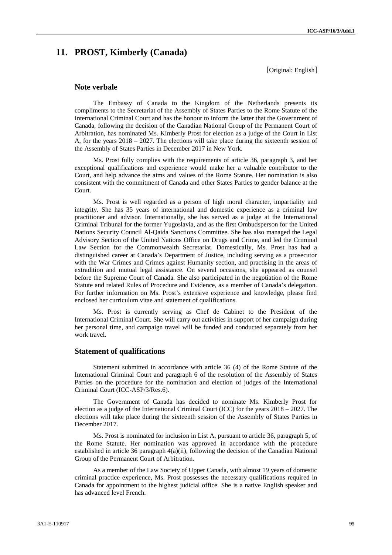# **11. PROST, Kimberly (Canada)**

[Original: English]

# **Note verbale**

The Embassy of Canada to the Kingdom of the Netherlands presents its compliments to the Secretariat of the Assembly of States Parties to the Rome Statute of the International Criminal Court and has the honour to inform the latter that the Government of Canada, following the decision of the Canadian National Group of the Permanent Court of Arbitration, has nominated Ms. Kimberly Prost for election as a judge of the Court in List A, for the years 2018 – 2027. The elections will take place during the sixteenth session of the Assembly of States Parties in December 2017 in New York.

Ms. Prost fully complies with the requirements of article 36, paragraph 3, and her exceptional qualifications and experience would make her a valuable contributor to the Court, and help advance the aims and values of the Rome Statute. Her nomination is also consistent with the commitment of Canada and other States Parties to gender balance at the Court.

Ms. Prost is well regarded as a person of high moral character, impartiality and integrity. She has 35 years of international and domestic experience as a criminal law practitioner and advisor. Internationally, she has served as a judge at the International Criminal Tribunal for the former Yugoslavia, and as the first Ombudsperson for the United Nations Security Council Al-Qaida Sanctions Committee. She has also managed the Legal Advisory Section of the United Nations Office on Drugs and Crime, and led the Criminal Law Section for the Commonwealth Secretariat. Domestically, Ms. Prost has had a distinguished career at Canada's Department of Justice, including serving as a prosecutor with the War Crimes and Crimes against Humanity section, and practising in the areas of extradition and mutual legal assistance. On several occasions, she appeared as counsel before the Supreme Court of Canada. She also participated in the negotiation of the Rome Statute and related Rules of Procedure and Evidence, as a member of Canada's delegation. For further information on Ms. Prost's extensive experience and knowledge, please find enclosed her curriculum vitae and statement of qualifications.

Ms. Prost is currently serving as Chef de Cabinet to the President of the International Criminal Court. She will carry out activities in support of her campaign during her personal time, and campaign travel will be funded and conducted separately from her work travel.

## **Statement of qualifications**

Statement submitted in accordance with article 36 (4) of the Rome Statute of the International Criminal Court and paragraph 6 of the resolution of the Assembly of States Parties on the procedure for the nomination and election of judges of the International Criminal Court (ICC-ASP/3/Res.6).

The Government of Canada has decided to nominate Ms. Kimberly Prost for election as a judge of the International Criminal Court (ICC) for the years 2018 – 2027. The elections will take place during the sixteenth session of the Assembly of States Parties in December 2017.

Ms. Prost is nominated for inclusion in List A, pursuant to article 36, paragraph 5, of the Rome Statute. Her nomination was approved in accordance with the procedure established in article 36 paragraph 4(a)(ii), following the decision of the Canadian National Group of the Permanent Court of Arbitration.

As a member of the Law Society of Upper Canada, with almost 19 years of domestic criminal practice experience, Ms. Prost possesses the necessary qualifications required in Canada for appointment to the highest judicial office. She is a native English speaker and has advanced level French.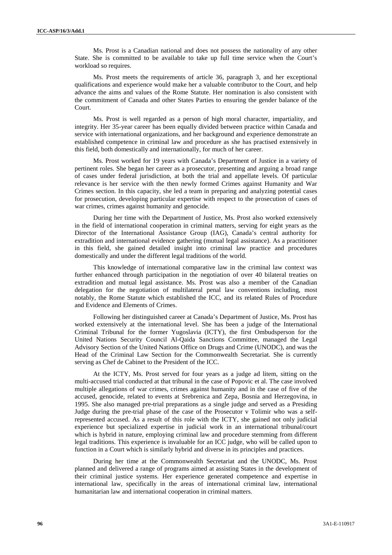Ms. Prost is a Canadian national and does not possess the nationality of any other State. She is committed to be available to take up full time service when the Court's workload so requires.

Ms. Prost meets the requirements of article 36, paragraph 3, and her exceptional qualifications and experience would make her a valuable contributor to the Court, and help advance the aims and values of the Rome Statute. Her nomination is also consistent with the commitment of Canada and other States Parties to ensuring the gender balance of the Court.

Ms. Prost is well regarded as a person of high moral character, impartiality, and integrity. Her 35-year career has been equally divided between practice within Canada and service with international organizations, and her background and experience demonstrate an established competence in criminal law and procedure as she has practised extensively in this field, both domestically and internationally, for much of her career.

Ms. Prost worked for 19 years with Canada's Department of Justice in a variety of pertinent roles. She began her career as a prosecutor, presenting and arguing a broad range of cases under federal jurisdiction, at both the trial and appellate levels. Of particular relevance is her service with the then newly formed Crimes against Humanity and War Crimes section. In this capacity, she led a team in preparing and analyzing potential cases for prosecution, developing particular expertise with respect to the prosecution of cases of war crimes, crimes against humanity and genocide.

During her time with the Department of Justice, Ms. Prost also worked extensively in the field of international cooperation in criminal matters, serving for eight years as the Director of the International Assistance Group (IAG), Canada's central authority for extradition and international evidence gathering (mutual legal assistance). As a practitioner in this field, she gained detailed insight into criminal law practice and procedures domestically and under the different legal traditions of the world.

This knowledge of international comparative law in the criminal law context was further enhanced through participation in the negotiation of over 40 bilateral treaties on extradition and mutual legal assistance. Ms. Prost was also a member of the Canadian delegation for the negotiation of multilateral penal law conventions including, most notably, the Rome Statute which established the ICC, and its related Rules of Procedure and Evidence and Elements of Crimes.

Following her distinguished career at Canada's Department of Justice, Ms. Prost has worked extensively at the international level. She has been a judge of the International Criminal Tribunal for the former Yugoslavia (ICTY), the first Ombudsperson for the United Nations Security Council Al-Qaida Sanctions Committee, managed the Legal Advisory Section of the United Nations Office on Drugs and Crime (UNODC), and was the Head of the Criminal Law Section for the Commonwealth Secretariat. She is currently serving as Chef de Cabinet to the President of the ICC.

At the ICTY, Ms. Prost served for four years as a judge ad litem, sitting on the multi-accused trial conducted at that tribunal in the case of Popovic et al. The case involved multiple allegations of war crimes, crimes against humanity and in the case of five of the accused, genocide, related to events at Srebrenica and Zepa, Bosnia and Herzegovina, in 1995. She also managed pre-trial preparations as a single judge and served as a Presiding Judge during the pre-trial phase of the case of the Prosecutor v Tolimir who was a selfrepresented accused. As a result of this role with the ICTY, she gained not only judicial experience but specialized expertise in judicial work in an international tribunal/court which is hybrid in nature, employing criminal law and procedure stemming from different legal traditions. This experience is invaluable for an ICC judge, who will be called upon to function in a Court which is similarly hybrid and diverse in its principles and practices.

During her time at the Commonwealth Secretariat and the UNODC, Ms. Prost planned and delivered a range of programs aimed at assisting States in the development of their criminal justice systems. Her experience generated competence and expertise in international law, specifically in the areas of international criminal law, international humanitarian law and international cooperation in criminal matters.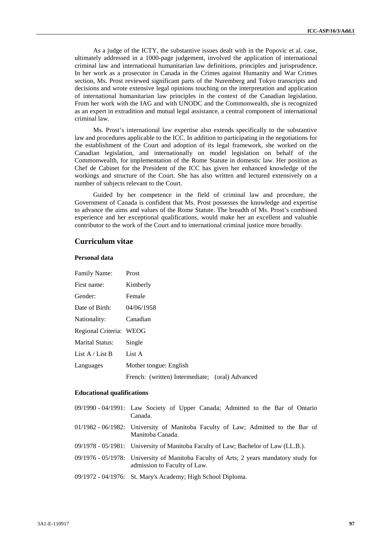As a judge of the ICTY, the substantive issues dealt with in the Popovic et al. case, ultimately addressed in a 1000-page judgement, involved the application of international criminal law and international humanitarian law definitions, principles and jurisprudence. In her work as a prosecutor in Canada in the Crimes against Humanity and War Crimes section, Ms. Prost reviewed significant parts of the Nuremberg and Tokyo transcripts and decisions and wrote extensive legal opinions touching on the interpretation and application of international humanitarian law principles in the context of the Canadian legislation. From her work with the IAG and with UNODC and the Commonwealth, she is recognized as an expert in extradition and mutual legal assistance, a central component of international criminal law.

Ms. Prost's international law expertise also extends specifically to the substantive law and procedures applicable to the ICC. In addition to participating in the negotiations for the establishment of the Court and adoption of its legal framework, she worked on the Canadian legislation, and internationally on model legislation on behalf of the Commonwealth, for implementation of the Rome Statute in domestic law. Her position as Chef de Cabinet for the President of the ICC has given her enhanced knowledge of the workings and structure of the Court. She has also written and lectured extensively on a number of subjects relevant to the Court.

Guided by her competence in the field of criminal law and procedure, the Government of Canada is confident that Ms. Prost possesses the knowledge and expertise to advance the aims and values of the Rome Statute. The breadth of Ms. Prost's combined experience and her exceptional qualifications, would make her an excellent and valuable contributor to the work of the Court and to international criminal justice more broadly.

# **Curriculum vitae**

# **Personal data**

| <b>Family Name:</b>     | Prost                                           |  |
|-------------------------|-------------------------------------------------|--|
| First name:             | Kimberly                                        |  |
| Gender:                 | Female                                          |  |
| Date of Birth:          | 04/06/1958                                      |  |
| Nationality:            | Canadian                                        |  |
| Regional Criteria: WEOG |                                                 |  |
| <b>Marital Status:</b>  | Single                                          |  |
| List $A /$ List B       | List A                                          |  |
| Languages               | Mother tongue: English                          |  |
|                         | French: (written) Intermediate; (oral) Advanced |  |

### **Educational qualifications**

| 09/1990 - 04/1991: Law Society of Upper Canada; Admitted to the Bar of Ontario<br>Canada.                              |
|------------------------------------------------------------------------------------------------------------------------|
| 01/1982 - 06/1982: University of Manitoba Faculty of Law; Admitted to the Bar of<br>Manitoba Canada.                   |
| 09/1978 - 05/1981: University of Manitoba Faculty of Law; Bachelor of Law (LL.B.).                                     |
| 09/1976 - 05/1978: University of Manitoba Faculty of Arts; 2 years mandatory study for<br>admission to Faculty of Law. |
| 09/1972 - 04/1976: St. Mary's Academy; High School Diploma.                                                            |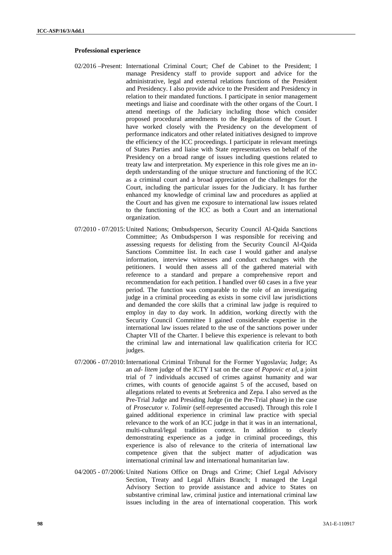### **Professional experience**

- 02/2016 –Present: International Criminal Court; Chef de Cabinet to the President; I manage Presidency staff to provide support and advice for the administrative, legal and external relations functions of the President and Presidency. I also provide advice to the President and Presidency in relation to their mandated functions. I participate in senior management meetings and liaise and coordinate with the other organs of the Court. I attend meetings of the Judiciary including those which consider proposed procedural amendments to the Regulations of the Court. I have worked closely with the Presidency on the development of performance indicators and other related initiatives designed to improve the efficiency of the ICC proceedings. I participate in relevant meetings of States Parties and liaise with State representatives on behalf of the Presidency on a broad range of issues including questions related to treaty law and interpretation. My experience in this role gives me an in depth understanding of the unique structure and functioning of the ICC as a criminal court and a broad appreciation of the challenges for the Court, including the particular issues for the Judiciary. It has further enhanced my knowledge of criminal law and procedures as applied at the Court and has given me exposure to international law issues related to the functioning of the ICC as both a Court and an international organization.
- 07/2010 07/2015:United Nations; Ombudsperson, Security Council Al-Qaida Sanctions Committee; As Ombudsperson I was responsible for receiving and assessing requests for delisting from the Security Council Al-Qaida Sanctions Committee list. In each case I would gather and analyse information, interview witnesses and conduct exchanges with the petitioners. I would then assess all of the gathered material with reference to a standard and prepare a comprehensive report and recommendation for each petition. I handled over 60 cases in a five year period. The function was comparable to the role of an investigating judge in a criminal proceeding as exists in some civil law jurisdictions and demanded the core skills that a criminal law judge is required to employ in day to day work. In addition, working directly with the Security Council Committee I gained considerable expertise in the international law issues related to the use of the sanctions power under Chapter VII of the Charter. I believe this experience is relevant to both the criminal law and international law qualification criteria for ICC judges.
- 07/2006 07/2010: International Criminal Tribunal for the Former Yugoslavia; Judge; As an *ad- litem* judge of the ICTY I sat on the case of *Popovic et al*, a joint trial of 7 individuals accused of crimes against humanity and war crimes, with counts of genocide against 5 of the accused, based on allegations related to events at Srebrenica and Zepa. I also served as the Pre-Trial Judge and Presiding Judge (in the Pre-Trial phase) in the case of *Prosecutor v. Tolimir* (self-represented accused). Through this role I gained additional experience in criminal law practice with special relevance to the work of an ICC judge in that it was in an international, multi-cultural/legal tradition context. In addition to clearly demonstrating experience as a judge in criminal proceedings, this experience is also of relevance to the criteria of international law competence given that the subject matter of adjudication was international criminal law and international humanitarian law.
- 04/2005 07/2006:United Nations Office on Drugs and Crime; Chief Legal Advisory Section, Treaty and Legal Affairs Branch; I managed the Legal Advisory Section to provide assistance and advice to States on substantive criminal law, criminal justice and international criminal law issues including in the area of international cooperation. This work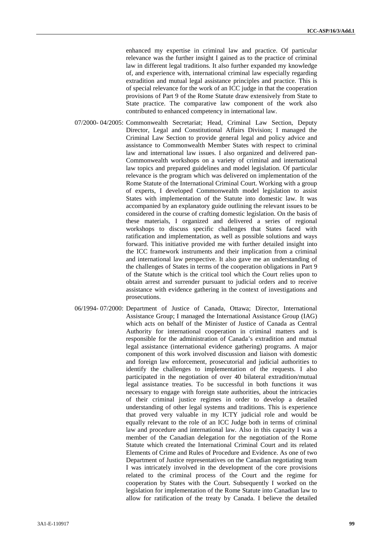enhanced my expertise in criminal law and practice. Of particular relevance was the further insight I gained as to the practice of criminal law in different legal traditions. It also further expanded my knowledge of, and experience with, international criminal law especially regarding extradition and mutual legal assistance principles and practice. This is of special relevance for the work of an ICC judge in that the cooperation provisions of Part 9 of the Rome Statute draw extensively from State to State practice. The comparative law component of the work also contributed to enhanced competency in international law.

- 07/2000- 04/2005: Commonwealth Secretariat; Head, Criminal Law Section, Deputy Director, Legal and Constitutional Affairs Division; I managed the Criminal Law Section to provide general legal and policy advice and assistance to Commonwealth Member States with respect to criminal law and international law issues. I also organized and delivered pan- Commonwealth workshops on a variety of criminal and international law topics and prepared guidelines and model legislation. Of particular relevance is the program which was delivered on implementation of the Rome Statute of the International Criminal Court. Working with a group of experts, I developed Commonwealth model legislation to assist States with implementation of the Statute into domestic law. It was accompanied by an explanatory guide outlining the relevant issues to be considered in the course of crafting domestic legislation. On the basis of these materials, I organized and delivered a series of regional workshops to discuss specific challenges that States faced with ratification and implementation, as well as possible solutions and ways forward. This initiative provided me with further detailed insight into the ICC framework instruments and their implication from a criminal and international law perspective. It also gave me an understanding of the challenges of States in terms of the cooperation obligations in Part 9 of the Statute which is the critical tool which the Court relies upon to obtain arrest and surrender pursuant to judicial orders and to receive assistance with evidence gathering in the context of investigations and prosecutions.
- 06/1994- 07/2000: Department of Justice of Canada, Ottawa; Director, International Assistance Group; I managed the International Assistance Group (IAG) which acts on behalf of the Minister of Justice of Canada as Central Authority for international cooperation in criminal matters and is responsible for the administration of Canada's extradition and mutual legal assistance (international evidence gathering) programs. A major component of this work involved discussion and liaison with domestic and foreign law enforcement, prosecutorial and judicial authorities to identify the challenges to implementation of the requests. I also participated in the negotiation of over 40 bilateral extradition/mutual legal assistance treaties. To be successful in both functions it was necessary to engage with foreign state authorities, about the intricacies of their criminal justice regimes in order to develop a detailed understanding of other legal systems and traditions. This is experience that proved very valuable in my ICTY judicial role and would be equally relevant to the role of an ICC Judge both in terms of criminal law and procedure and international law. Also in this capacity I was a member of the Canadian delegation for the negotiation of the Rome Statute which created the International Criminal Court and its related Elements of Crime and Rules of Procedure and Evidence. As one of two Department of Justice representatives on the Canadian negotiating team I was intricately involved in the development of the core provisions related to the criminal process of the Court and the regime for cooperation by States with the Court. Subsequently I worked on the legislation for implementation of the Rome Statute into Canadian law to allow for ratification of the treaty by Canada. I believe the detailed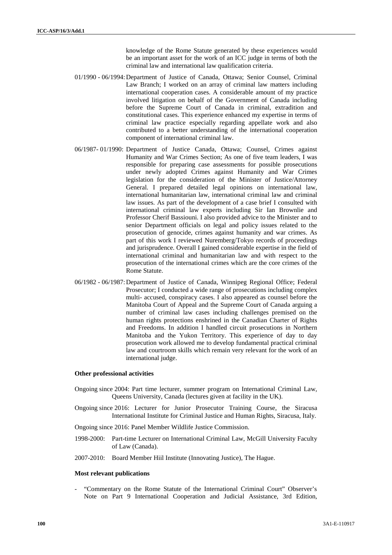knowledge of the Rome Statute generated by these experiences would be an important asset for the work of an ICC judge in terms of both the criminal law and international law qualification criteria.

- 01/1990 06/1994:Department of Justice of Canada, Ottawa; Senior Counsel, Criminal Law Branch; I worked on an array of criminal law matters including international cooperation cases. A considerable amount of my practice involved litigation on behalf of the Government of Canada including before the Supreme Court of Canada in criminal, extradition and constitutional cases. This experience enhanced my expertise in terms of criminal law practice especially regarding appellate work and also contributed to a better understanding of the international cooperation component of international criminal law.
- 06/1987- 01/1990: Department of Justice Canada, Ottawa; Counsel, Crimes against Humanity and War Crimes Section; As one of five team leaders, I was responsible for preparing case assessments for possible prosecutions under newly adopted Crimes against Humanity and War Crimes legislation for the consideration of the Minister of Justice/Attorney General. I prepared detailed legal opinions on international law, international humanitarian law, international criminal law and criminal law issues. As part of the development of a case brief I consulted with international criminal law experts including Sir Ian Brownlie and Professor Cherif Bassiouni. I also provided advice to the Minister and to senior Department officials on legal and policy issues related to the prosecution of genocide, crimes against humanity and war crimes. As part of this work I reviewed Nuremberg/Tokyo records of proceedings and jurisprudence. Overall I gained considerable expertise in the field of international criminal and humanitarian law and with respect to the prosecution of the international crimes which are the core crimes of the Rome Statute.
- 06/1982 06/1987:Department of Justice of Canada, Winnipeg Regional Office; Federal Prosecutor; I conducted a wide range of prosecutions including complex multi- accused, conspiracy cases. I also appeared as counsel before the Manitoba Court of Appeal and the Supreme Court of Canada arguing a number of criminal law cases including challenges premised on the human rights protections enshrined in the Canadian Charter of Rights and Freedoms. In addition I handled circuit prosecutions in Northern Manitoba and the Yukon Territory. This experience of day to day prosecution work allowed me to develop fundamental practical criminal law and courtroom skills which remain very relevant for the work of an international judge.

### **Other professional activities**

- Ongoing since 2004: Part time lecturer, summer program on International Criminal Law, Queens University, Canada (lectures given at facility in the UK).
- Ongoing since 2016: Lecturer for Junior Prosecutor Training Course, the Siracusa International Institute for Criminal Justice and Human Rights, Siracusa, Italy.

Ongoing since 2016: Panel Member Wildlife Justice Commission.

- 1998-2000: Part-time Lecturer on International Criminal Law, McGill University Faculty of Law (Canada).
- 2007-2010: Board Member Hiil Institute (Innovating Justice), The Hague.

### **Most relevant publications**

- "Commentary on the Rome Statute of the International Criminal Court" Observer's Note on Part 9 International Cooperation and Judicial Assistance, 3rd Edition,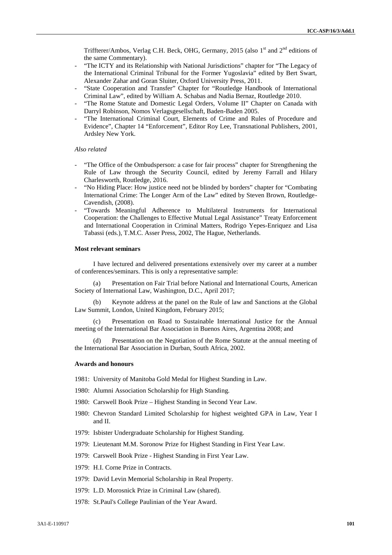Triffterer/Ambos, Verlag C.H. Beck, OHG, Germany, 2015 (also 1<sup>st</sup> and 2<sup>nd</sup> editions of the same Commentary).

- "The ICTY and its Relationship with National Jurisdictions" chapter for "The Legacy of the International Criminal Tribunal for the Former Yugoslavia" edited by Bert Swart, Alexander Zahar and Goran Sluiter, Oxford University Press, 2011.
- "State Cooperation and Transfer" Chapter for "Routledge Handbook of International Criminal Law", edited by William A. Schabas and Nadia Bernaz, Routledge 2010.
- "The Rome Statute and Domestic Legal Orders, Volume II" Chapter on Canada with Darryl Robinson, Nomos Verlagsgesellschaft, Baden-Baden 2005.
- "The International Criminal Court, Elements of Crime and Rules of Procedure and Evidence", Chapter 14 "Enforcement", Editor Roy Lee, Transnational Publishers, 2001, Ardsley New York.

### *Also related*

- "The Office of the Ombudsperson: a case for fair process" chapter for Strengthening the Rule of Law through the Security Council, edited by Jeremy Farrall and Hilary Charlesworth, Routledge, 2016.
- "No Hiding Place: How justice need not be blinded by borders" chapter for "Combating International Crime: The Longer Arm of the Law" edited by Steven Brown, Routledge- Cavendish, (2008).
- "Towards Meaningful Adherence to Multilateral Instruments for International Cooperation: the Challenges to Effective Mutual Legal Assistance" Treaty Enforcement and International Cooperation in Criminal Matters, Rodrigo Yepes-Enriquez and Lisa Tabassi (eds.), T.M.C. Asser Press, 2002, The Hague, Netherlands.

#### **Most relevant seminars**

I have lectured and delivered presentations extensively over my career at a number of conferences/seminars. This is only a representative sample:

(a) Presentation on Fair Trial before National and International Courts, American Society of International Law, Washington, D.C., April 2017;

(b) Keynote address at the panel on the Rule of law and Sanctions at the Global Law Summit, London, United Kingdom, February 2015;

Presentation on Road to Sustainable International Justice for the Annual meeting of the International Bar Association in Buenos Aires, Argentina 2008; and

(d) Presentation on the Negotiation of the Rome Statute at the annual meeting of the International Bar Association in Durban, South Africa, 2002.

### **Awards and honours**

- 1981: University of Manitoba Gold Medal for Highest Standing in Law.
- 1980: Alumni Association Scholarship for High Standing.
- 1980: Carswell Book Prize Highest Standing in Second Year Law.
- 1980: Chevron Standard Limited Scholarship for highest weighted GPA in Law, Year I and II.
- 1979: Isbister Undergraduate Scholarship for Highest Standing.
- 1979: Lieutenant M.M. Soronow Prize for Highest Standing in First Year Law.
- 1979: Carswell Book Prize Highest Standing in First Year Law.
- 1979: H.I. Corne Prize in Contracts.
- 1979: David Levin Memorial Scholarship in Real Property.
- 1979: L.D. Morosnick Prize in Criminal Law (shared).
- 1978: St.Paul's College Paulinian of the Year Award.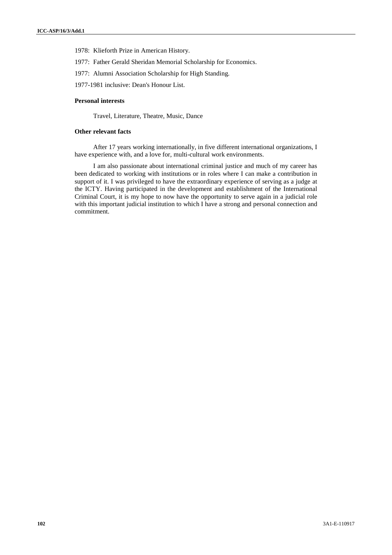- 1978: Klieforth Prize in American History.
- 1977: Father Gerald Sheridan Memorial Scholarship for Economics.
- 1977: Alumni Association Scholarship for High Standing.
- 1977-1981 inclusive: Dean's Honour List.

### **Personal interests**

Travel, Literature, Theatre, Music, Dance

## **Other relevant facts**

After 17 years working internationally, in five different international organizations, I have experience with, and a love for, multi-cultural work environments.

I am also passionate about international criminal justice and much of my career has been dedicated to working with institutions or in roles where I can make a contribution in support of it. I was privileged to have the extraordinary experience of serving as a judge at the ICTY. Having participated in the development and establishment of the International Criminal Court, it is my hope to now have the opportunity to serve again in a judicial role with this important judicial institution to which I have a strong and personal connection and commitment.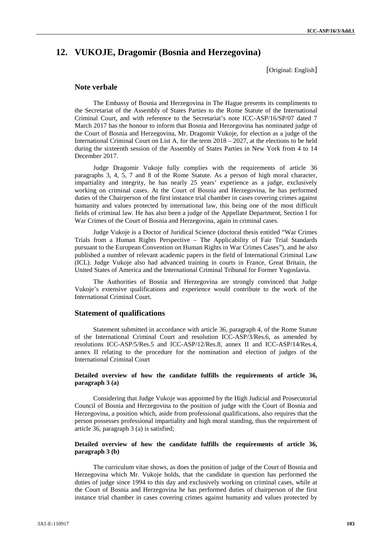# **12. VUKOJE, Dragomir (Bosnia and Herzegovina)**

[Original: English]

### **Note verbale**

The Embassy of Bosnia and Herzegovina in The Hague presents its compliments to the Secretariat of the Assembly of States Parties to the Rome Statute of the International Criminal Court, and with reference to the Secretariat's note ICC-ASP/16/SP/07 dated 7 March 2017 has the honour to inform that Bosnia and Herzegovina has nominated judge of the Court of Bosnia and Herzegovina, Mr. Dragomir Vukoje, for election as a judge of the International Criminal Court on List A, for the term 2018 – 2027, at the elections to be held during the sixteenth session of the Assembly of States Parties in New York from 4 to 14 December 2017.

Judge Dragomir Vukoje fully complies with the requirements of article 36 paragraphs 3, 4, 5, 7 and 8 of the Rome Statute. As a person of high moral character, impartiality and integrity, he has nearly 25 years' experience as a judge, exclusively working on criminal cases. At the Court of Bosnia and Herzegovina, he has performed duties of the Chairperson of the first instance trial chamber in cases covering crimes against humanity and values protected by international law, this being one of the most difficult fields of criminal law. He has also been a judge of the Appellate Department, Section I for War Crimes of the Court of Bosnia and Herzegovina, again in criminal cases.

Judge Vukoje is a Doctor of Juridical Science (doctoral thesis entitled "War Crimes Trials from a Human Rights Perspective – The Applicability of Fair Trial Standards pursuant to the European Convention on Human Rights in War Crimes Cases"), and he also published a number of relevant academic papers in the field of International Criminal Law (ICL). Judge Vukoje also had advanced training in courts in France, Great Britain, the United States of America and the International Criminal Tribunal for Former Yugoslavia.

The Authorities of Bosnia and Herzegovina are strongly convinced that Judge Vukoje's extensive qualifications and experience would contribute to the work of the International Criminal Court.

# **Statement of qualifications**

Statement submitted in accordance with article 36, paragraph 4, of the Rome Statute of the International Criminal Court and resolution ICC-ASP/3/Res.6, as amended by resolutions ICC-ASP/5/Res.5 and ICC-ASP/12/Res.8, annex II and ICC-ASP/14/Res.4, annex II relating to the procedure for the nomination and election of judges of the International Criminal Court

### **Detailed overview of how the candidate fulfills the requirements of article 36, paragraph 3 (a)**

Considering that Judge Vukoje was appointed by the High Judicial and Prosecutorial Council of Bosnia and Herzegovina to the position of judge with the Court of Bosnia and Herzegovina, a position which, aside from professional qualifications, also requires that the person possesses professional impartiality and high moral standing, thus the requirement of article 36, paragraph 3 (a) is satisfied;

## **Detailed overview of how the candidate fulfills the requirements of article 36, paragraph 3 (b)**

The curriculum vitae shows, as does the position of judge of the Court of Bosnia and Herzegovina which Mr. Vukoje holds, that the candidate in question has performed the duties of judge since 1994 to this day and exclusively working on criminal cases, while at the Court of Bosnia and Herzegovina he has performed duties of chairperson of the first instance trial chamber in cases covering crimes against humanity and values protected by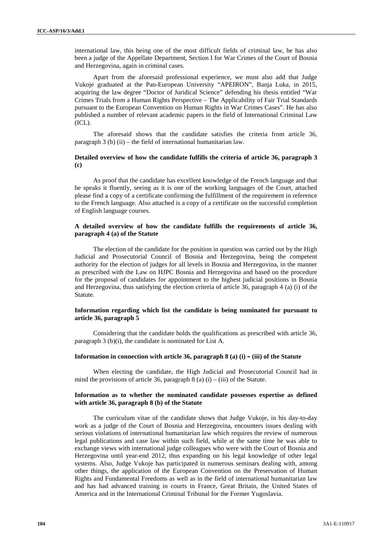international law, this being one of the most difficult fields of criminal law, he has also been a judge of the Appellate Department, Section I for War Crimes of the Court of Bosnia and Herzegovina, again in criminal cases.

Apart from the aforesaid professional experience, we must also add that Judge Vukoje graduated at the Pan-European University "APEIRON", Banja Luka, in 2015, acquiring the law degree "Doctor of Juridical Science" defending his thesis entitled "War Crimes Trials from a Human Rights Perspective – The Applicability of Fair Trial Standards pursuant to the European Convention on Human Rights in War Crimes Cases". He has also published a number of relevant academic papers in the field of International Criminal Law (ICL).

The aforesaid shows that the candidate satisfies the criteria from article 36, paragraph 3 (b) (ii) – the field of international humanitarian law.

## **Detailed overview of how the candidate fulfills the criteria of article 36, paragraph 3 (c)**

As proof that the candidate has excellent knowledge of the French language and that he speaks it fluently, seeing as it is one of the working languages of the Court, attached please find a copy of a certificate confirming the fulfillment of the requirement in reference to the French language. Also attached is a copy of a certificate on the successful completion of English language courses.

## **A detailed overview of how the candidate fulfills the requirements of article 36, paragraph 4 (a) of the Statute**

The election of the candidate for the position in question was carried out by the High Judicial and Prosecutorial Council of Bosnia and Herzegovina, being the competent authority for the election of judges for all levels in Bosnia and Herzegovina, in the manner as prescribed with the Law on HJPC Bosnia and Herzegovina and based on the procedure for the proposal of candidates for appointment to the highest judicial positions in Bosnia and Herzegovina, thus satisfying the election criteria of article 36, paragraph 4 (a) (i) of the Statute.

## **Information regarding which list the candidate is being nominated for pursuant to article 36, paragraph 5**

Considering that the candidate holds the qualifications as prescribed with article 36, paragraph 3 (b)(i), the candidate is nominated for List A.

### **Information in connection with article 36, paragraph 8 (a) (i) – (iii) of the Statute**

When electing the candidate, the High Judicial and Prosecutorial Council had in mind the provisions of article 36, paragraph  $\frac{8}{a}$  (a) (i) – (iii) of the Statute.

## **Information as to whether the nominated candidate possesses expertise as defined with article 36, paragraph 8 (b) of the Statute**

The curriculum vitae of the candidate shows that Judge Vukoje, in his day-to-day work as a judge of the Court of Bosnia and Herzegovina, encounters issues dealing with serious violations of international humanitarian law which requires the review of numerous legal publications and case law within such field, while at the same time he was able to exchange views with international judge colleagues who were with the Court of Bosnia and Herzegovina until year-end 2012, thus expanding on his legal knowledge of other legal systems. Also, Judge Vukoje has participated in numerous seminars dealing with, among other things, the application of the European Convention on the Preservation of Human Rights and Fundamental Freedoms as well as in the field of international humanitarian law and has had advanced training in courts in France, Great Britain, the United States of America and in the International Criminal Tribunal for the Former Yugoslavia.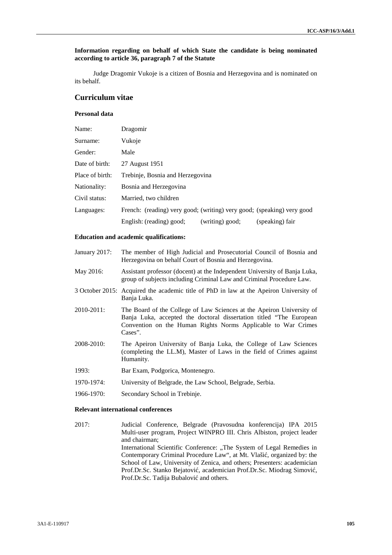## **Information regarding on behalf of which State the candidate is being nominated according to article 36, paragraph 7 of the Statute**

Judge Dragomir Vukoje is a citizen of Bosnia and Herzegovina and is nominated on its behalf.

# **Curriculum vitae**

# **Personal data**

| Name:           | Dragomir                                                               |
|-----------------|------------------------------------------------------------------------|
| Surname:        | Vukoje                                                                 |
| Gender:         | Male                                                                   |
| Date of birth:  | 27 August 1951                                                         |
| Place of birth: | Trebinje, Bosnia and Herzegovina                                       |
| Nationality:    | Bosnia and Herzegovina                                                 |
| Civil status:   | Married, two children                                                  |
| Languages:      | French: (reading) very good; (writing) very good; (speaking) very good |
|                 | English: (reading) good;<br>(writing) good;<br>(speaking) fair         |

## **Education and academic qualifications:**

| January 2017: | The member of High Judicial and Prosecutorial Council of Bosnia and |
|---------------|---------------------------------------------------------------------|
|               | Herzegovina on behalf Court of Bosnia and Herzegovina.              |

- May 2016: Assistant professor (docent) at the Independent University of Banja Luka, group of subjects including Criminal Law and Criminal Procedure Law.
- 3 October 2015: Acquired the academic title of PhD in law at the Apeiron University of Banja Luka.
- 2010-2011: The Board of the College of Law Sciences at the Apeiron University of Banja Luka, accepted the doctoral dissertation titled "The European Convention on the Human Rights Norms Applicable to War Crimes Cases".
- 2008-2010: The Apeiron University of Banja Luka, the College of Law Sciences (completing the LL.M), Master of Laws in the field of Crimes against Humanity.
- 1993: Bar Exam, Podgorica, Montenegro.
- 1970-1974: University of Belgrade, the Law School, Belgrade, Serbia.
- 1966-1970: Secondary School in Trebinje.

# **Relevant international conferences**

2017: Judicial Conference, Belgrade (Pravosudna konferencija) IPA 2015 Multi-user program, Project WINPRO III. Chris Albiston, project leader and chairman; International Scientific Conference: "The System of Legal Remedies in Contemporary Criminal Procedure Law", at Mt. Vlaši, organized by: the School of Law, University of Zenica, and others; Presenters: academician Prof.Dr.Sc. Stanko Bejatovi, academician Prof.Dr.Sc. Miodrag Simovi, Prof.Dr.Sc. Tadija Bubalovi and others.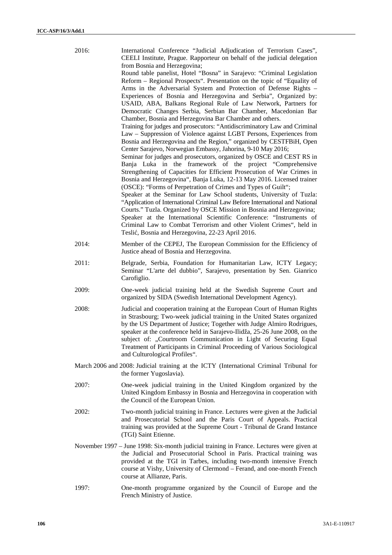| 2016: | International Conference "Judicial Adjudication of Terrorism Cases",<br>CEELI Institute, Prague. Rapporteur on behalf of the judicial delegation<br>from Bosnia and Herzegovina;<br>Round table panelist, Hotel "Bosna" in Sarajevo: "Criminal Legislation<br>Reform - Regional Prospects". Presentation on the topic of "Equality of<br>Arms in the Adversarial System and Protection of Defense Rights -<br>Experiences of Bosnia and Herzegovina and Serbia", Organized by:<br>USAID, ABA, Balkans Regional Rule of Law Network, Partners for<br>Democratic Changes Serbia, Serbian Bar Chamber, Macedonian Bar<br>Chamber, Bosnia and Herzegovina Bar Chamber and others.<br>Training for judges and prosecutors: "Antidiscriminatory Law and Criminal<br>Law - Suppression of Violence against LGBT Persons, Experiences from<br>Bosnia and Herzegovina and the Region," organized by CESTFBiH, Open<br>Center Sarajevo, Norwegian Embassy, Jahorina, 9-10 May 2016;<br>Seminar for judges and prosecutors, organized by OSCE and CEST RS in<br>Banja Luka in the framework of the project "Comprehensive<br>Strengthening of Capacities for Efficient Prosecution of War Crimes in<br>Bosnia and Herzegovina", Banja Luka, 12-13 May 2016. Licensed trainer<br>(OSCE): "Forms of Perpetration of Crimes and Types of Guilt";<br>Speaker at the Seminar for Law School students, University of Tuzla:<br>"Application of International Criminal Law Before International and National<br>Courts." Tuzla. Organized by OSCE Mission in Bosnia and Herzegovina;<br>Speaker at the International Scientific Conference: "Instruments of<br>Criminal Law to Combat Terrorism and other Violent Crimes", held in<br>Tesli, Bosnia and Herzegovina, 22-23 April 2016. |  |
|-------|----------------------------------------------------------------------------------------------------------------------------------------------------------------------------------------------------------------------------------------------------------------------------------------------------------------------------------------------------------------------------------------------------------------------------------------------------------------------------------------------------------------------------------------------------------------------------------------------------------------------------------------------------------------------------------------------------------------------------------------------------------------------------------------------------------------------------------------------------------------------------------------------------------------------------------------------------------------------------------------------------------------------------------------------------------------------------------------------------------------------------------------------------------------------------------------------------------------------------------------------------------------------------------------------------------------------------------------------------------------------------------------------------------------------------------------------------------------------------------------------------------------------------------------------------------------------------------------------------------------------------------------------------------------------------------------------------------------------------------------------------------------------|--|
| 2014: | Member of the CEPEJ, The European Commission for the Efficiency of<br>Justice ahead of Bosnia and Herzegovina.                                                                                                                                                                                                                                                                                                                                                                                                                                                                                                                                                                                                                                                                                                                                                                                                                                                                                                                                                                                                                                                                                                                                                                                                                                                                                                                                                                                                                                                                                                                                                                                                                                                       |  |
| 2011: | Belgrade, Serbia, Foundation for Humanitarian Law, ICTY Legacy;<br>Seminar "L'arte del dubbio", Sarajevo, presentation by Sen. Gianrico<br>Carofiglio.                                                                                                                                                                                                                                                                                                                                                                                                                                                                                                                                                                                                                                                                                                                                                                                                                                                                                                                                                                                                                                                                                                                                                                                                                                                                                                                                                                                                                                                                                                                                                                                                               |  |
| 2009: | One-week judicial training held at the Swedish Supreme Court and<br>organized by SIDA (Swedish International Development Agency).                                                                                                                                                                                                                                                                                                                                                                                                                                                                                                                                                                                                                                                                                                                                                                                                                                                                                                                                                                                                                                                                                                                                                                                                                                                                                                                                                                                                                                                                                                                                                                                                                                    |  |
| 2008: | Judicial and cooperation training at the European Court of Human Rights<br>in Strasbourg; Two-week judicial training in the United States organized<br>by the US Department of Justice; Together with Judge Almiro Rodrigues,<br>speaker at the conference held in Sarajevo-Ilidža, 25-26 June 2008, on the<br>subject of: "Courtroom Communication in Light of Securing Equal<br>Treatment of Participants in Criminal Proceeding of Various Sociological<br>and Culturological Profiles".                                                                                                                                                                                                                                                                                                                                                                                                                                                                                                                                                                                                                                                                                                                                                                                                                                                                                                                                                                                                                                                                                                                                                                                                                                                                          |  |
|       | March 2006 and 2008: Judicial training at the ICTY (International Criminal Tribunal for<br>the former Yugoslavia).                                                                                                                                                                                                                                                                                                                                                                                                                                                                                                                                                                                                                                                                                                                                                                                                                                                                                                                                                                                                                                                                                                                                                                                                                                                                                                                                                                                                                                                                                                                                                                                                                                                   |  |
| 2007: | One-week judicial training in the United Kingdom organized by the<br>United Kingdom Embassy in Bosnia and Herzegovina in cooperation with<br>the Council of the European Union.                                                                                                                                                                                                                                                                                                                                                                                                                                                                                                                                                                                                                                                                                                                                                                                                                                                                                                                                                                                                                                                                                                                                                                                                                                                                                                                                                                                                                                                                                                                                                                                      |  |
| 2002: | Two-month judicial training in France. Lectures were given at the Judicial<br>and Prosecutorial School and the Paris Court of Appeals. Practical<br>training was provided at the Supreme Court - Tribunal de Grand Instance<br>(TGI) Saint Etienne.                                                                                                                                                                                                                                                                                                                                                                                                                                                                                                                                                                                                                                                                                                                                                                                                                                                                                                                                                                                                                                                                                                                                                                                                                                                                                                                                                                                                                                                                                                                  |  |
|       | November 1997 - June 1998: Six-month judicial training in France. Lectures were given at<br>the Judicial and Prosecutorial School in Paris. Practical training was<br>provided at the TGI in Tarbes, including two-month intensive French<br>course at Vishy, University of Clermond - Ferand, and one-month French<br>course at Allianze, Paris.                                                                                                                                                                                                                                                                                                                                                                                                                                                                                                                                                                                                                                                                                                                                                                                                                                                                                                                                                                                                                                                                                                                                                                                                                                                                                                                                                                                                                    |  |
| 1997: | One-month programme organized by the Council of Europe and the<br>French Ministry of Justice.                                                                                                                                                                                                                                                                                                                                                                                                                                                                                                                                                                                                                                                                                                                                                                                                                                                                                                                                                                                                                                                                                                                                                                                                                                                                                                                                                                                                                                                                                                                                                                                                                                                                        |  |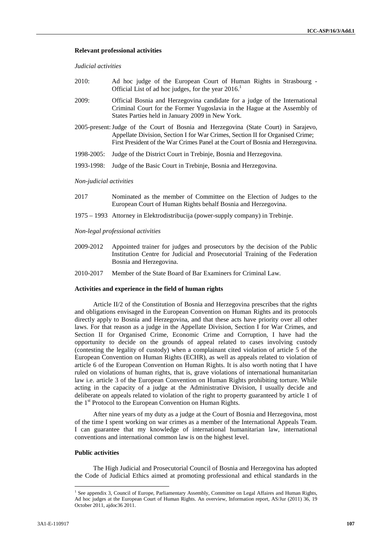### **Relevant professional activities**

*Judicial activities*

- 2010: Ad hoc judge of the European Court of Human Rights in Strasbourg Official List of ad hoc judges, for the year 2016.<sup>1</sup>
- 2009: Official Bosnia and Herzegovina candidate for a judge of the International Criminal Court for the Former Yugoslavia in the Hague at the Assembly of States Parties held in January 2009 in New York.
- 2005-present:Judge of the Court of Bosnia and Herzegovina (State Court) in Sarajevo, Appellate Division, Section I for War Crimes, Section II for Organised Crime; First President of the War Crimes Panel at the Court of Bosnia and Herzegovina.
- 1998-2005: Judge of the District Court in Trebinje, Bosnia and Herzegovina.
- 1993-1998: Judge of the Basic Court in Trebinje, Bosnia and Herzegovina.

### *Non-judicial activities*

- 2017 Nominated as the member of Committee on the Election of Judges to the European Court of Human Rights behalf Bosnia and Herzegovina.
- 1975 1993 Attorney in Elektrodistribucija (power-supply company) in Trebinje.

*Non-legal professional activities*

- 2009-2012 Appointed trainer for judges and prosecutors by the decision of the Public Institution Centre for Judicial and Prosecutorial Training of the Federation Bosnia and Herzegovina.
- 2010-2017 Member of the State Board of Bar Examiners for Criminal Law.

### **Activities and experience in the field of human rights**

Article II/2 of the Constitution of Bosnia and Herzegovina prescribes that the rights and obligations envisaged in the European Convention on Human Rights and its protocols directly apply to Bosnia and Herzegovina, and that these acts have priority over all other laws. For that reason as a judge in the Appellate Division, Section I for War Crimes, and Section II for Organised Crime, Economic Crime and Corruption, I have had the opportunity to decide on the grounds of appeal related to cases involving custody (contesting the legality of custody) when a complainant cited violation of article 5 of the European Convention on Human Rights (ECHR), as well as appeals related to violation of article 6 of the European Convention on Human Rights. It is also worth noting that I have ruled on violations of human rights, that is, grave violations of international humanitarian law i.e. article 3 of the European Convention on Human Rights prohibiting torture. While acting in the capacity of a judge at the Administrative Division, I usually decide and deliberate on appeals related to violation of the right to property guaranteed by article 1 of the 1 st Protocol to the European Convention on Human Rights.

After nine years of my duty as a judge at the Court of Bosnia and Herzegovina, most of the time I spent working on war crimes as a member of the International Appeals Team. I can guarantee that my knowledge of international humanitarian law, international conventions and international common law is on the highest level.

### **Public activities**

The High Judicial and Prosecutorial Council of Bosnia and Herzegovina has adopted the Code of Judicial Ethics aimed at promoting professional and ethical standards in the

<sup>&</sup>lt;sup>1</sup> See appendix 3, Council of Europe, Parliamentary Assembly, Committee on Legal Affaires and Human Rights, Ad hoc judges at the European Court of Human Rights. An overview, Information report, AS/Jur (2011) 36, 19 October 2011, ajdoc36 2011.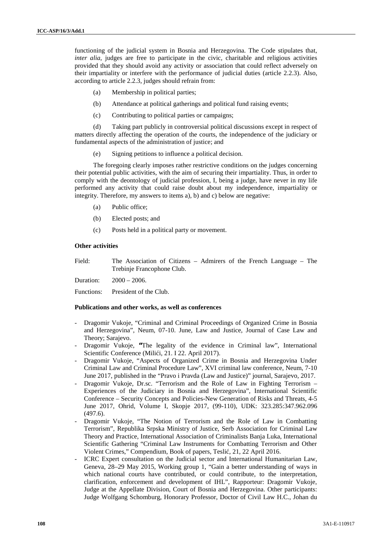functioning of the judicial system in Bosnia and Herzegovina. The Code stipulates that, *inter alia*, judges are free to participate in the civic, charitable and religious activities provided that they should avoid any activity or association that could reflect adversely on their impartiality or interfere with the performance of judicial duties (article 2.2.3). Also, according to article 2.2.3, judges should refrain from:

- (a) Membership in political parties;
- (b) Attendance at political gatherings and political fund raising events;
- (c) Contributing to political parties or campaigns;

(d) Taking part publicly in controversial political discussions except in respect of matters directly affecting the operation of the courts, the independence of the judiciary or fundamental aspects of the administration of justice; and

(e) Signing petitions to influence a political decision.

The foregoing clearly imposes rather restrictive conditions on the judges concerning their potential public activities, with the aim of securing their impartiality. Thus, in order to comply with the deontology of judicial profession, I, being a judge, have never in my life performed any activity that could raise doubt about my independence, impartiality or integrity. Therefore, my answers to items a), b) and c) below are negative:

- (a) Public office;
- (b) Elected posts; and
- (c) Posts held in a political party or movement.

### **Other activities**

| Field: | The Association of Citizens – Admirers of the French Language – The |
|--------|---------------------------------------------------------------------|
|        | Trebinje Francophone Club.                                          |

Duration: 2000 – 2006.

Functions: President of the Club.

### **Publications and other works, as well as conferences**

- Dragomir Vukoje, "Criminal and Criminal Proceedings of Organized Crime in Bosnia and Herzegovina", Neum, 07-10. June, Law and Justice, Journal of Case Law and Theory; Sarajevo.
- Dragomir Vukoje, **"**The legality of the evidence in Criminal law", International Scientific Conference (Mili i, 21. I 22. April 2017).
- Dragomir Vukoje, "Aspects of Organized Crime in Bosnia and Herzegovina Under Criminal Law and Criminal Procedure Law", XVI criminal law conference, Neum, 7-10 June 2017, published in the "Pravo i Pravda (Law and Justice)" journal, Sarajevo, 2017.
- Dragomir Vukoje, Dr.sc. "Terrorism and the Role of Law in Fighting Terrorism Experiences of the Judiciary in Bosnia and Herzegovina", International Scientific Conference – Security Concepts and Policies-New Generation of Risks and Threats, 4-5 June 2017, Ohrid, Volume I, Skopje 2017, (99-110), UDK: 323.285:347.962.096 (497.6).
- Dragomir Vukoje, "The Notion of Terrorism and the Role of Law in Combatting Terrorism", Republika Srpska Ministry of Justice, Serb Association for Criminal Law Theory and Practice, International Association of Criminalists Banja Luka, International Scientific Gathering "Criminal Law Instruments for Combatting Terrorism and Other Violent Crimes," Compendium, Book of papers, Tesli, 21, 22 April 2016.
- ICRC Expert consultation on the Judicial sector and International Humanitarian Law, Geneva, 28–29 May 2015, Working group 1, "Gain a better understanding of ways in which national courts have contributed, or could contribute, to the interpretation, clarification, enforcement and development of IHL", Rapporteur: Dragomir Vukoje, Judge at the Appellate Division, Court of Bosnia and Herzegovina. Other participants: Judge Wolfgang Schomburg, Honorary Professor, Doctor of Civil Law H.C., Johan du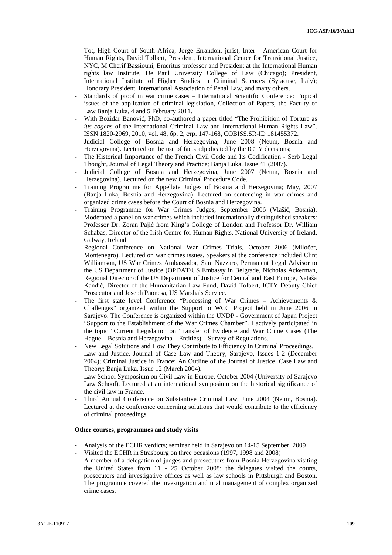Tot, High Court of South Africa, Jorge Errandon, jurist, Inter - American Court for Human Rights, David Tolbert, President, International Center for Transitional Justice, NYC, M Cherif Bassiouni, Emeritus professor and President at the International Human rights law Institute, De Paul University College of Law (Chicago); President, International Institute of Higher Studies in Criminal Sciences (Syracuse, Italy); Honorary President, International Association of Penal Law, and many others.

- Standards of proof in war crime cases International Scientific Conference: Topical issues of the application of criminal legislation, Collection of Papers, the Faculty of Law Banja Luka, 4 and 5 February 2011.
- With Božidar Banovi, PhD, co-authored a paper titled "The Prohibition of Torture as *ius cogens* of the International Criminal Law and International Human Rights Law", ISSN 1820-2969, 2010, vol. 48, . 2, . 147-168, COBISS.SR-ID 181455372. . 147-168, COBISS.SR-ID 181455372.
- Judicial College of Bosnia and Herzegovina, June 2008 (Neum, Bosnia and Herzegovina). Lectured on the use of facts adjudicated by the ICTY decisions;
- The Historical Importance of the French Civil Code and Its Codification Serb Legal Thought, Journal of Legal Theory and Practice; Banja Luka, Issue 41 (2007).
- Judicial College of Bosnia and Herzegovina, June 2007 (Neum, Bosnia and Herzegovina). Lectured on the new Criminal Procedure Code.
- Training Programme for Appellate Judges of Bosnia and Herzegovina; May, 2007 (Banja Luka, Bosnia and Herzegovina). Lectured on sentencing in war crimes and organized crime cases before the Court of Bosnia and Herzegovina.
- Training Programme for War Crimes Judges, September 2006 (Vlaši, Bosnia). Moderated a panel on war crimes which included internationally distinguished speakers: Professor Dr. Zoran Paji from King's College of London and Professor Dr. William Schabas, Director of the Irish Centre for Human Rights, National University of Ireland, Galway, Ireland.
- Regional Conference on National War Crimes Trials, October 2006 (Milo er, Montenegro). Lectured on war crimes issues. Speakers at the conference included Clint Williamson, US War Crimes Ambassador, Sam Nazzaro, Permanent Legal Advisor to the US Department of Justice (OPDAT/US Embassy in Belgrade, Nicholas Ackerman, Regional Director of the US Department of Justice for Central and East Europe, Nataša Kandi, Director of the Humanitarian Law Fund, David Tolbert, ICTY Deputy Chief Prosecutor and Joseph Paonesa, US Marshals Service.
- The first state level Conference "Processing of War Crimes Achievements  $\&$ Challenges" organized within the Support to WCC Project held in June 2006 in Sarajevo. The Conference is organized within the UNDP - Government of Japan Project "Support to the Establishment of the War Crimes Chamber". I actively participated in the topic "Current Legislation on Transfer of Evidence and War Crime Cases (The Hague – Bosnia and Herzegovina – Entities) – Survey of Regulations.
- New Legal Solutions and How They Contribute to Efficiency In Criminal Proceedings.
- Law and Justice, Journal of Case Law and Theory; Sarajevo, Issues 1-2 (December 2004); Criminal Justice in France: An Outline of the Journal of Justice, Case Law and Theory; Banja Luka, Issue 12 (March 2004).
- Law School Symposium on Civil Law in Europe, October 2004 (University of Sarajevo Law School). Lectured at an international symposium on the historical significance of the civil law in France.
- Third Annual Conference on Substantive Criminal Law, June 2004 (Neum, Bosnia). Lectured at the conference concerning solutions that would contribute to the efficiency of criminal proceedings.

## **Other courses, programmes and study visits**

- Analysis of the ECHR verdicts; seminar held in Sarajevo on 14-15 September, 2009
- Visited the ECHR in Strasbourg on three occasions (1997, 1998 and 2008)
- A member of a delegation of judges and prosecutors from Bosnia-Herzegovina visiting the United States from 11 - 25 October 2008; the delegates visited the courts, prosecutors and investigative offices as well as law schools in Pittsburgh and Boston. The programme covered the investigation and trial management of complex organized crime cases.